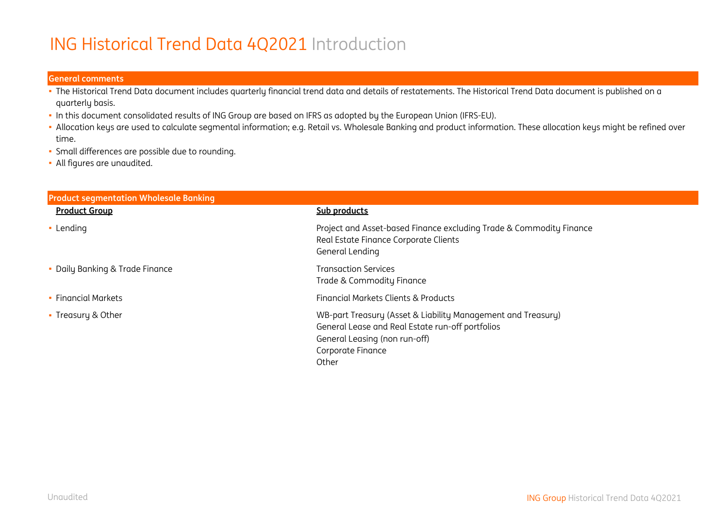# ING Historical Trend Data 4Q2021 Introduction

#### **General comments**

- The Historical Trend Data document includes quarterly financial trend data and details of restatements. The Historical Trend Data document is published on a quarterly basis.
- In this document consolidated results of ING Group are based on IFRS as adopted by the European Union (IFRS-EU).
- Allocation keys are used to calculate segmental information; e.g. Retail vs. Wholesale Banking and product information. These allocation keys might be refined over time.
- Small differences are possible due to rounding.
- All figures are unaudited.

| <b>Product segmentation Wholesale Banking</b> |                                                                                                                                                                                 |
|-----------------------------------------------|---------------------------------------------------------------------------------------------------------------------------------------------------------------------------------|
| <b>Product Group</b>                          | Sub products                                                                                                                                                                    |
| • Lending                                     | Project and Asset-based Finance excluding Trade & Commodity Finance<br>Real Estate Finance Corporate Clients<br>General Lending                                                 |
| • Daily Banking & Trade Finance               | <b>Transaction Services</b><br>Trade & Commodity Finance                                                                                                                        |
| • Financial Markets                           | Financial Markets Clients & Products                                                                                                                                            |
| • Treasury & Other                            | WB-part Treasury (Asset & Liability Management and Treasury)<br>General Lease and Real Estate run-off portfolios<br>General Leasing (non run-off)<br>Corporate Finance<br>Other |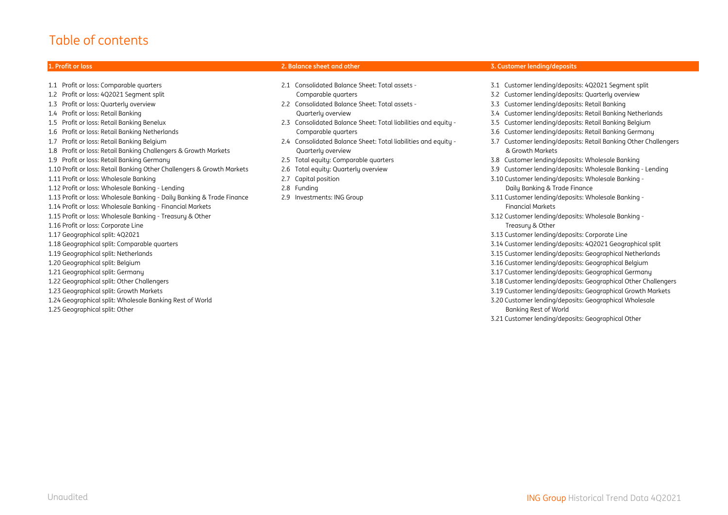#### Table of contents

1.1 Profit or loss: Comparable quarters 2.1 Consolidated Balance Sheet: Total assets - 3.1 Customer lending/deposits: 4Q2021 Segment split 1.2 Profit or loss: 4Q2021 Segment split Comparable quarters 3.2 Customer lending/deposits: Quarterly overview 1.3 Profit or loss: Quarterly overview 2.2 Consolidated Balance Sheet: Total assets - 3.3 Customer lending/deposits: Retail Banking 1.4 Profit or loss: Retail Banking Quarterly overview 3.4 Customer lending/deposits: Retail Banking Netherlands 1.5 Profit or loss: Retail Banking Benelux 2.3 Consolidated Balance Sheet: Total liabilities and equity - 3.5 Customer lending/deposits: Retail Banking Belgium 1.6 Profit or loss: Retail Banking Netherlands Comparable quarters 3.6 Customer lending/deposits: Retail Banking Germany 1.7 Profit or loss: Retail Banking Belgium 2.4 Consolidated Balance Sheet: Total liabilities and equity - 3.7 Customer lending/deposits: Retail Banking Other Challengers 1.8 Profit or loss: Retail Banking Challengers & Growth Markets Quarterly overview & Growth Markets 1.9 Profit or loss: Retail Banking Germany 2.5 Total equity: Comparable quarters 3.8 Customer lending/deposits: Wholesale Banking 1.10 Profit or loss: Retail Banking Other Challengers & Growth Markets 2.6 Total equity: Quarterly overview 3.9 Customer lending/deposits: Wholesale Banking - Lending 1.11 Profit or loss: Wholesale Banking 2.7 Capital position 3.10 Customer lending/deposits: Wholesale Banking - 1.12 Profit or loss: Wholesale Banking - Lending 2.8 Funding Daily Banking & Trade Finance 1.13 Profit or loss: Wholesale Banking - Daily Banking & Trade Finance 2.9 Investments: ING Group 3.11 Customer lending/deposits: Wholesale Banking - 1.14 Profit or loss: Wholesale Banking - Financial Markets Financial Markets 1.15 Profit or loss: Wholesale Banking - Treasury & Other 3.12 Customer lending/deposits: Wholesale Banking - 1.16 Profit or loss: Corporate Line Treasury & Other 1.17 Geographical split: 4Q2021 3.13 Customer lending/deposits: Corporate Line 1.18 Geographical split: Comparable quarters 3.14 Customer lending/deposits: 4Q2021 Geographical split 1.19 Geographical split: Netherlands 3.15 Customer lending/deposits: Geographical Netherlands 1.20 Geographical split: Belgium 3.16 Customer lending/deposits: Geographical Belgium 1.21 Geographical split: Germany 3.17 Customer lending/deposits: Geographical Germany 1.22 Geographical split: Other Challengers 3.18 Customer lending/deposits: Geographical Other Challengers 1.23 Geographical split: Growth Markets 3.19 Customer lending/deposits: Geographical Growth Markets 1.24 Geographical split: Wholesale Banking Rest of World 3.20 Customer lending/deposits: Geographical Wholesale 1.25 Geographical split: Other Banking Rest of World

#### **1. Profit or loss 2. Balance sheet and other 3. Customer lending/deposits**

- 
- 
- 
- 
- 
- 
- 
- 
- 
- 
- 
- 
- 
- 
- 
- 
- 
- 
- 
- 
- 
- 
- 
- 
- 
- 
- 
- 
- 
- 3.21 Customer lending/deposits: Geographical Other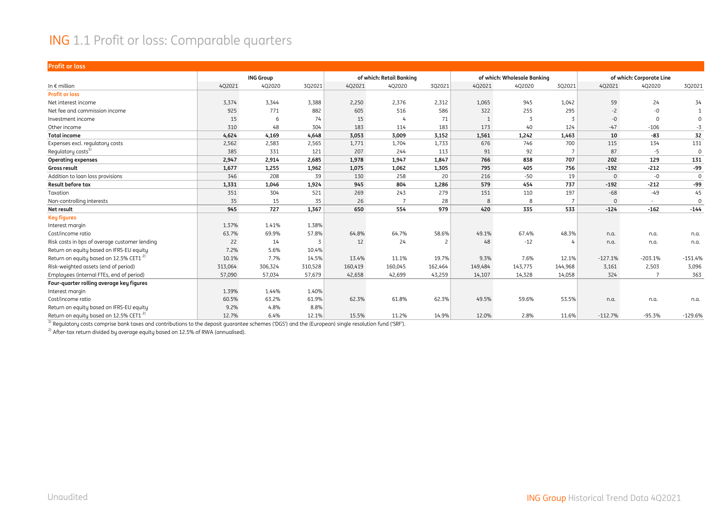#### ING 1.1 Profit or loss: Comparable quarters

| <b>Profit or loss</b>                              |         |                  |         |         |                          |                          |              |                             |         |                |                          |              |
|----------------------------------------------------|---------|------------------|---------|---------|--------------------------|--------------------------|--------------|-----------------------------|---------|----------------|--------------------------|--------------|
|                                                    |         | <b>ING Group</b> |         |         | of which: Retail Banking |                          |              | of which: Wholesale Banking |         |                | of which: Corporate Line |              |
| In $\epsilon$ million                              | 4Q2021  | 4Q2020           | 3Q2021  | 4Q2021  | 4Q2020                   | 3Q2021                   | 4Q2021       | 4Q2020                      | 3Q2021  | 4Q2021         | 402020                   | 3Q2021       |
| <b>Profit or loss</b>                              |         |                  |         |         |                          |                          |              |                             |         |                |                          |              |
| Net interest income                                | 3,374   | 3,344            | 3,388   | 2,250   | 2,376                    | 2,312                    | 1,065        | 945                         | 1,042   | 59             | 24                       | 34           |
| Net fee and commission income                      | 925     | 771              | 882     | 605     | 516                      | 586                      | 322          | 255                         | 295     | $-2$           | $-0$                     | $\mathbf{1}$ |
| Investment income                                  | 15      | 6                | 74      | 15      |                          | 71                       | $\mathbf{1}$ | 3                           |         | -0             | $\Omega$                 | $\Omega$     |
| Other income                                       | 310     | 48               | 304     | 183     | 114                      | 183                      | 173          | 40                          | 124     | $-47$          | $-106$                   | $-3$         |
| <b>Total income</b>                                | 4,624   | 4,169            | 4,648   | 3,053   | 3,009                    | 3,152                    | 1,561        | 1,242                       | 1,463   | 10             | -83                      | 32           |
| Expenses excl. regulatory costs                    | 2,562   | 2,583            | 2,565   | 1,771   | 1,704                    | 1,733                    | 676          | 746                         | 700     | 115            | 134                      | 131          |
| Regulatory costs <sup>1)</sup>                     | 385     | 331              | 121     | 207     | 244                      | 113                      | 91           | 92                          |         | 87             | $-5$                     | $\Omega$     |
| <b>Operating expenses</b>                          | 2,947   | 2,914            | 2,685   | 1,978   | 1,947                    | 1,847                    | 766          | 838                         | 707     | 202            | 129                      | 131          |
| <b>Gross result</b>                                | 1,677   | 1,255            | 1,962   | 1,075   | 1,062                    | 1,305                    | 795          | 405                         | 756     | $-192$         | $-212$                   | $-99$        |
| Addition to loan loss provisions                   | 346     | 208              | 39      | 130     | 258                      | 20                       | 216          | $-50$                       | 19      | $\overline{0}$ | $-0$                     | $\mathbf{0}$ |
| Result before tax                                  | 1,331   | 1,046            | 1,924   | 945     | 804                      | 1,286                    | 579          | 454                         | 737     | $-192$         | $-212$                   | -99          |
| Taxation                                           | 351     | 304              | 521     | 269     | 243                      | 279                      | 151          | 110                         | 197     | $-68$          | $-49$                    | 45           |
| Non-controlling interests                          | 35      | 15               | 35      | 26      | -7                       | 28                       | 8            | 8                           |         | $\Omega$       | $\sim$                   | $\Omega$     |
| Net result                                         | 945     | 727              | 1,367   | 650     | 554                      | 979                      | 420          | 335                         | 533     | $-124$         | $-162$                   | $-144$       |
| <b>Key figures</b>                                 |         |                  |         |         |                          |                          |              |                             |         |                |                          |              |
| Interest margin                                    | 1.37%   | 1.41%            | 1.38%   |         |                          |                          |              |                             |         |                |                          |              |
| Cost/income ratio                                  | 63.7%   | 69.9%            | 57.8%   | 64.8%   | 64.7%                    | 58.6%                    | 49.1%        | 67.4%                       | 48.3%   | n.a.           | n.a.                     | n.a.         |
| Risk costs in bps of average customer lending      | 22      | 14               | 3       | 12      | 24                       | $\overline{\phantom{0}}$ | 48           | $-12$                       |         | n.a.           | n.a.                     | n.a.         |
| Return on equity based on IFRS-EU equity           | 7.2%    | 5.6%             | 10.4%   |         |                          |                          |              |                             |         |                |                          |              |
| Return on equity based on 12.5% CET1 <sup>2)</sup> | 10.1%   | 7.7%             | 14.5%   | 13.4%   | 11.1%                    | 19.7%                    | 9.3%         | 7.6%                        | 12.1%   | $-127.1%$      | $-203.1%$                | $-151.4%$    |
| Risk-weighted assets (end of period)               | 313,064 | 306,324          | 310,528 | 160,419 | 160,045                  | 162,464                  | 149,484      | 143,775                     | 144,968 | 3,161          | 2,503                    | 3,096        |
| Employees (internal FTEs, end of period)           | 57,090  | 57,034           | 57,679  | 42,658  | 42,699                   | 43,259                   | 14,107       | 14,328                      | 14,058  | 324            | $\overline{7}$           | 363          |
| Four-quarter rolling average key figures           |         |                  |         |         |                          |                          |              |                             |         |                |                          |              |
| Interest margin                                    | 1.39%   | 1.44%            | 1.40%   |         |                          |                          |              |                             |         |                |                          |              |
| Cost/income ratio                                  | 60.5%   | 63.2%            | 61.9%   | 62.3%   | 61.8%                    | 62.3%                    | 49.5%        | 59.6%                       | 53.5%   | n.a.           | n.a.                     | n.a.         |
| Return on equity based on IFRS-EU equity           | 9.2%    | 4.8%             | 8.8%    |         |                          |                          |              |                             |         |                |                          |              |
| Return on equity based on 12.5% CET1 <sup>2)</sup> | 12.7%   | 6.4%             | 12.1%   | 15.5%   | 11.2%                    | 14.9%                    | 12.0%        | 2.8%                        | 11.6%   | $-112.7%$      | $-95.3%$                 | $-129.6%$    |

 $\frac{1}{1}$  Regulatory costs comprise bank taxes and contributions to the deposit guarantee schemes ('DGS') and the (European) single resolution fund ('SRF').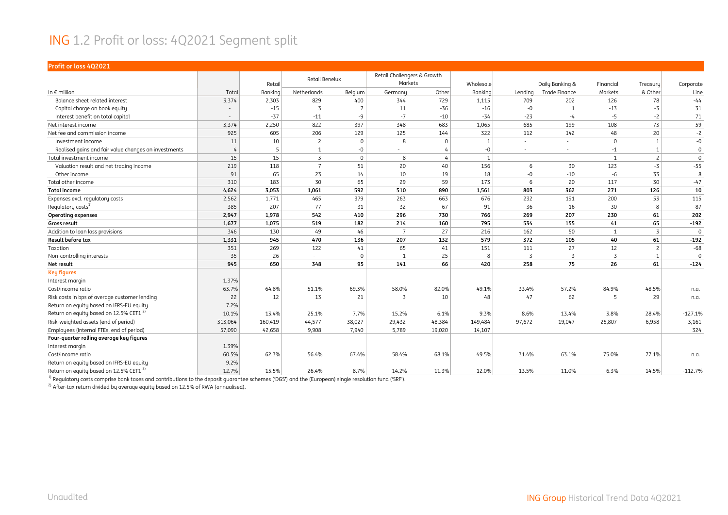#### ING 1.2 Profit or loss: 4Q2021 Segment split

| Profit or loss 4Q2021                                |                |         |                |          |                                        |                |                |         |                 |             |                |             |
|------------------------------------------------------|----------------|---------|----------------|----------|----------------------------------------|----------------|----------------|---------|-----------------|-------------|----------------|-------------|
|                                                      |                | Retail  | Retail Benelux |          | Retail Challengers & Growth<br>Markets |                | Wholesale      |         | Daily Banking & | Financial   | Treasuru       | Corporate   |
| In $\epsilon$ million                                | Total          | Banking | Netherlands    | Belgium  | Germany                                | Other          | Banking        | Lending | Trade Finance   | Markets     | & Other        | Line        |
| Balance sheet related interest                       | 3,374          | 2,303   | 829            | 400      | 344                                    | 729            | 1,115          | 709     | 202             | 126         | 78             | $-44$       |
| Capital charge on book equity                        |                | $-15$   | 3              |          | 11                                     | -36            | $-16$          | $-0$    |                 | $-13$       | $-3$           | 31          |
| Interest benefit on total capital                    |                | $-37$   | $-11$          | $-9$     | $-7$                                   | $-10$          | $-34$          | $-23$   | $-4$            | $-5$        | $-2$           | 71          |
| Net interest income                                  | 3,374          | 2,250   | 822            | 397      | 348                                    | 683            | 1,065          | 685     | 199             | 108         | 73             | 59          |
| Net fee and commission income                        | 925            | 605     | 206            | 129      | 125                                    | 144            | 322            | 112     | 142             | 48          | 20             | $-2$        |
| Investment income                                    | 11             | 10      | $\overline{c}$ | $\Omega$ | 8                                      | $\mathbf{0}$   | $\mathbf{1}$   |         | $\sim$          | $\mathbf 0$ | $\mathbf{1}$   | $-0$        |
| Realised gains and fair value changes on investments | $\overline{4}$ | 5       | $\mathbf{1}$   | -0       | $\sim$                                 |                | -0             | ٠       | $\sim$          | $-1$        | 1              | $\mathbf 0$ |
| Total investment income                              | 15             | 15      | $\overline{3}$ | $-0$     | 8                                      | $\overline{4}$ | $\overline{1}$ | $\sim$  | $\sim$          | $-1$        | $\overline{c}$ | $-0$        |
| Valuation result and net trading income              | 219            | 118     | $\overline{7}$ | 51       | 20                                     | 40             | 156            | 6       | 30              | 123         | $-3$           | $-55$       |
| Other income                                         | 91             | 65      | 23             | 14       | 10                                     | 19             | 18             | $-0$    | $-10$           | $-6$        | 33             | 8           |
| Total other income                                   | 310            | 183     | 30             | 65       | 29                                     | 59             | 173            | 6       | 20              | 117         | 30             | $-47$       |
| <b>Total income</b>                                  | 4,624          | 3,053   | 1,061          | 592      | 510                                    | 890            | 1,561          | 803     | 362             | 271         | 126            | 10          |
| Expenses excl. regulatory costs                      | 2,562          | 1,771   | 465            | 379      | 263                                    | 663            | 676            | 232     | 191             | 200         | 53             | 115         |
| Regulatory costs <sup>1)</sup>                       | 385            | 207     | 77             | 31       | 32                                     | 67             | 91             | 36      | 16              | 30          | 8              | 87          |
| <b>Operating expenses</b>                            | 2,947          | 1,978   | 542            | 410      | 296                                    | 730            | 766            | 269     | 207             | 230         | 61             | 202         |
| Gross result                                         | 1,677          | 1,075   | 519            | 182      | 214                                    | 160            | 795            | 534     | 155             | 41          | 65             | $-192$      |
| Addition to loan loss provisions                     | 346            | 130     | 49             | 46       | $\overline{7}$                         | 27             | 216            | 162     | 50              | 1           | $\overline{3}$ | $\Omega$    |
| <b>Result before tax</b>                             | 1,331          | 945     | 470            | 136      | 207                                    | 132            | 579            | 372     | 105             | 40          | 61             | $-192$      |
| Taxation                                             | 351            | 269     | 122            | 41       | 65                                     | 41             | 151            | 111     | 27              | 12          | $\overline{c}$ | $-68$       |
| Non-controlling interests                            | 35             | 26      | $\sim$         | $\Omega$ | $\mathbf{1}$                           | 25             | 8              | 3       | -3              | 3           | $-1$           | $\mathbf 0$ |
| Net result                                           | 945            | 650     | 348            | 95       | 141                                    | 66             | 420            | 258     | 75              | 26          | 61             | $-124$      |
| <b>Key figures</b>                                   |                |         |                |          |                                        |                |                |         |                 |             |                |             |
| Interest margin                                      | 1.37%          |         |                |          |                                        |                |                |         |                 |             |                |             |
| Cost/income ratio                                    | 63.7%          | 64.8%   | 51.1%          | 69.3%    | 58.0%                                  | 82.0%          | 49.1%          | 33.4%   | 57.2%           | 84.9%       | 48.5%          | n.a.        |
| Risk costs in bps of average customer lending        | 22             | 12      | 13             | 21       | 3                                      | 10             | 48             | 47      | 62              | 5           | 29             | n.a.        |
| Return on equity based on IFRS-EU equity             | 7.2%           |         |                |          |                                        |                |                |         |                 |             |                |             |
| Return on equity based on 12.5% CET1 <sup>2)</sup>   | 10.1%          | 13.4%   | 25.1%          | 7.7%     | 15.2%                                  | 6.1%           | 9.3%           | 8.6%    | 13.4%           | 3.8%        | 28.4%          | $-127.1%$   |
| Risk-weighted assets (end of period)                 | 313,064        | 160,419 | 44,577         | 38,027   | 29,432                                 | 48,384         | 149,484        | 97,672  | 19,047          | 25,807      | 6,958          | 3,161       |
| Employees (internal FTEs, end of period)             | 57,090         | 42,658  | 9,908          | 7,940    | 5,789                                  | 19,020         | 14,107         |         |                 |             |                | 324         |
| Four-quarter rolling average key figures             |                |         |                |          |                                        |                |                |         |                 |             |                |             |
| Interest margin                                      | 1.39%          |         |                |          |                                        |                |                |         |                 |             |                |             |
| Cost/income ratio                                    | 60.5%          | 62.3%   | 56.4%          | 67.4%    | 58.4%                                  | 68.1%          | 49.5%          | 31.4%   | 63.1%           | 75.0%       | 77.1%          | n.a.        |
| Return on equity based on IFRS-EU equity             | 9.2%           |         |                |          |                                        |                |                |         |                 |             |                |             |
| Return on equity based on 12.5% CET1 <sup>2)</sup>   | 12.7%          | 15.5%   | 26.4%          | 8.7%     | 14.2%                                  | 11.3%          | 12.0%          | 13.5%   | 11.0%           | 6.3%        | 14.5%          | $-112.7%$   |

 $^{\rm 1)}$  Regulatory costs comprise bank taxes and contributions to the deposit guarantee schemes ('DGS') and the (European) single resolution fund ('SRF').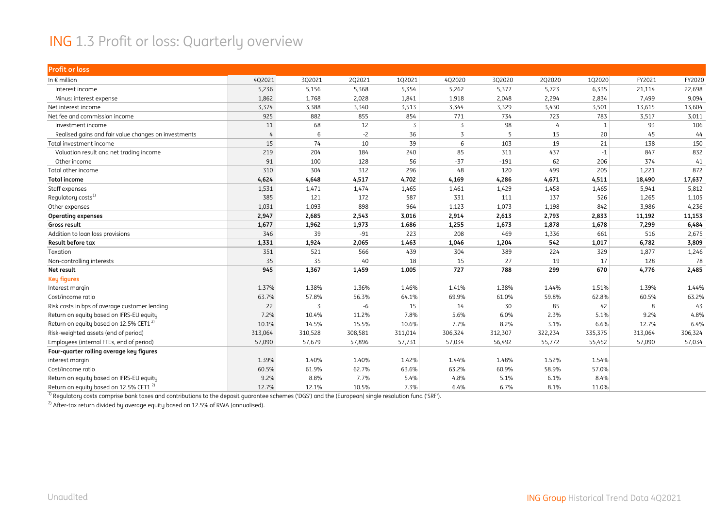#### ING 1.3 Profit or loss: Quarterly overview

| <b>Profit or loss</b>                                |         |         |         |         |         |         |         |         |         |         |
|------------------------------------------------------|---------|---------|---------|---------|---------|---------|---------|---------|---------|---------|
| In $\epsilon$ million                                | 4Q2021  | 3Q2021  | 2Q2021  | 102021  | 4Q2020  | 3Q2020  | 2Q2020  | 1Q2020  | FY2021  | FY2020  |
| Interest income                                      | 5,236   | 5,156   | 5,368   | 5,354   | 5,262   | 5,377   | 5,723   | 6,335   | 21,114  | 22,698  |
| Minus: interest expense                              | 1,862   | 1,768   | 2,028   | 1,841   | 1,918   | 2,048   | 2,294   | 2,834   | 7,499   | 9,094   |
| Net interest income                                  | 3,374   | 3,388   | 3,340   | 3,513   | 3,344   | 3,329   | 3,430   | 3,501   | 13,615  | 13,604  |
| Net fee and commission income                        | 925     | 882     | 855     | 854     | 771     | 734     | 723     | 783     | 3,517   | 3,011   |
| Investment income                                    | 11      | 68      | 12      | 3       | 3       | 98      | 4       | 1       | 93      | 106     |
| Realised gains and fair value changes on investments | 4       | 6       | $-2$    | 36      | 3       | 5       | 15      | 20      | 45      | 44      |
| Total investment income                              | 15      | 74      | 10      | 39      | 6       | 103     | 19      | 21      | 138     | 150     |
| Valuation result and net trading income              | 219     | 204     | 184     | 240     | 85      | 311     | 437     | $-1$    | 847     | 832     |
| Other income                                         | 91      | 100     | 128     | 56      | $-37$   | $-191$  | 62      | 206     | 374     | 41      |
| Total other income                                   | 310     | 304     | 312     | 296     | 48      | 120     | 499     | 205     | 1,221   | 872     |
| <b>Total income</b>                                  | 4,624   | 4,648   | 4,517   | 4,702   | 4,169   | 4,286   | 4,671   | 4,511   | 18,490  | 17,637  |
| Staff expenses                                       | 1,531   | 1,471   | 1,474   | 1,465   | 1,461   | 1,429   | 1,458   | 1,465   | 5,941   | 5,812   |
| Regulatory costs <sup>1)</sup>                       | 385     | 121     | 172     | 587     | 331     | 111     | 137     | 526     | 1,265   | 1,105   |
| Other expenses                                       | 1,031   | 1,093   | 898     | 964     | 1,123   | 1,073   | 1,198   | 842     | 3,986   | 4,236   |
| <b>Operating expenses</b>                            | 2,947   | 2,685   | 2,543   | 3,016   | 2,914   | 2,613   | 2,793   | 2,833   | 11,192  | 11,153  |
| Gross result                                         | 1,677   | 1,962   | 1,973   | 1,686   | 1,255   | 1,673   | 1,878   | 1,678   | 7,299   | 6,484   |
| Addition to loan loss provisions                     | 346     | 39      | $-91$   | 223     | 208     | 469     | 1,336   | 661     | 516     | 2,675   |
| Result before tax                                    | 1,331   | 1,924   | 2,065   | 1,463   | 1,046   | 1,204   | 542     | 1,017   | 6,782   | 3,809   |
| Taxation                                             | 351     | 521     | 566     | 439     | 304     | 389     | 224     | 329     | 1,877   | 1,246   |
| Non-controlling interests                            | 35      | 35      | 40      | 18      | 15      | 27      | 19      | 17      | 128     | 78      |
| Net result                                           | 945     | 1,367   | 1,459   | 1,005   | 727     | 788     | 299     | 670     | 4,776   | 2,485   |
| <b>Key figures</b>                                   |         |         |         |         |         |         |         |         |         |         |
| Interest margin                                      | 1.37%   | 1.38%   | 1.36%   | 1.46%   | 1.41%   | 1.38%   | 1.44%   | 1.51%   | 1.39%   | 1.44%   |
| Cost/income ratio                                    | 63.7%   | 57.8%   | 56.3%   | 64.1%   | 69.9%   | 61.0%   | 59.8%   | 62.8%   | 60.5%   | 63.2%   |
| Risk costs in bps of average customer lending        | 22      | 3       | $-6$    | 15      | 14      | 30      | 85      | 42      | 8       | 43      |
| Return on equity based on IFRS-EU equity             | 7.2%    | 10.4%   | 11.2%   | 7.8%    | 5.6%    | 6.0%    | 2.3%    | 5.1%    | 9.2%    | 4.8%    |
| Return on equity based on 12.5% CET1 <sup>2)</sup>   | 10.1%   | 14.5%   | 15.5%   | 10.6%   | 7.7%    | 8.2%    | 3.1%    | 6.6%    | 12.7%   | 6.4%    |
| Risk-weighted assets (end of period)                 | 313,064 | 310,528 | 308,581 | 311,014 | 306,324 | 312,307 | 322,234 | 335,375 | 313,064 | 306,324 |
| Employees (internal FTEs, end of period)             | 57,090  | 57,679  | 57,896  | 57,731  | 57,034  | 56,492  | 55,772  | 55,452  | 57,090  | 57,034  |
| Four-quarter rolling average key figures             |         |         |         |         |         |         |         |         |         |         |
| interest margin                                      | 1.39%   | 1.40%   | 1.40%   | 1.42%   | 1.44%   | 1.48%   | 1.52%   | 1.54%   |         |         |
| Cost/income ratio                                    | 60.5%   | 61.9%   | 62.7%   | 63.6%   | 63.2%   | 60.9%   | 58.9%   | 57.0%   |         |         |
| Return on equity based on IFRS-EU equity             | 9.2%    | 8.8%    | 7.7%    | 5.4%    | 4.8%    | 5.1%    | 6.1%    | 8.4%    |         |         |
| Return on equity based on 12.5% CET1 <sup>2)</sup>   | 12.7%   | 12.1%   | 10.5%   | 7.3%    | 6.4%    | 6.7%    | 8.1%    | 11.0%   |         |         |

<sup>1)</sup> Regulatory costs comprise bank taxes and contributions to the deposit guarantee schemes ('DGS') and the (European) single resolution fund ('SRF').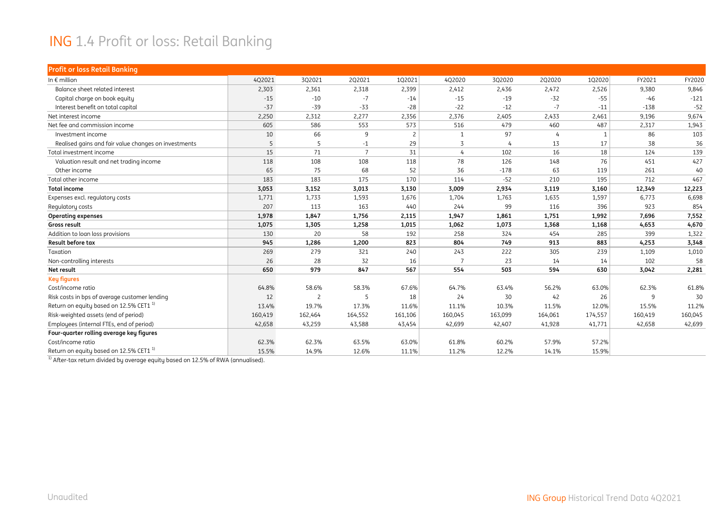#### ING 1.4 Profit or loss: Retail Banking

| <b>Profit or loss Retail Banking</b>                 |         |                |                |                |                |                |         |         |         |         |
|------------------------------------------------------|---------|----------------|----------------|----------------|----------------|----------------|---------|---------|---------|---------|
| In $\epsilon$ million                                | 4Q2021  | 3Q2021         | 2Q2021         | 102021         | 4Q2020         | 3Q2020         | 2Q2020  | 102020  | FY2021  | FY2020  |
| Balance sheet related interest                       | 2,303   | 2,361          | 2,318          | 2,399          | 2,412          | 2,436          | 2,472   | 2,526   | 9,380   | 9,846   |
| Capital charge on book equity                        | $-15$   | $-10$          | $-7$           | $-14$          | $-15$          | $-19$          | $-32$   | $-55$   | $-46$   | $-121$  |
| Interest benefit on total capital                    | $-37$   | $-39$          | $-33$          | $-28$          | $-22$          | $-12$          | $-7$    | $-11$   | $-138$  | $-52$   |
| Net interest income                                  | 2,250   | 2,312          | 2,277          | 2,356          | 2,376          | 2,405          | 2,433   | 2,461   | 9,196   | 9,674   |
| Net fee and commission income                        | 605     | 586            | 553            | 573            | 516            | 479            | 460     | 487     | 2,317   | 1,943   |
| Investment income                                    | 10      | 66             | 9              | $\overline{2}$ | -1             | 97             | 4       | -1      | 86      | 103     |
| Realised gains and fair value changes on investments | 5       | 5              | $-1$           | 29             | 3              | $\overline{4}$ | 13      | 17      | 38      | 36      |
| Total investment income                              | 15      | 71             | $\overline{7}$ | 31             | 4              | 102            | 16      | 18      | 124     | 139     |
| Valuation result and net trading income              | 118     | 108            | 108            | 118            | 78             | 126            | 148     | 76      | 451     | 427     |
| Other income                                         | 65      | 75             | 68             | 52             | 36             | $-178$         | 63      | 119     | 261     | 40      |
| Total other income                                   | 183     | 183            | 175            | 170            | 114            | $-52$          | 210     | 195     | 712     | 467     |
| <b>Total income</b>                                  | 3,053   | 3,152          | 3,013          | 3,130          | 3,009          | 2,934          | 3,119   | 3,160   | 12,349  | 12,223  |
| Expenses excl. regulatory costs                      | 1,771   | 1,733          | 1,593          | 1,676          | 1,704          | 1,763          | 1,635   | 1,597   | 6,773   | 6,698   |
| Regulatory costs                                     | 207     | 113            | 163            | 440            | 244            | 99             | 116     | 396     | 923     | 854     |
| <b>Operating expenses</b>                            | 1,978   | 1,847          | 1,756          | 2,115          | 1,947          | 1,861          | 1,751   | 1,992   | 7,696   | 7,552   |
| Gross result                                         | 1,075   | 1,305          | 1,258          | 1,015          | 1,062          | 1,073          | 1,368   | 1,168   | 4,653   | 4,670   |
| Addition to loan loss provisions                     | 130     | 20             | 58             | 192            | 258            | 324            | 454     | 285     | 399     | 1,322   |
| <b>Result before tax</b>                             | 945     | 1,286          | 1,200          | 823            | 804            | 749            | 913     | 883     | 4,253   | 3,348   |
| Taxation                                             | 269     | 279            | 321            | 240            | 243            | 222            | 305     | 239     | 1,109   | 1,010   |
| Non-controlling interests                            | 26      | 28             | 32             | 16             | $\overline{7}$ | 23             | 14      | 14      | 102     | 58      |
| Net result                                           | 650     | 979            | 847            | 567            | 554            | 503            | 594     | 630     | 3,042   | 2,281   |
| <b>Key figures</b>                                   |         |                |                |                |                |                |         |         |         |         |
| Cost/income ratio                                    | 64.8%   | 58.6%          | 58.3%          | 67.6%          | 64.7%          | 63.4%          | 56.2%   | 63.0%   | 62.3%   | 61.8%   |
| Risk costs in bps of average customer lending        | 12      | $\overline{c}$ | 5              | 18             | 24             | 30             | 42      | 26      | 9       | 30      |
| Return on equity based on 12.5% CET1 <sup>1)</sup>   | 13.4%   | 19.7%          | 17.3%          | 11.6%          | 11.1%          | 10.3%          | 11.5%   | 12.0%   | 15.5%   | 11.2%   |
| Risk-weighted assets (end of period)                 | 160,419 | 162,464        | 164,552        | 161,106        | 160,045        | 163,099        | 164,061 | 174,557 | 160,419 | 160,045 |
| Employees (internal FTEs, end of period)             | 42,658  | 43,259         | 43,588         | 43,454         | 42,699         | 42.407         | 41,928  | 41,771  | 42,658  | 42,699  |
| Four-quarter rolling average key figures             |         |                |                |                |                |                |         |         |         |         |
| Cost/income ratio                                    | 62.3%   | 62.3%          | 63.5%          | 63.0%          | 61.8%          | 60.2%          | 57.9%   | 57.2%   |         |         |
| Return on equity based on 12.5% CET1 <sup>1)</sup>   | 15.5%   | 14.9%          | 12.6%          | 11.1%          | 11.2%          | 12.2%          | 14.1%   | 15.9%   |         |         |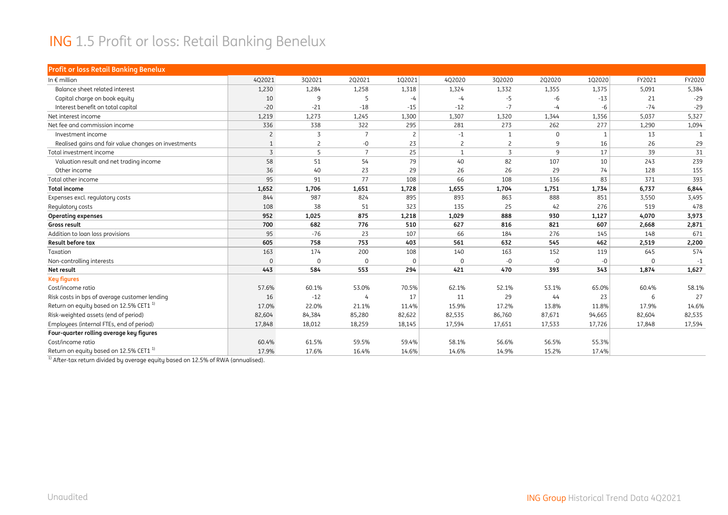#### ING 1.5 Profit or loss: Retail Banking Benelux

| <b>Profit or loss Retail Banking Benelux</b>         |                |                |                 |                |                |                |          |              |          |        |
|------------------------------------------------------|----------------|----------------|-----------------|----------------|----------------|----------------|----------|--------------|----------|--------|
| In $\epsilon$ million                                | 4Q2021         | 3Q2021         | 2Q2021          | 102021         | 4Q2020         | 3Q2020         | 2Q2020   | 1Q2020       | FY2021   | FY2020 |
| Balance sheet related interest                       | 1,230          | 1,284          | 1,258           | 1,318          | 1,324          | 1,332          | 1,355    | 1,375        | 5,091    | 5,384  |
| Capital charge on book equity                        | 10             | 9              | 5               | $-4$           | $-4$           | $-5$           | -6       | $-13$        | 21       | $-29$  |
| Interest benefit on total capital                    | $-20$          | $-21$          | $-18$           | $-15$          | $-12$          | $-7$           | -4       | -6           | $-74$    | $-29$  |
| Net interest income                                  | 1,219          | 1,273          | 1,245           | 1,300          | 1,307          | 1,320          | 1,344    | 1,356        | 5,037    | 5,327  |
| Net fee and commission income                        | 336            | 338            | 322             | 295            | 281            | 273            | 262      | 277          | 1,290    | 1,094  |
| Investment income                                    | $\overline{c}$ | 3              | $\overline{7}$  | $\overline{c}$ | $-1$           | $\mathbf{1}$   | $\Omega$ | $\mathbf{1}$ | 13       |        |
| Realised gains and fair value changes on investments | $\mathbf{1}$   | $\overline{c}$ | $-0$            | 23             | $\overline{c}$ | $\overline{c}$ | 9        | 16           | 26       | 29     |
| Total investment income                              | 3              | 5              | $7\overline{ }$ | 25             | $\mathbf{1}$   | $\overline{3}$ | 9        | 17           | 39       | 31     |
| Valuation result and net trading income              | 58             | 51             | 54              | 79             | 40             | 82             | 107      | 10           | 243      | 239    |
| Other income                                         | 36             | 40             | 23              | 29             | 26             | 26             | 29       | 74           | 128      | 155    |
| Total other income                                   | 95             | 91             | 77              | 108            | 66             | 108            | 136      | 83           | 371      | 393    |
| <b>Total income</b>                                  | 1,652          | 1,706          | 1,651           | 1,728          | 1,655          | 1,704          | 1,751    | 1,734        | 6,737    | 6,844  |
| Expenses excl. regulatory costs                      | 844            | 987            | 824             | 895            | 893            | 863            | 888      | 851          | 3,550    | 3,495  |
| Regulatory costs                                     | 108            | 38             | 51              | 323            | 135            | 25             | 42       | 276          | 519      | 478    |
| <b>Operating expenses</b>                            | 952            | 1,025          | 875             | 1,218          | 1,029          | 888            | 930      | 1,127        | 4,070    | 3,973  |
| Gross result                                         | 700            | 682            | 776             | 510            | 627            | 816            | 821      | 607          | 2,668    | 2,871  |
| Addition to loan loss provisions                     | 95             | $-76$          | 23              | 107            | 66             | 184            | 276      | 145          | 148      | 671    |
| Result before tax                                    | 605            | 758            | 753             | 403            | 561            | 632            | 545      | 462          | 2,519    | 2,200  |
| Taxation                                             | 163            | 174            | 200             | 108            | 140            | 163            | 152      | 119          | 645      | 574    |
| Non-controlling interests                            | $\Omega$       | 0              | $\Omega$        | $\Omega$       | 0              | $-0$           | $-0$     | -0           | $\Omega$ | $-1$   |
| Net result                                           | 443            | 584            | 553             | 294            | 421            | 470            | 393      | 343          | 1,874    | 1,627  |
| <b>Key figures</b>                                   |                |                |                 |                |                |                |          |              |          |        |
| Cost/income ratio                                    | 57.6%          | 60.1%          | 53.0%           | 70.5%          | 62.1%          | 52.1%          | 53.1%    | 65.0%        | 60.4%    | 58.1%  |
| Risk costs in bps of average customer lending        | 16             | $-12$          | 4               | 17             | 11             | 29             | 44       | 23           | 6        | 27     |
| Return on equity based on 12.5% CET1 <sup>1)</sup>   | 17.0%          | 22.0%          | 21.1%           | 11.4%          | 15.9%          | 17.2%          | 13.8%    | 11.8%        | 17.9%    | 14.6%  |
| Risk-weighted assets (end of period)                 | 82,604         | 84,384         | 85,280          | 82,622         | 82,535         | 86,760         | 87,671   | 94,665       | 82,604   | 82,535 |
| Employees (internal FTEs, end of period)             | 17,848         | 18,012         | 18,259          | 18,145         | 17,594         | 17,651         | 17,533   | 17,726       | 17,848   | 17,594 |
| Four-quarter rolling average key figures             |                |                |                 |                |                |                |          |              |          |        |
| Cost/income ratio                                    | 60.4%          | 61.5%          | 59.5%           | 59.4%          | 58.1%          | 56.6%          | 56.5%    | 55.3%        |          |        |
| Return on equity based on 12.5% CET1 <sup>1)</sup>   | 17.9%          | 17.6%          | 16.4%           | 14.6%          | 14.6%          | 14.9%          | 15.2%    | 17.4%        |          |        |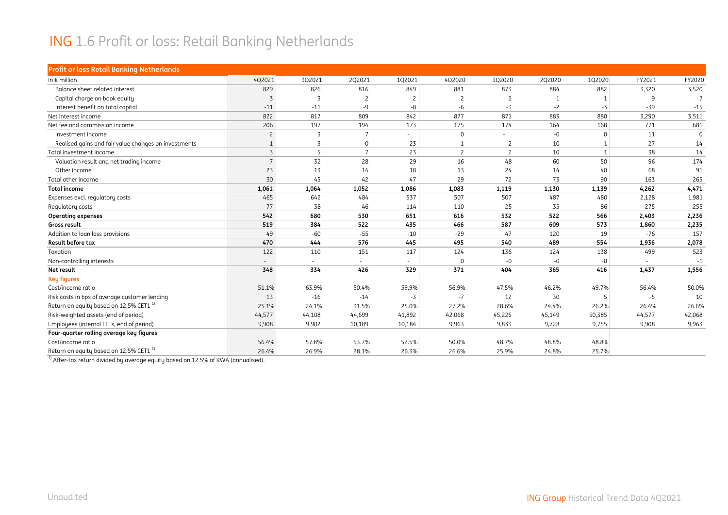#### ING 1.6 Profit or loss: Retail Banking Netherlands

| <b>Profit or loss Retail Banking Netherlands</b>     |                |        |                 |                |                |                |        |              |        |          |
|------------------------------------------------------|----------------|--------|-----------------|----------------|----------------|----------------|--------|--------------|--------|----------|
| In $\epsilon$ million                                | 4Q2021         | 3Q2021 | 2Q2021          | 102021         | 4Q2020         | 3Q2020         | 2Q2020 | 1Q2020       | FY2021 | FY2020   |
| Balance sheet related interest                       | 829            | 826    | 816             | 849            | 881            | 873            | 884    | 882          | 3,320  | 3,520    |
| Capital charge on book equity                        | 3              | 3      | $\overline{c}$  |                | $\overline{c}$ | $\overline{c}$ |        |              | 9      |          |
| Interest benefit on total capital                    | $-11$          | $-11$  | $-9$            | -8             | -6             | $-3$           | $-2$   | $-3$         | $-39$  | $-15$    |
| Net interest income                                  | 822            | 817    | 809             | 842            | 877            | 871            | 883    | 880          | 3,290  | 3,511    |
| Net fee and commission income                        | 206            | 197    | 194             | 173            | 175            | 174            | 164    | 168          | 771    | 681      |
| Investment income                                    | $\overline{c}$ | 3      | $\overline{7}$  | $\overline{a}$ | $\mathbf 0$    | $\sim$         | $-0$   | 0            | 11     | $\Omega$ |
| Realised gains and fair value changes on investments |                | 3      | $-0$            | 23             | $\mathbf{1}$   | $\overline{2}$ | 10     | 1            | 27     | 14       |
| Total investment income                              | 3              | 5      | $7\overline{ }$ | 23             | $\overline{2}$ | $\overline{2}$ | 10     | $\mathbf{1}$ | 38     | 14       |
| Valuation result and net trading income              | $\overline{7}$ | 32     | 28              | 29             | 16             | 48             | 60     | 50           | 96     | 174      |
| Other income                                         | 23             | 13     | 14              | 18             | 13             | 24             | 14     | 40           | 68     | 91       |
| Total other income                                   | 30             | 45     | 42              | 47             | 29             | 72             | 73     | 90           | 163    | 265      |
| <b>Total income</b>                                  | 1,061          | 1,064  | 1,052           | 1,086          | 1,083          | 1,119          | 1,130  | 1,139        | 4,262  | 4,471    |
| Expenses excl. regulatory costs                      | 465            | 642    | 484             | 537            | 507            | 507            | 487    | 480          | 2,128  | 1,981    |
| Regulatory costs                                     | 77             | 38     | 46              | 114            | 110            | 25             | 35     | 86           | 275    | 255      |
| <b>Operating expenses</b>                            | 542            | 680    | 530             | 651            | 616            | 532            | 522    | 566          | 2,403  | 2,236    |
| Gross result                                         | 519            | 384    | 522             | 435            | 466            | 587            | 609    | 573          | 1,860  | 2,235    |
| Addition to loan loss provisions                     | 49             | $-60$  | $-55$           | $-10$          | $-29$          | 47             | 120    | 19           | $-76$  | 157      |
| Result before tax                                    | 470            | 444    | 576             | 445            | 495            | 540            | 489    | 554          | 1,936  | 2,078    |
| Taxation                                             | 122            | 110    | 151             | 117            | 124            | 136            | 124    | 138          | 499    | 523      |
| Non-controlling interests                            | $\sim$         | $\sim$ | $\sim$          | $\sim$         | $\mathbf 0$    | $-0$           | $-0$   | $-0$         |        | $-1$     |
| Net result                                           | 348            | 334    | 426             | 329            | 371            | 404            | 365    | 416          | 1.437  | 1,556    |
| <b>Key figures</b>                                   |                |        |                 |                |                |                |        |              |        |          |
| Cost/income ratio                                    | 51.1%          | 63.9%  | 50.4%           | 59.9%          | 56.9%          | 47.5%          | 46.2%  | 49.7%        | 56.4%  | 50.0%    |
| Risk costs in bps of average customer lending        | 13             | $-16$  | $-14$           | $-3$           | $-7$           | 12             | 30     | 5            | $-5$   | 10       |
| Return on equity based on 12.5% CET1 <sup>1)</sup>   | 25.1%          | 24.1%  | 31.5%           | 25.0%          | 27.2%          | 28.6%          | 24.4%  | 26.2%        | 26.4%  | 26.6%    |
| Risk-weighted assets (end of period)                 | 44,577         | 44,108 | 44,699          | 41,892         | 42,068         | 45,225         | 45,149 | 50,385       | 44,577 | 42,068   |
| Employees (internal FTEs, end of period)             | 9,908          | 9,902  | 10,189          | 10,184         | 9,963          | 9,833          | 9,728  | 9,755        | 9,908  | 9,963    |
| Four-quarter rolling average key figures             |                |        |                 |                |                |                |        |              |        |          |
| Cost/income ratio                                    | 56.4%          | 57.8%  | 53.7%           | 52.5%          | 50.0%          | 48.7%          | 48.8%  | 48.8%        |        |          |
| Return on equity based on 12.5% CET1 <sup>1)</sup>   | 26.4%          | 26.9%  | 28.1%           | 26.3%          | 26.6%          | 25.9%          | 24.8%  | 25.7%        |        |          |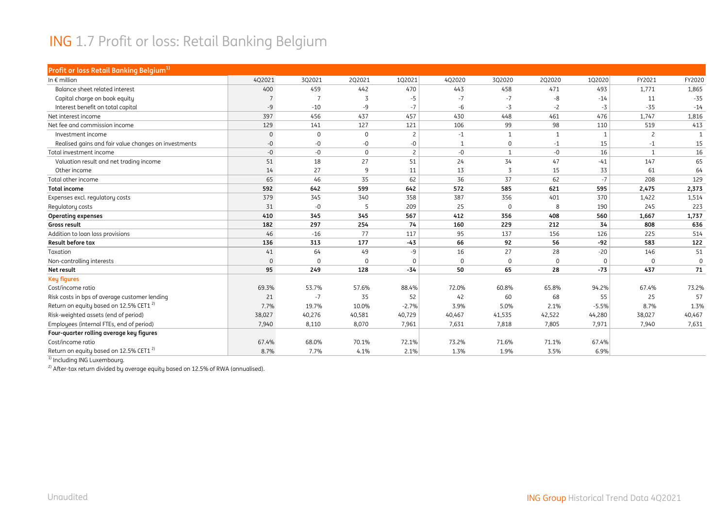#### ING 1.7 Profit or loss: Retail Banking Belgium

| Profit or loss Retail Banking Belgium <sup>1)</sup>  |              |              |             |                |              |              |              |          |                |              |
|------------------------------------------------------|--------------|--------------|-------------|----------------|--------------|--------------|--------------|----------|----------------|--------------|
| In $\epsilon$ million                                | 4Q2021       | 3Q2021       | 2Q2021      | 102021         | 4Q2020       | 3Q2020       | 2Q2020       | 1Q2020   | FY2021         | FY2020       |
| Balance sheet related interest                       | 400          | 459          | 442         | 470            | 443          | 458          | 471          | 493      | 1,771          | 1,865        |
| Capital charge on book equity                        |              |              |             | $-5$           | $-7$         | $-7$         | -8           | $-14$    | 11             | $-35$        |
| Interest benefit on total capital                    | $-9$         | $-10$        | -9          | $-7$           | -6           | $-3$         | $-2$         | $-3$     | $-35$          | $-14$        |
| Net interest income                                  | 397          | 456          | 437         | 457            | 430          | 448          | 461          | 476      | 1,747          | 1,816        |
| Net fee and commission income                        | 129          | 141          | 127         | 121            | 106          | 99           | 98           | 110      | 519            | 413          |
| Investment income                                    | $\mathbf 0$  | $\mathbf{0}$ | $\mathbf 0$ | $\overline{c}$ | $-1$         | $\mathbf{1}$ | $\mathbf{1}$ | 1        | $\overline{c}$ | $\mathbf{1}$ |
| Realised gains and fair value changes on investments | $-0$         | -0           | $-0$        | $-0$           | $\mathbf{1}$ | $\mathbf 0$  | $-1$         | 15       | $-1$           | 15           |
| Total investment income                              | $-0$         | $-0$         | $\mathbf 0$ | $\overline{c}$ | -0           | $\mathbf{1}$ | $-0$         | 16       | 1              | 16           |
| Valuation result and net trading income              | 51           | 18           | 27          | 51             | 24           | 34           | 47           | $-41$    | 147            | 65           |
| Other income                                         | 14           | 27           | 9           | 11             | 13           | 3            | 15           | 33       | 61             | 64           |
| Total other income                                   | 65           | 46           | 35          | 62             | 36           | 37           | 62           | $-7$     | 208            | 129          |
| <b>Total income</b>                                  | 592          | 642          | 599         | 642            | 572          | 585          | 621          | 595      | 2,475          | 2,373        |
| Expenses excl. regulatory costs                      | 379          | 345          | 340         | 358            | 387          | 356          | 401          | 370      | 1,422          | 1,514        |
| Regulatory costs                                     | 31           | $-0$         | -5          | 209            | 25           | $\Omega$     | 8            | 190      | 245            | 223          |
| <b>Operating expenses</b>                            | 410          | 345          | 345         | 567            | 412          | 356          | 408          | 560      | 1,667          | 1,737        |
| Gross result                                         | 182          | 297          | 254         | 74             | 160          | 229          | 212          | 34       | 808            | 636          |
| Addition to loan loss provisions                     | 46           | $-16$        | 77          | 117            | 95           | 137          | 156          | 126      | 225            | 514          |
| Result before tax                                    | 136          | 313          | 177         | $-43$          | 66           | 92           | 56           | $-92$    | 583            | 122          |
| Taxation                                             | 41           | 64           | 49          | $-9$           | 16           | 27           | 28           | $-20$    | 146            | 51           |
| Non-controlling interests                            | $\mathbf{0}$ | $\Omega$     | $\Omega$    | $\Omega$       | $\mathbf{0}$ | $\mathbf 0$  | $\Omega$     | $\Omega$ | $\Omega$       | $\mathbf 0$  |
| Net result                                           | 95           | 249          | 128         | $-34$          | 50           | 65           | 28           | $-73$    | 437            | 71           |
| <b>Key figures</b>                                   |              |              |             |                |              |              |              |          |                |              |
| Cost/income ratio                                    | 69.3%        | 53.7%        | 57.6%       | 88.4%          | 72.0%        | 60.8%        | 65.8%        | 94.2%    | 67.4%          | 73.2%        |
| Risk costs in bps of average customer lending        | 21           | $-7$         | 35          | 52             | 42           | 60           | 68           | 55       | 25             | 57           |
| Return on equity based on 12.5% CET1 <sup>2)</sup>   | 7.7%         | 19.7%        | 10.0%       | $-2.7%$        | 3.9%         | 5.0%         | 2.1%         | $-5.5%$  | 8.7%           | 1.3%         |
| Risk-weighted assets (end of period)                 | 38,027       | 40,276       | 40,581      | 40,729         | 40,467       | 41,535       | 42,522       | 44,280   | 38,027         | 40,467       |
| Employees (internal FTEs, end of period)             | 7,940        | 8,110        | 8,070       | 7,961          | 7,631        | 7,818        | 7,805        | 7,971    | 7,940          | 7,631        |
| Four-quarter rolling average key figures             |              |              |             |                |              |              |              |          |                |              |
| Cost/income ratio                                    | 67.4%        | 68.0%        | 70.1%       | 72.1%          | 73.2%        | 71.6%        | 71.1%        | 67.4%    |                |              |
| Return on equity based on 12.5% CET1 <sup>2)</sup>   | 8.7%         | 7.7%         | 4.1%        | 2.1%           | 1.3%         | 1.9%         | 3.5%         | 6.9%     |                |              |

<sup>1)</sup> Including ING Luxembourg.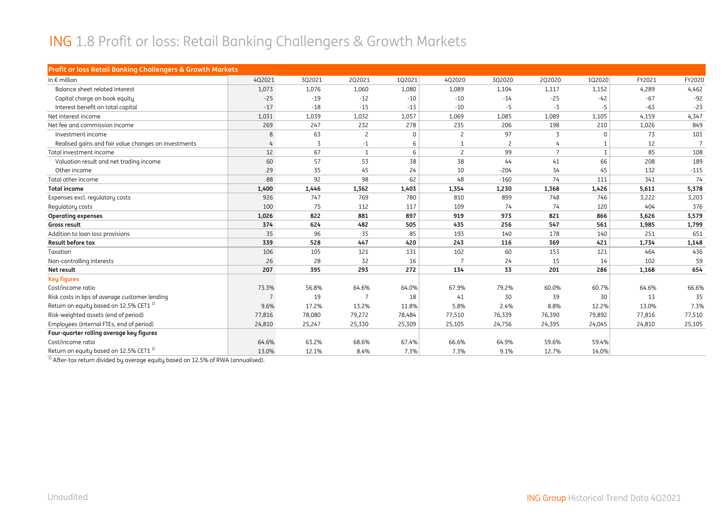#### ING 1.8 Profit or loss: Retail Banking Challengers & Growth Markets

| Profit or loss Retail Banking Challengers & Growth Markets |        |        |                |          |                |                |                |              |        |                |
|------------------------------------------------------------|--------|--------|----------------|----------|----------------|----------------|----------------|--------------|--------|----------------|
| In $\epsilon$ million                                      | 4Q2021 | 3Q2021 | 2Q2021         | 102021   | 4Q2020         | 3Q2020         | 2Q2020         | 102020       | FY2021 | FY2020         |
| Balance sheet related interest                             | 1,073  | 1,076  | 1,060          | 1,080    | 1,089          | 1,104          | 1,117          | 1,152        | 4,289  | 4,462          |
| Capital charge on book equity                              | $-25$  | $-19$  | $-12$          | $-10$    | $-10$          | $-14$          | $-25$          | $-42$        | $-67$  | $-92$          |
| Interest benefit on total capital                          | $-17$  | $-18$  | $-15$          | $-13$    | $-10$          | $-5$           | $-3$           | $-5$         | $-63$  | $-23$          |
| Net interest income                                        | 1,031  | 1,039  | 1,032          | 1,057    | 1,069          | 1,085          | 1,089          | 1,105        | 4,159  | 4,347          |
| Net fee and commission income                              | 269    | 247    | 232            | 278      | 235            | 206            | 198            | 210          | 1,026  | 849            |
| Investment income                                          | 8      | 63     | $\overline{c}$ | $\Omega$ | 2              | 97             | 3              | $\Omega$     | 73     | 101            |
| Realised gains and fair value changes on investments       |        | 3      | $-1$           | 6        |                | $\overline{c}$ | 4              |              | 12     | $\overline{7}$ |
| Total investment income                                    | 12     | 67     | 1              | 6        | $\overline{c}$ | 99             | $\overline{7}$ | $\mathbf{1}$ | 85     | 108            |
| Valuation result and net trading income                    | 60     | 57     | 53             | 38       | 38             | 44             | 41             | 66           | 208    | 189            |
| Other income                                               | 29     | 35     | 45             | 24       | 10             | $-204$         | 34             | 45           | 132    | $-115$         |
| Total other income                                         | 88     | 92     | 98             | 62       | 48             | $-160$         | 74             | 111          | 341    | 74             |
| <b>Total income</b>                                        | 1,400  | 1,446  | 1,362          | 1,403    | 1,354          | 1,230          | 1,368          | 1,426        | 5,611  | 5,378          |
| Expenses excl. regulatory costs                            | 926    | 747    | 769            | 780      | 810            | 899            | 748            | 746          | 3,222  | 3,203          |
| Regulatory costs                                           | 100    | 75     | 112            | 117      | 109            | 74             | 74             | 120          | 404    | 376            |
| <b>Operating expenses</b>                                  | 1,026  | 822    | 881            | 897      | 919            | 973            | 821            | 866          | 3,626  | 3,579          |
| Gross result                                               | 374    | 624    | 482            | 505      | 435            | 256            | 547            | 561          | 1,985  | 1,799          |
| Addition to loan loss provisions                           | 35     | 96     | 35             | 85       | 193            | 140            | 178            | 140          | 251    | 651            |
| Result before tax                                          | 339    | 528    | 447            | 420      | 243            | 116            | 369            | 421          | 1,734  | 1,148          |
| Taxation                                                   | 106    | 105    | 121            | 131      | 102            | 60             | 153            | 121          | 464    | 436            |
| Non-controlling interests                                  | 26     | 28     | 32             | 16       | $\overline{7}$ | 24             | 15             | 14           | 102    | 59             |
| Net result                                                 | 207    | 395    | 293            | 272      | 134            | 33             | 201            | 286          | 1,168  | 654            |
| <b>Key figures</b>                                         |        |        |                |          |                |                |                |              |        |                |
| Cost/income ratio                                          | 73.3%  | 56.8%  | 64.6%          | 64.0%    | 67.9%          | 79.2%          | 60.0%          | 60.7%        | 64.6%  | 66.6%          |
| Risk costs in bps of average customer lending              | 7      | 19     |                | 18       | 41             | 30             | 39             | 30           | 13     | 35             |
| Return on equity based on 12.5% CET1 <sup>1)</sup>         | 9.6%   | 17.2%  | 13.2%          | 11.8%    | 5.8%           | 2.4%           | 8.8%           | 12.2%        | 13.0%  | 7.3%           |
| Risk-weighted assets (end of period)                       | 77,816 | 78,080 | 79,272         | 78,484   | 77,510         | 76,339         | 76,390         | 79,892       | 77,816 | 77,510         |
| Employees (internal FTEs, end of period)                   | 24,810 | 25,247 | 25,330         | 25,309   | 25,105         | 24,756         | 24,395         | 24,045       | 24,810 | 25,105         |
| Four-quarter rolling average key figures                   |        |        |                |          |                |                |                |              |        |                |
| Cost/income ratio                                          | 64.6%  | 63.2%  | 68.6%          | 67.4%    | 66.6%          | 64.9%          | 59.6%          | 59.4%        |        |                |
| Return on equity based on 12.5% CET1 <sup>1</sup>          | 13.0%  | 12.1%  | 8.4%           | 7.3%     | 7.3%           | 9.1%           | 12.7%          | 14.0%        |        |                |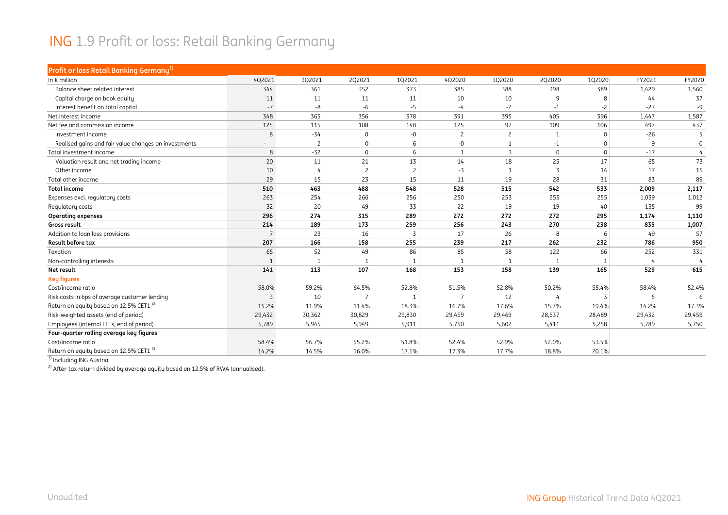#### ING 1.9 Profit or loss: Retail Banking Germany

| Profit or loss Retail Banking Germany <sup>1)</sup>  |                 |                |                |        |                |                |              |          |        |                |
|------------------------------------------------------|-----------------|----------------|----------------|--------|----------------|----------------|--------------|----------|--------|----------------|
| In $\epsilon$ million                                | 4Q2021          | 3Q2021         | 2Q2021         | 1Q2021 | 4Q2020         | 3Q2020         | 2Q2020       | 1Q2020   | FY2021 | FY2020         |
| Balance sheet related interest                       | 344             | 361            | 352            | 373    | 385            | 388            | 398          | 389      | 1,429  | 1,560          |
| Capital charge on book equity                        | 11              | 11             | 11             | 11     | 10             | 10             | 9            | 8        | 44     | 37             |
| Interest benefit on total capital                    | $-7$            | -8             | -6             | -5     | $-4$           | $-2$           | $-1$         | $-2$     | $-27$  | $-9$           |
| Net interest income                                  | 348             | 365            | 356            | 378    | 391            | 395            | 405          | 396      | 1,447  | 1,587          |
| Net fee and commission income                        | 125             | 115            | 108            | 148    | 125            | 97             | 109          | 106      | 497    | 437            |
| Investment income                                    | 8               | $-34$          | $\mathbf 0$    | $-0$   | $\overline{c}$ | $\overline{c}$ | $\mathbf{1}$ | 0        | $-26$  |                |
| Realised gains and fair value changes on investments |                 | $\overline{c}$ | $\mathbf 0$    |        | -0             | $\mathbf{1}$   | $-1$         | -0       | 9      | $-0$           |
| Total investment income                              | 8               | $-32$          | $\mathbf 0$    | 6      | $\overline{1}$ | 3              | $\mathbf 0$  | $\Omega$ | $-17$  | $\overline{4}$ |
| Valuation result and net trading income              | 20              | 11             | 21             | 13     | 14             | 18             | 25           | 17       | 65     | 73             |
| Other income                                         | 10              | 4              | $\overline{c}$ |        | -3             | $\overline{1}$ | 3            | 14       | 17     | 15             |
| Total other income                                   | 29              | 15             | 23             | 15     | 11             | 19             | 28           | 31       | 83     | 89             |
| <b>Total income</b>                                  | 510             | 463            | 488            | 548    | 528            | 515            | 542          | 533      | 2,009  | 2,117          |
| Expenses excl. regulatory costs                      | 263             | 254            | 266            | 256    | 250            | 253            | 253          | 255      | 1,039  | 1,012          |
| Regulatory costs                                     | 32              | 20             | 49             | 33     | 22             | 19             | 19           | 40       | 135    | 99             |
| <b>Operating expenses</b>                            | 296             | 274            | 315            | 289    | 272            | 272            | 272          | 295      | 1,174  | 1,110          |
| Gross result                                         | 214             | 189            | 173            | 259    | 256            | 243            | 270          | 238      | 835    | 1,007          |
| Addition to loan loss provisions                     | $7\overline{ }$ | 23             | 16             |        | 17             | 26             | 8            | 6        | 49     | 57             |
| <b>Result before tax</b>                             | 207             | 166            | 158            | 255    | 239            | 217            | 262          | 232      | 786    | 950            |
| Taxation                                             | 65              | 52             | 49             | 86     | 85             | 58             | 122          | 66       | 252    | 331            |
| Non-controlling interests                            |                 |                | 1              |        | 1              | $\mathbf{1}$   |              | 1        |        | 4              |
| Net result                                           | 141             | 113            | 107            | 168    | 153            | 158            | 139          | 165      | 529    | 615            |
| <b>Key figures</b>                                   |                 |                |                |        |                |                |              |          |        |                |
| Cost/income ratio                                    | 58.0%           | 59.2%          | 64.5%          | 52.8%  | 51.5%          | 52.8%          | 50.2%        | 55.4%    | 58.4%  | 52.4%          |
| Risk costs in bps of average customer lending        | 3               | 10             |                |        | 7              | 12             |              | 3        | 5      |                |
| Return on equity based on 12.5% CET1 <sup>2)</sup>   | 15.2%           | 11.9%          | 11.4%          | 18.3%  | 16.7%          | 17.6%          | 15.7%        | 19.4%    | 14.2%  | 17.3%          |
| Risk-weighted assets (end of period)                 | 29,432          | 30,362         | 30,829         | 29,830 | 29,459         | 29,469         | 28,537       | 28,489   | 29,432 | 29,459         |
| Employees (internal FTEs, end of period)             | 5,789           | 5,945          | 5,949          | 5,911  | 5,750          | 5,602          | 5,411        | 5,258    | 5,789  | 5,750          |
| Four-quarter rolling average key figures             |                 |                |                |        |                |                |              |          |        |                |
| Cost/income ratio                                    | 58.4%           | 56.7%          | 55.2%          | 51.8%  | 52.4%          | 52.9%          | 52.0%        | 53.5%    |        |                |
| Return on equity based on 12.5% CET1 <sup>2)</sup>   | 14.2%           | 14.5%          | 16.0%          | 17.1%  | 17.3%          | 17.7%          | 18.8%        | 20.1%    |        |                |

<sup>1)</sup> Including ING Austria.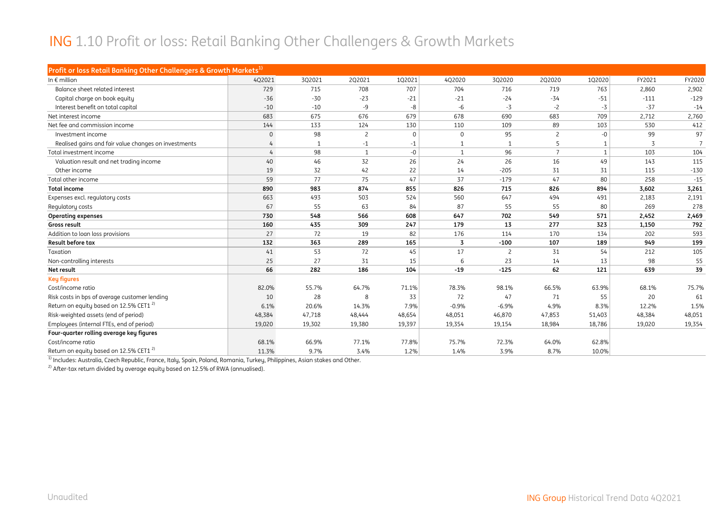#### ING 1.10 Profit or loss: Retail Banking Other Challengers & Growth Markets

| Profit or loss Retail Banking Other Challengers & Growth Markets <sup>1)</sup> |              |        |                |          |                |                |                |              |        |        |
|--------------------------------------------------------------------------------|--------------|--------|----------------|----------|----------------|----------------|----------------|--------------|--------|--------|
| In $\epsilon$ million                                                          | 4Q2021       | 3Q2021 | 2Q2021         | 1Q2021   | 4Q2020         | 3Q2020         | 2Q2020         | 1Q2020       | FY2021 | FY2020 |
| Balance sheet related interest                                                 | 729          | 715    | 708            | 707      | 704            | 716            | 719            | 763          | 2,860  | 2,902  |
| Capital charge on book equity                                                  | $-36$        | $-30$  | $-23$          | $-21$    | $-21$          | $-24$          | $-34$          | $-51$        | $-111$ | $-129$ |
| Interest benefit on total capital                                              | $-10$        | $-10$  | $-9$           | -8       | -6             | $-3$           | $-2$           | $-3$         | $-37$  | $-14$  |
| Net interest income                                                            | 683          | 675    | 676            | 679      | 678            | 690            | 683            | 709          | 2,712  | 2,760  |
| Net fee and commission income                                                  | 144          | 133    | 124            | 130      | 110            | 109            | 89             | 103          | 530    | 412    |
| Investment income                                                              | $\mathbf{0}$ | 98     | $\overline{c}$ | $\Omega$ | 0              | 95             | 2              | $-0$         | 99     | 97     |
| Realised gains and fair value changes on investments                           |              |        | $-1$           | $-1$     | $\mathbf{1}$   | $\overline{1}$ | 5              | $\mathbf{1}$ | 3      |        |
| Total investment income                                                        | 4            | 98     | $\mathbf{1}$   | $-0$     | 1              | 96             | $\overline{7}$ | $\mathbf{1}$ | 103    | 104    |
| Valuation result and net trading income                                        | 40           | 46     | 32             | 26       | 24             | 26             | 16             | 49           | 143    | 115    |
| Other income                                                                   | 19           | 32     | 42             | 22       | 14             | $-205$         | 31             | 31           | 115    | $-130$ |
| Total other income                                                             | 59           | 77     | 75             | 47       | 37             | $-179$         | 47             | 80           | 258    | $-15$  |
| <b>Total income</b>                                                            | 890          | 983    | 874            | 855      | 826            | 715            | 826            | 894          | 3,602  | 3,261  |
| Expenses excl. regulatory costs                                                | 663          | 493    | 503            | 524      | 560            | 647            | 494            | 491          | 2,183  | 2,191  |
| Regulatory costs                                                               | 67           | 55     | 63             | 84       | 87             | 55             | 55             | 80           | 269    | 278    |
| <b>Operating expenses</b>                                                      | 730          | 548    | 566            | 608      | 647            | 702            | 549            | 571          | 2,452  | 2,469  |
| Gross result                                                                   | 160          | 435    | 309            | 247      | 179            | 13             | 277            | 323          | 1,150  | 792    |
| Addition to loan loss provisions                                               | 27           | 72     | 19             | 82       | 176            | 114            | 170            | 134          | 202    | 593    |
| Result before tax                                                              | 132          | 363    | 289            | 165      | $\overline{3}$ | $-100$         | 107            | 189          | 949    | 199    |
| Taxation                                                                       | 41           | 53     | 72             | 45       | 17             | $\overline{c}$ | 31             | 54           | 212    | 105    |
| Non-controlling interests                                                      | 25           | 27     | 31             | 15       | 6              | 23             | 14             | 13           | 98     | 55     |
| Net result                                                                     | 66           | 282    | 186            | 104      | $-19$          | $-125$         | 62             | 121          | 639    | 39     |
| <b>Key figures</b>                                                             |              |        |                |          |                |                |                |              |        |        |
| Cost/income ratio                                                              | 82.0%        | 55.7%  | 64.7%          | 71.1%    | 78.3%          | 98.1%          | 66.5%          | 63.9%        | 68.1%  | 75.7%  |
| Risk costs in bps of average customer lending                                  | 10           | 28     | 8              | 33       | 72             | 47             | 71             | 55           | 20     | 61     |
| Return on equity based on 12.5% CET1 <sup>2)</sup>                             | 6.1%         | 20.6%  | 14.3%          | 7.9%     | $-0.9%$        | $-6.9%$        | 4.9%           | 8.3%         | 12.2%  | 1.5%   |
| Risk-weighted assets (end of period)                                           | 48,384       | 47,718 | 48,444         | 48,654   | 48,051         | 46,870         | 47,853         | 51,403       | 48,384 | 48,051 |
| Employees (internal FTEs, end of period)                                       | 19,020       | 19,302 | 19,380         | 19,397   | 19,354         | 19,154         | 18,984         | 18,786       | 19,020 | 19,354 |
| Four-quarter rolling average key figures                                       |              |        |                |          |                |                |                |              |        |        |
| Cost/income ratio                                                              | 68.1%        | 66.9%  | 77.1%          | 77.8%    | 75.7%          | 72.3%          | 64.0%          | 62.8%        |        |        |
| Return on equity based on 12.5% CET1 <sup>2)</sup>                             | 11.3%        | 9.7%   | 3.4%           | 1.2%     | 1.4%           | 3.9%           | 8.7%           | 10.0%        |        |        |

1) Includes: Australia, Czech Republic, France, Italy, Spain, Poland, Romania, Turkey, Philippines, Asian stakes and Other.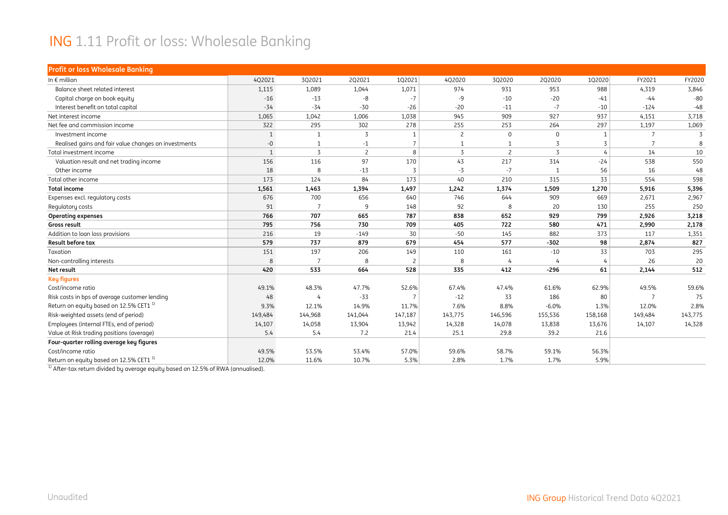#### ING 1.11 Profit or loss: Wholesale Banking

| <b>Profit or loss Wholesale Banking</b>              |              |         |                |         |                |                |          |              |         |                |
|------------------------------------------------------|--------------|---------|----------------|---------|----------------|----------------|----------|--------------|---------|----------------|
| In $\epsilon$ million                                | 4Q2021       | 3Q2021  | 2Q2021         | 102021  | 4Q2020         | 3Q2020         | 2Q2020   | 1Q2020       | FY2021  | FY2020         |
| Balance sheet related interest                       | 1,115        | 1,089   | 1,044          | 1,071   | 974            | 931            | 953      | 988          | 4,319   | 3,846          |
| Capital charge on book equity                        | $-16$        | $-13$   | -8             | $-7$    | -9             | $-10$          | $-20$    | $-41$        | $-44$   | $-80$          |
| Interest benefit on total capital                    | $-34$        | $-34$   | $-30$          | $-26$   | $-20$          | $-11$          | $-7$     | $-10$        | $-124$  | $-48$          |
| Net interest income                                  | 1,065        | 1,042   | 1,006          | 1,038   | 945            | 909            | 927      | 937          | 4,151   | 3,718          |
| Net fee and commission income                        | 322          | 295     | 302            | 278     | 255            | 253            | 264      | 297          | 1,197   | 1,069          |
| Investment income                                    | $\mathbf{1}$ |         | 3              |         | $\overline{c}$ | $\mathbf{0}$   | $\Omega$ | $\mathbf{1}$ |         | $\overline{3}$ |
| Realised gains and fair value changes on investments | $-0$         |         | $-1$           |         | $\mathbf{1}$   | $\mathbf{1}$   | 3        | 3            |         | 8              |
| Total investment income                              | $\mathbf{1}$ | 3       | $\overline{c}$ | 8       | 3              | $\overline{2}$ | 3        | 4            | 14      | 10             |
| Valuation result and net trading income              | 156          | 116     | 97             | 170     | 43             | 217            | 314      | $-24$        | 538     | 550            |
| Other income                                         | 18           | 8       | $-13$          | 3       | $-3$           | $-7$           |          | 56           | 16      | 48             |
| Total other income                                   | 173          | 124     | 84             | 173     | 40             | 210            | 315      | 33           | 554     | 598            |
| <b>Total income</b>                                  | 1,561        | 1,463   | 1,394          | 1,497   | 1,242          | 1,374          | 1,509    | 1,270        | 5,916   | 5,396          |
| Expenses excl. regulatory costs                      | 676          | 700     | 656            | 640     | 746            | 644            | 909      | 669          | 2,671   | 2,967          |
| Regulatory costs                                     | 91           |         | 9              | 148     | 92             | 8              | 20       | 130          | 255     | 250            |
| <b>Operating expenses</b>                            | 766          | 707     | 665            | 787     | 838            | 652            | 929      | 799          | 2,926   | 3,218          |
| Gross result                                         | 795          | 756     | 730            | 709     | 405            | 722            | 580      | 471          | 2,990   | 2,178          |
| Addition to loan loss provisions                     | 216          | 19      | $-149$         | 30      | $-50$          | 145            | 882      | 373          | 117     | 1,351          |
| Result before tax                                    | 579          | 737     | 879            | 679     | 454            | 577            | $-302$   | 98           | 2,874   | 827            |
| Taxation                                             | 151          | 197     | 206            | 149     | 110            | 161            | $-10$    | 33           | 703     | 295            |
| Non-controlling interests                            | 8            | -7      | 8              |         | 8              | $\overline{4}$ |          | 4            | 26      | 20             |
| Net result                                           | 420          | 533     | 664            | 528     | 335            | 412            | $-296$   | 61           | 2,144   | 512            |
| <b>Key figures</b>                                   |              |         |                |         |                |                |          |              |         |                |
| Cost/income ratio                                    | 49.1%        | 48.3%   | 47.7%          | 52.6%   | 67.4%          | 47.4%          | 61.6%    | 62.9%        | 49.5%   | 59.6%          |
| Risk costs in bps of average customer lending        | 48           |         | $-33$          |         | $-12$          | 33             | 186      | 80           |         | 75             |
| Return on equity based on 12.5% CET1 <sup>1)</sup>   | 9.3%         | 12.1%   | 14.9%          | 11.7%   | 7.6%           | 8.8%           | $-6.0%$  | 1.3%         | 12.0%   | 2.8%           |
| Risk-weighted assets (end of period)                 | 149,484      | 144,968 | 141,044        | 147,187 | 143,775        | 146,596        | 155,536  | 158,168      | 149,484 | 143,775        |
| Employees (internal FTEs, end of period)             | 14,107       | 14,058  | 13,904         | 13,942  | 14,328         | 14,078         | 13,838   | 13,676       | 14,107  | 14,328         |
| Value at Risk trading positions (average)            | 5.4          | 5.4     | 7.2            | 21.4    | 25.1           | 29.8           | 39.2     | 21.6         |         |                |
| Four-quarter rolling average key figures             |              |         |                |         |                |                |          |              |         |                |
| Cost/income ratio                                    | 49.5%        | 53.5%   | 53.4%          | 57.0%   | 59.6%          | 58.7%          | 59.1%    | 56.3%        |         |                |
| Return on equity based on 12.5% CET1 <sup>1)</sup>   | 12.0%        | 11.6%   | 10.7%          | 5.3%    | 2.8%           | 1.7%           | 1.7%     | 5.9%         |         |                |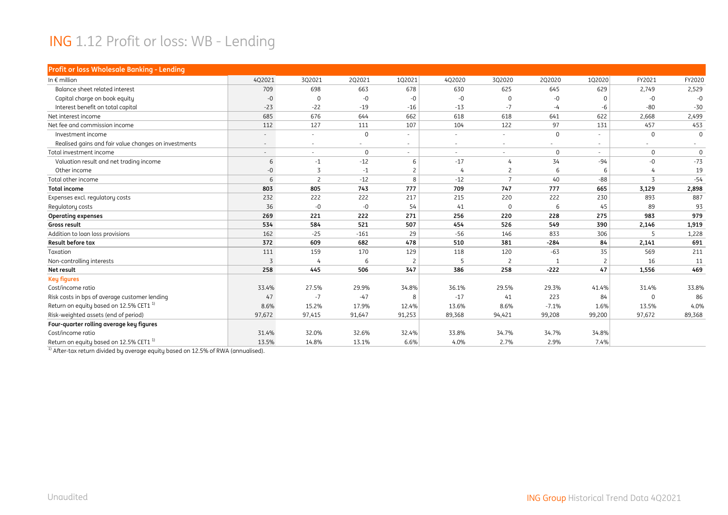#### ING 1.12 Profit or loss: WB - Lending

| Profit or loss Wholesale Banking - Lending           |        |                          |             |        |                          |                |             |                |             |             |
|------------------------------------------------------|--------|--------------------------|-------------|--------|--------------------------|----------------|-------------|----------------|-------------|-------------|
| In $\epsilon$ million                                | 4Q2021 | 3Q2021                   | 2Q2021      | 102021 | 4Q2020                   | 3Q2020         | 2Q2020      | 1Q2020         | FY2021      | FY2020      |
| Balance sheet related interest                       | 709    | 698                      | 663         | 678    | 630                      | 625            | 645         | 629            | 2,749       | 2,529       |
| Capital charge on book equity                        | $-0$   | $\Omega$                 | $-0$        | $-0$   | $-0$                     | $\Omega$       | -0          | $\Omega$       | $-0$        | $-0$        |
| Interest benefit on total capital                    | $-23$  | $-22$                    | $-19$       | $-16$  | $-13$                    | $-7$           | -4          | -6             | $-80$       | $-30$       |
| Net interest income                                  | 685    | 676                      | 644         | 662    | 618                      | 618            | 641         | 622            | 2,668       | 2,499       |
| Net fee and commission income                        | 112    | 127                      | 111         | 107    | 104                      | 122            | 97          | 131            | 457         | 453         |
| Investment income                                    |        | $\overline{\phantom{a}}$ | $\mathbf 0$ | ٠      | $\overline{\phantom{0}}$ | ٠              | $\mathbf 0$ |                | $\Omega$    | $\Omega$    |
| Realised gains and fair value changes on investments |        |                          | ۰           |        | $\overline{\phantom{a}}$ |                |             |                |             |             |
| Total investment income                              |        | $\sim$                   | $\mathbf 0$ | $\sim$ | $\overline{\phantom{a}}$ | $\sim$         | $\mathbf 0$ | $\sim$         | $\Omega$    | $\mathbf 0$ |
| Valuation result and net trading income              | 6      | $-1$                     | $-12$       | 6      | $-17$                    | $\overline{4}$ | 34          | $-94$          | $-0$        | $-73$       |
| Other income                                         | $-0$   | 3                        | $-1$        |        | 4                        | $\overline{c}$ | 6           | 6              |             | 19          |
| Total other income                                   | 6      | $\overline{c}$           | $-12$       | 8      | $-12$                    | $\overline{7}$ | 40          | $-88$          | 3           | $-54$       |
| <b>Total income</b>                                  | 803    | 805                      | 743         | 777    | 709                      | 747            | 777         | 665            | 3,129       | 2,898       |
| Expenses excl. regulatory costs                      | 232    | 222                      | 222         | 217    | 215                      | 220            | 222         | 230            | 893         | 887         |
| Regulatory costs                                     | 36     | $-0$                     | $-0$        | 54     | 41                       | $\mathbf 0$    | 6           | 45             | 89          | 93          |
| <b>Operating expenses</b>                            | 269    | 221                      | 222         | 271    | 256                      | 220            | 228         | 275            | 983         | 979         |
| Gross result                                         | 534    | 584                      | 521         | 507    | 454                      | 526            | 549         | 390            | 2,146       | 1,919       |
| Addition to loan loss provisions                     | 162    | $-25$                    | $-161$      | 29     | $-56$                    | 146            | 833         | 306            | 5           | 1,228       |
| Result before tax                                    | 372    | 609                      | 682         | 478    | 510                      | 381            | $-284$      | 84             | 2,141       | 691         |
| Taxation                                             | 111    | 159                      | 170         | 129    | 118                      | 120            | $-63$       | 35             | 569         | 211         |
| Non-controlling interests                            | 3      |                          | 6           |        | 5                        | $\overline{c}$ | 1           | $\overline{2}$ | 16          | 11          |
| Net result                                           | 258    | 445                      | 506         | 347    | 386                      | 258            | $-222$      | 47             | 1,556       | 469         |
| <b>Key figures</b>                                   |        |                          |             |        |                          |                |             |                |             |             |
| Cost/income ratio                                    | 33.4%  | 27.5%                    | 29.9%       | 34.8%  | 36.1%                    | 29.5%          | 29.3%       | 41.4%          | 31.4%       | 33.8%       |
| Risk costs in bps of average customer lending        | 47     | $-7$                     | $-47$       | 8      | $-17$                    | 41             | 223         | 84             | $\mathbf 0$ | 86          |
| Return on equity based on 12.5% CET1 <sup>1)</sup>   | 8.6%   | 15.2%                    | 17.9%       | 12.4%  | 13.6%                    | 8.6%           | $-7.1%$     | 1.6%           | 13.5%       | 4.0%        |
| Risk-weighted assets (end of period)                 | 97,672 | 97,415                   | 91,647      | 91,253 | 89,368                   | 94,421         | 99,208      | 99,200         | 97,672      | 89,368      |
| Four-quarter rolling average key figures             |        |                          |             |        |                          |                |             |                |             |             |
| Cost/income ratio                                    | 31.4%  | 32.0%                    | 32.6%       | 32.4%  | 33.8%                    | 34.7%          | 34.7%       | 34.8%          |             |             |
| Return on equity based on 12.5% CET1 <sup>1)</sup>   | 13.5%  | 14.8%                    | 13.1%       | 6.6%   | 4.0%                     | 2.7%           | 2.9%        | 7.4%           |             |             |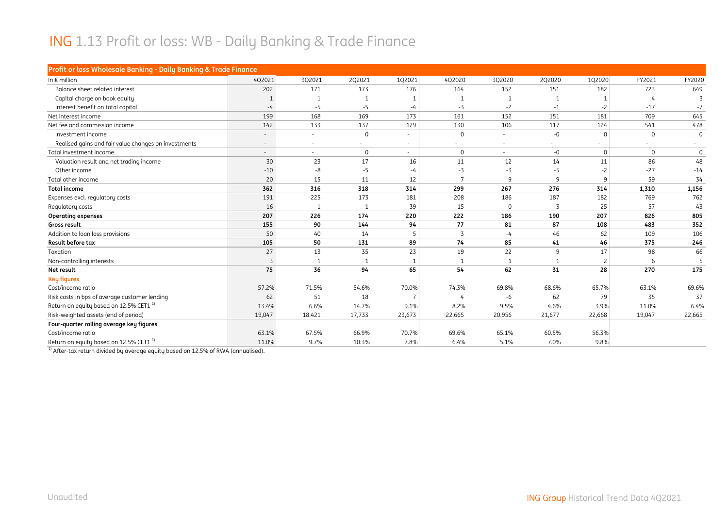#### ING 1.13 Profit or loss: WB - Daily Banking & Trade Finance

| Profit or loss Wholesale Banking - Daily Banking & Trade Finance |        |                          |                          |        |                          |              |                |                          |                          |                |
|------------------------------------------------------------------|--------|--------------------------|--------------------------|--------|--------------------------|--------------|----------------|--------------------------|--------------------------|----------------|
| In $\epsilon$ million                                            | 4Q2021 | 3Q2021                   | 2Q2021                   | 102021 | 4Q2020                   | 3Q2020       | 2Q2020         | 1Q2020                   | FY2021                   | FY2020         |
| Balance sheet related interest                                   | 202    | 171                      | 173                      | 176    | 164                      | 152          | 151            | 182                      | 723                      | 649            |
| Capital charge on book equity                                    |        |                          |                          |        |                          | 1            |                |                          | $\overline{a}$           | $\overline{z}$ |
| Interest benefit on total capital                                | $-4$   | $-5$                     | $-5$                     | $-4$   | $-3$                     | $-2$         | $-1$           | $-2$                     | $-17$                    | $-7$           |
| Net interest income                                              | 199    | 168                      | 169                      | 173    | 161                      | 152          | 151            | 181                      | 709                      | 645            |
| Net fee and commission income                                    | 142    | 133                      | 137                      | 129    | 130                      | 106          | 117            | 124                      | 541                      | 478            |
| Investment income                                                |        | $\overline{\phantom{a}}$ | $\mathbf 0$              |        | $\Omega$                 |              | $-0$           | $\Omega$                 | $\mathbf{0}$             | $\Omega$       |
| Realised gains and fair value changes on investments             |        | $\sim$                   | $\overline{\phantom{a}}$ | $\sim$ | $\overline{\phantom{a}}$ |              |                | $\overline{\phantom{a}}$ | $\overline{\phantom{a}}$ | $\sim$         |
| Total investment income                                          |        | $\overline{\phantom{a}}$ | $\mathbf 0$              | $\sim$ | $\Omega$                 | $\sim$       | $-0$           | $\mathbf{0}$             | $\mathbf{0}$             | $\mathbf 0$    |
| Valuation result and net trading income                          | 30     | 23                       | 17                       | 16     | 11                       | 12           | 14             | 11                       | 86                       | 48             |
| Other income                                                     | $-10$  | -8                       | $-5$                     | $-4$   | $-3$                     | $-3$         | $-5$           | $-2$                     | $-27$                    | $-14$          |
| Total other income                                               | 20     | 15                       | 11                       | 12     | $\overline{7}$           | 9            | $\mathsf{q}$   | 9                        | 59                       | 34             |
| <b>Total income</b>                                              | 362    | 316                      | 318                      | 314    | 299                      | 267          | 276            | 314                      | 1,310                    | 1,156          |
| Expenses excl. regulatory costs                                  | 191    | 225                      | 173                      | 181    | 208                      | 186          | 187            | 182                      | 769                      | 762            |
| Regulatory costs                                                 | 16     |                          | -1                       | 39     | 15                       | $\mathbf 0$  | $\overline{5}$ | 25                       | 57                       | 43             |
| <b>Operating expenses</b>                                        | 207    | 226                      | 174                      | 220    | 222                      | 186          | 190            | 207                      | 826                      | 805            |
| Gross result                                                     | 155    | 90                       | 144                      | 94     | 77                       | 81           | 87             | 108                      | 483                      | 352            |
| Addition to loan loss provisions                                 | 50     | 40                       | 14                       | 5      | $\overline{3}$           | $-4$         | 46             | 62                       | 109                      | 106            |
| <b>Result before tax</b>                                         | 105    | 50                       | 131                      | 89     | 74                       | 85           | 41             | 46                       | 375                      | 246            |
| Taxation                                                         | 27     | 13                       | 35                       | 23     | 19                       | 22           | 9              | 17                       | 98                       | 66             |
| Non-controlling interests                                        | 3      |                          | 1                        |        |                          | $\mathbf{1}$ |                | $\overline{c}$           | 6                        | 5              |
| Net result                                                       | 75     | 36                       | 94                       | 65     | 54                       | 62           | 31             | 28                       | 270                      | 175            |
| <b>Key figures</b>                                               |        |                          |                          |        |                          |              |                |                          |                          |                |
| Cost/income ratio                                                | 57.2%  | 71.5%                    | 54.6%                    | 70.0%  | 74.3%                    | 69.8%        | 68.6%          | 65.7%                    | 63.1%                    | 69.6%          |
| Risk costs in bps of average customer lending                    | 62     | 51                       | 18                       |        | 4                        | -6           | 62             | 79                       | 35                       | 37             |
| Return on equity based on 12.5% CET1 <sup>1)</sup>               | 13.4%  | 6.6%                     | 14.7%                    | 9.1%   | 8.2%                     | 9.5%         | 4.6%           | 3.9%                     | 11.0%                    | 6.4%           |
| Risk-weighted assets (end of period)                             | 19,047 | 18,421                   | 17,733                   | 23,673 | 22,665                   | 20,956       | 21,677         | 22,668                   | 19,047                   | 22,665         |
| Four-quarter rolling average key figures                         |        |                          |                          |        |                          |              |                |                          |                          |                |
| Cost/income ratio                                                | 63.1%  | 67.5%                    | 66.9%                    | 70.7%  | 69.6%                    | 65.1%        | 60.5%          | 56.3%                    |                          |                |
| Return on equity based on 12.5% CET1 <sup>1)</sup>               | 11.0%  | 9.7%                     | 10.3%                    | 7.8%   | 6.4%                     | 5.1%         | 7.0%           | 9.8%                     |                          |                |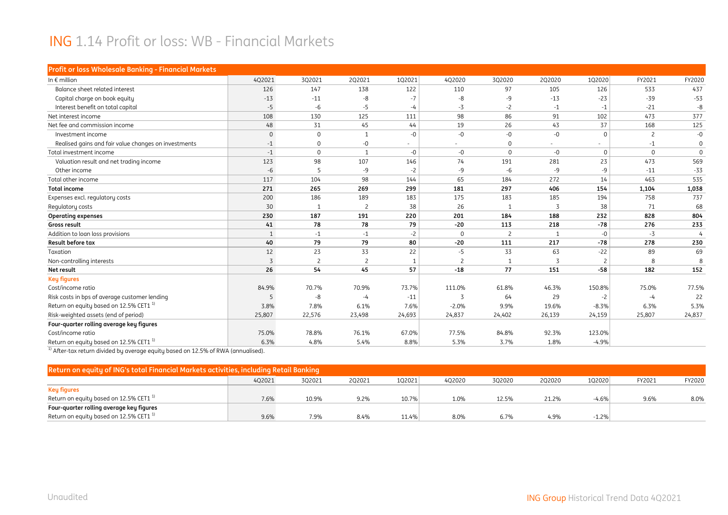#### ING 1.14 Profit or loss: WB - Financial Markets

| Profit or loss Wholesale Banking - Financial Markets |             |                |                          |        |                |                |        |                |                |             |
|------------------------------------------------------|-------------|----------------|--------------------------|--------|----------------|----------------|--------|----------------|----------------|-------------|
| In $\epsilon$ million                                | 4Q2021      | 3Q2021         | 2Q2021                   | 1Q2021 | 4Q2020         | 3Q2020         | 2Q2020 | 1Q2020         | FY2021         | FY2020      |
| Balance sheet related interest                       | 126         | 147            | 138                      | 122    | 110            | 97             | 105    | 126            | 533            | 437         |
| Capital charge on book equity                        | $-13$       | $-11$          | -8                       | $-7$   | -8             | $-9$           | $-13$  | $-23$          | $-39$          | $-53$       |
| Interest benefit on total capital                    | $-5$        | $-6$           | $-5$                     | $-4$   | $-3$           | $-2$           | $-1$   | $-1$           | $-21$          | $-8$        |
| Net interest income                                  | 108         | 130            | 125                      | 111    | 98             | 86             | 91     | 102            | 473            | 377         |
| Net fee and commission income                        | 48          | 31             | 45                       | 44     | 19             | 26             | 43     | 37             | 168            | 125         |
| Investment income                                    | $\mathbf 0$ | 0              | $\mathbf{1}$             | $-0$   | -0             | $-0$           | -0     | $\Omega$       | $\overline{c}$ | $-0$        |
| Realised gains and fair value changes on investments | $-1$        | 0              | -0                       |        |                | $\mathbf 0$    |        |                | $-1$           | $\Omega$    |
| Total investment income                              | $-1$        | $\mathbf 0$    | $\mathbf{1}$             | $-0$   | -0             | $\mathbf 0$    | -0     | $\mathbf 0$    | $\Omega$       | $\mathbf 0$ |
| Valuation result and net trading income              | 123         | 98             | 107                      | 146    | 74             | 191            | 281    | 23             | 473            | 569         |
| Other income                                         | $-6$        | 5              | -9                       | $-2$   | -9             | -6             | -9     | -9             | $-11$          | $-33$       |
| Total other income                                   | 117         | 104            | 98                       | 144    | 65             | 184            | 272    | 14             | 463            | 535         |
| <b>Total income</b>                                  | 271         | 265            | 269                      | 299    | 181            | 297            | 406    | 154            | 1,104          | 1,038       |
| Expenses excl. regulatory costs                      | 200         | 186            | 189                      | 183    | 175            | 183            | 185    | 194            | 758            | 737         |
| Regulatory costs                                     | 30          |                | $\overline{\phantom{0}}$ | 38     | 26             | $\mathbf{1}$   | 3      | 38             | 71             | 68          |
| <b>Operating expenses</b>                            | 230         | 187            | 191                      | 220    | 201            | 184            | 188    | 232            | 828            | 804         |
| Gross result                                         | 41          | 78             | 78                       | 79     | $-20$          | 113            | 218    | $-78$          | 276            | 233         |
| Addition to loan loss provisions                     | 1           | $-1$           | $-1$                     | $-2$   | $\mathbf 0$    | $\overline{c}$ |        | $-0$           | $-3$           | 4           |
| Result before tax                                    | 40          | 79             | 79                       | 80     | $-20$          | 111            | 217    | $-78$          | 278            | 230         |
| Taxation                                             | 12          | 23             | 33                       | 22     | -5             | 33             | 63     | $-22$          | 89             | 69          |
| Non-controlling interests                            | 3           | $\overline{c}$ | $\overline{c}$           |        | $\overline{c}$ | $\mathbf{1}$   | 3      | $\overline{c}$ | 8              |             |
| Net result                                           | 26          | 54             | 45                       | 57     | $-18$          | 77             | 151    | $-58$          | 182            | 152         |
| <b>Key figures</b>                                   |             |                |                          |        |                |                |        |                |                |             |
| Cost/income ratio                                    | 84.9%       | 70.7%          | 70.9%                    | 73.7%  | 111.0%         | 61.8%          | 46.3%  | 150.8%         | 75.0%          | 77.5%       |
| Risk costs in bps of average customer lending        | 5           | -8             | -4                       | $-11$  | 3              | 64             | 29     | $-2$           | $-4$           | 22          |
| Return on equity based on 12.5% CET1 <sup>1)</sup>   | 3.8%        | 7.8%           | 6.1%                     | 7.6%   | $-2.0%$        | 9.9%           | 19.6%  | $-8.3%$        | 6.3%           | 5.3%        |
| Risk-weighted assets (end of period)                 | 25,807      | 22,576         | 23,498                   | 24,693 | 24,837         | 24,402         | 26,139 | 24,159         | 25,807         | 24,837      |
| Four-quarter rolling average key figures             |             |                |                          |        |                |                |        |                |                |             |
| Cost/income ratio                                    | 75.0%       | 78.8%          | 76.1%                    | 67.0%  | 77.5%          | 84.8%          | 92.3%  | 123.0%         |                |             |
| Return on equity based on 12.5% CET1 <sup>1)</sup>   | 6.3%        | 4.8%           | 5.4%                     | 8.8%   | 5.3%           | 3.7%           | 1.8%   | $-4.9%$        |                |             |

| Return on equity of ING's total Financial Markets activities, including Retail Banking |        |        |        |        |        |        |        |         |        |        |  |  |  |
|----------------------------------------------------------------------------------------|--------|--------|--------|--------|--------|--------|--------|---------|--------|--------|--|--|--|
|                                                                                        | 402021 | 3Q2021 | 2Q2021 | 102021 | 402020 | 3Q2020 | 202020 | 1Q2020  | FY2021 | FY2020 |  |  |  |
| Key figures                                                                            |        |        |        |        |        |        |        |         |        |        |  |  |  |
| Return on equity based on 12.5% CET1 $^{\text{1}}$                                     | 7.6%   | 10.9%  | 9.2%   | 10.7%  | 1.0%   | 12.5%  | 21.2%  | -4.6%   | 9.6%   | 8.0%   |  |  |  |
| Four-quarter rolling average key figures                                               |        |        |        |        |        |        |        |         |        |        |  |  |  |
| Return on equity based on 12.5% CET1 $^{1)}$                                           | 9.6%   | 7.9%   | 8.4%   | 11.4%  | 8.0%   | 6.7%   | 4.9%   | $-1.2%$ |        |        |  |  |  |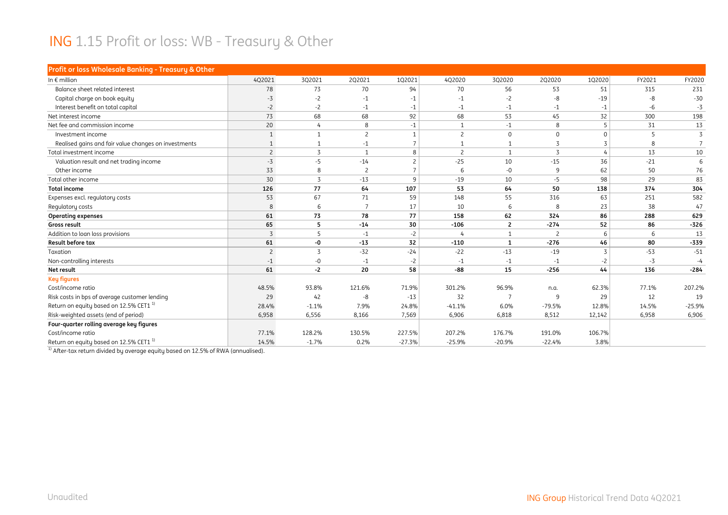#### ING 1.15 Profit or loss: WB - Treasury & Other

| Profit or loss Wholesale Banking - Treasury & Other  |                |                |                |                          |              |                |             |                |        |                |
|------------------------------------------------------|----------------|----------------|----------------|--------------------------|--------------|----------------|-------------|----------------|--------|----------------|
| In $\epsilon$ million                                | 4Q2021         | 3Q2021         | 2Q2021         | 102021                   | 4Q2020       | 3Q2020         | 2Q2020      | 1Q2020         | FY2021 | FY2020         |
| Balance sheet related interest                       | 78             | 73             | 70             | 94                       | 70           | 56             | 53          | 51             | 315    | 231            |
| Capital charge on book equity                        | $-3$           | $-2$           | $-1$           | $-1$                     | $-1$         | $-2$           | -8          | $-19$          | $-8$   | $-30$          |
| Interest benefit on total capital                    | $-2$           | $-2$           | $-1$           | $-1$                     | $-1$         | $-1$           | $-1$        | $-1$           | $-6$   | $-3$           |
| Net interest income                                  | 73             | 68             | 68             | 92                       | 68           | 53             | 45          | 32             | 300    | 198            |
| Net fee and commission income                        | 20             | 4              | 8              | $-1$                     | $\mathbf{1}$ | $-1$           | 8           | 5              | 31     | 13             |
| Investment income                                    | $\mathbf{1}$   | -1             | $\overline{c}$ |                          | $\mathsf{2}$ | $\mathbf 0$    | $\mathbf 0$ | $\Omega$       | 5      | $\overline{3}$ |
| Realised gains and fair value changes on investments |                |                | $-1$           |                          | 1            | $\mathbf{1}$   | 3           |                | 8      |                |
| Total investment income                              | $\overline{2}$ | 3              | $\mathbf{1}$   | 8                        | 2            | 1              | 3           | 4              | 13     | 10             |
| Valuation result and net trading income              | $-3$           | $-5$           | $-14$          | $\overline{\phantom{0}}$ | $-25$        | 10             | $-15$       | 36             | $-21$  | 6              |
| Other income                                         | 33             | 8              | $\overline{c}$ |                          | 6            | $-0$           | 9           | 62             | 50     | 76             |
| Total other income                                   | 30             | 3              | $-13$          | $\mathsf{q}$             | $-19$        | 10             | $-5$        | 98             | 29     | 83             |
| <b>Total income</b>                                  | 126            | 77             | 64             | 107                      | 53           | 64             | 50          | 138            | 374    | 304            |
| Expenses excl. regulatory costs                      | 53             | 67             | 71             | 59                       | 148          | 55             | 316         | 63             | 251    | 582            |
| Regulatory costs                                     | 8              | 6              | $\overline{7}$ | 17                       | 10           | 6              | 8           | 23             | 38     | 47             |
| <b>Operating expenses</b>                            | 61             | 73             | 78             | 77                       | 158          | 62             | 324         | 86             | 288    | 629            |
| Gross result                                         | 65             | 5              | $-14$          | 30                       | $-106$       | $\overline{2}$ | $-274$      | 52             | 86     | $-326$         |
| Addition to loan loss provisions                     | 3              | 5              | $-1$           | $-2$                     | 4            | 1              | 2           | 6              | 6      | 13             |
| <b>Result before tax</b>                             | 61             | -0             | $-13$          | 32                       | $-110$       | $\mathbf{1}$   | $-276$      | 46             | 80     | $-339$         |
| Taxation                                             | $\overline{c}$ | $\overline{5}$ | $-32$          | $-24$                    | $-22$        | $-13$          | $-19$       | $\overline{3}$ | $-53$  | $-51$          |
| Non-controlling interests                            | $-1$           | $-0$           | $-1$           | $-2$                     | $-1$         | $-1$           | $-1$        | $-2$           | $-3$   | $-4$           |
| Net result                                           | 61             | $-2$           | 20             | 58                       | $-88$        | 15             | $-256$      | 44             | 136    | $-284$         |
| <b>Key figures</b>                                   |                |                |                |                          |              |                |             |                |        |                |
| Cost/income ratio                                    | 48.5%          | 93.8%          | 121.6%         | 71.9%                    | 301.2%       | 96.9%          | n.a.        | 62.3%          | 77.1%  | 207.2%         |
| Risk costs in bps of average customer lending        | 29             | 42             | -8             | $-13$                    | 32           |                | 9           | 29             | 12     | 19             |
| Return on equity based on 12.5% CET1 <sup>1)</sup>   | 28.4%          | $-1.1%$        | 7.9%           | 24.8%                    | $-41.1%$     | 6.0%           | $-79.5%$    | 12.8%          | 14.5%  | $-25.9%$       |
| Risk-weighted assets (end of period)                 | 6,958          | 6,556          | 8,166          | 7,569                    | 6,906        | 6,818          | 8,512       | 12,142         | 6,958  | 6,906          |
| Four-quarter rolling average key figures             |                |                |                |                          |              |                |             |                |        |                |
| Cost/income ratio                                    | 77.1%          | 128.2%         | 130.5%         | 227.5%                   | 207.2%       | 176.7%         | 191.0%      | 106.7%         |        |                |
| Return on equity based on 12.5% CET1 <sup>1)</sup>   | 14.5%          | $-1.7%$        | 0.2%           | $-27.3%$                 | $-25.9%$     | $-20.9%$       | $-22.4%$    | 3.8%           |        |                |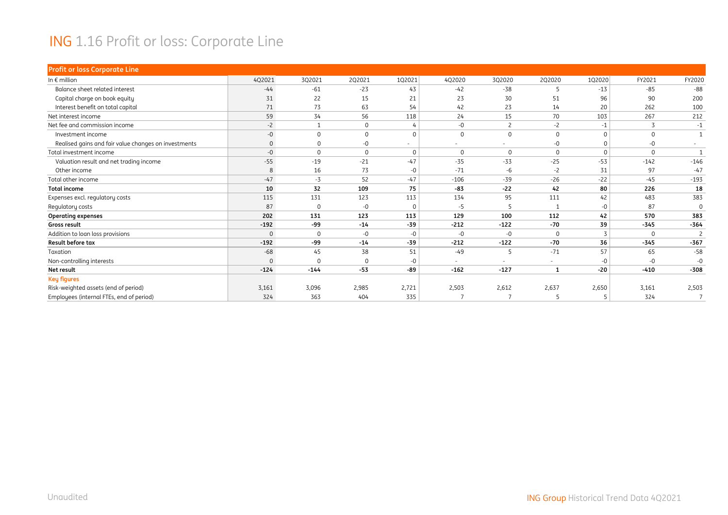#### ING 1.16 Profit or loss: Corporate Line

| <b>Profit or loss Corporate Line</b>                 |              |          |              |          |                          |                |              |          |          |                |
|------------------------------------------------------|--------------|----------|--------------|----------|--------------------------|----------------|--------------|----------|----------|----------------|
| In $\epsilon$ million                                | 4Q2021       | 3Q2021   | 2Q2021       | 1Q2021   | 4Q2020                   | 3Q2020         | 2Q2020       | 1Q2020   | FY2021   | FY2020         |
| Balance sheet related interest                       | $-44$        | $-61$    | $-23$        | 43       | $-42$                    | $-38$          | 5            | $-13$    | $-85$    | $-88$          |
| Capital charge on book equity                        | 31           | 22       | 15           | 21       | 23                       | 30             | 51           | 96       | 90       | 200            |
| Interest benefit on total capital                    | 71           | 73       | 63           | 54       | 42                       | 23             | 14           | 20       | 262      | 100            |
| Net interest income                                  | 59           | 34       | 56           | 118      | 24                       | 15             | 70           | 103      | 267      | 212            |
| Net fee and commission income                        | $-2$         |          | $\mathbf 0$  |          | $-0$                     | $\overline{c}$ | $-2$         | $-1$     |          | $-1$           |
| Investment income                                    | $-0$         | $\Omega$ | $\mathbf{0}$ | $\Omega$ | $\mathbf{0}$             | $\mathbf 0$    | $\mathbf 0$  | $\Omega$ | $\Omega$ | $\overline{1}$ |
| Realised gains and fair value changes on investments | $\mathbf{0}$ |          | $-0$         |          | $\overline{\phantom{a}}$ | ۰              | $-0$         | 0        | $-0$     |                |
| Total investment income                              | $-0$         | $\Omega$ | $\mathbf 0$  | $\Omega$ | $\mathbf{0}$             | $\Omega$       | $\Omega$     | $\Omega$ | $\Omega$ | $\overline{1}$ |
| Valuation result and net trading income              | $-55$        | $-19$    | $-21$        | $-47$    | $-35$                    | $-33$          | $-25$        | $-53$    | $-142$   | $-146$         |
| Other income                                         | 8            | 16       | 73           | $-0$     | $-71$                    | $-6$           | $-2$         | 31       | 97       | $-47$          |
| Total other income                                   | $-47$        | $-3$     | 52           | $-47$    | $-106$                   | $-39$          | $-26$        | $-22$    | $-45$    | $-193$         |
| <b>Total income</b>                                  | 10           | 32       | 109          | 75       | $-83$                    | $-22$          | 42           | 80       | 226      | 18             |
| Expenses excl. regulatory costs                      | 115          | 131      | 123          | 113      | 134                      | 95             | 111          | 42       | 483      | 383            |
| Regulatory costs                                     | 87           | 0        | $-0$         | $\Omega$ | $-5$                     | -5             |              | -0       | 87       | $\Omega$       |
| <b>Operating expenses</b>                            | 202          | 131      | 123          | 113      | 129                      | 100            | 112          | 42       | 570      | 383            |
| Gross result                                         | $-192$       | -99      | $-14$        | $-39$    | $-212$                   | $-122$         | $-70$        | 39       | $-345$   | $-364$         |
| Addition to loan loss provisions                     | $\mathbf 0$  | $\Omega$ | $-0$         | $-0$     | -0                       | $-0$           | $\Omega$     | 3        | $\Omega$ | $\overline{c}$ |
| <b>Result before tax</b>                             | $-192$       | -99      | $-14$        | $-39$    | $-212$                   | $-122$         | $-70$        | 36       | $-345$   | $-367$         |
| Taxation                                             | $-68$        | 45       | 38           | 51       | $-49$                    | 5              | $-71$        | 57       | 65       | $-58$          |
| Non-controlling interests                            | $\Omega$     |          | $\mathbf 0$  | $-0$     | $\overline{\phantom{a}}$ | ۰              |              | -0       | $-0$     | -0             |
| Net result                                           | $-124$       | $-144$   | $-53$        | -89      | $-162$                   | $-127$         | $\mathbf{1}$ | $-20$    | $-410$   | $-308$         |
| <b>Key figures</b>                                   |              |          |              |          |                          |                |              |          |          |                |
| Risk-weighted assets (end of period)                 | 3,161        | 3,096    | 2,985        | 2,721    | 2,503                    | 2,612          | 2,637        | 2,650    | 3,161    | 2,503          |
| Employees (internal FTEs, end of period)             | 324          | 363      | 404          | 335      | п,                       |                | 5            | 5        | 324      |                |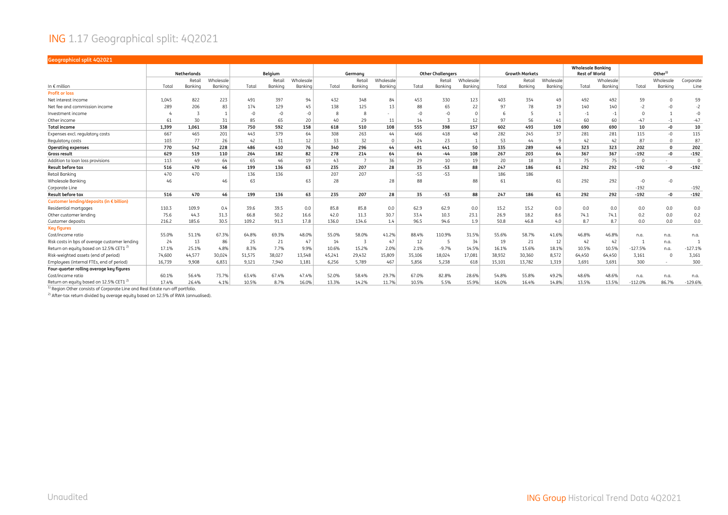#### ING 1.17 Geographical split: 4Q2021

| Geographical split 4Q2021                                                                                                                          |        |                      |           |        |         |           |        |         |           |        |                          |           |        |                       |                |                          |           |           |                    |           |
|----------------------------------------------------------------------------------------------------------------------------------------------------|--------|----------------------|-----------|--------|---------|-----------|--------|---------|-----------|--------|--------------------------|-----------|--------|-----------------------|----------------|--------------------------|-----------|-----------|--------------------|-----------|
|                                                                                                                                                    |        |                      |           |        |         |           |        |         |           |        |                          |           |        |                       |                | <b>Wholesale Banking</b> |           |           |                    |           |
|                                                                                                                                                    |        | <b>Netherlands</b>   |           |        | Belgium |           |        | Germany |           |        | <b>Other Challengers</b> |           |        | <b>Growth Markets</b> |                | <b>Rest of World</b>     |           |           | Other <sup>1</sup> |           |
|                                                                                                                                                    |        | Retail               | Wholesale |        | Retai   | Wholesale |        | Retail  | Wholesale |        | Retail                   | Wholesale |        | Retail                | Wholesale      |                          | Wholesale |           | Wholesale          | Corporate |
| In $\epsilon$ million                                                                                                                              | Total  | Banking              | Bankina   | Total  | Bankina | Banking   | Total  | Bankina | Bankina   | Total  | Bankina                  | Banking   | Total  | Bankina               | Bankina        | Total                    | Banking   | Total     | Banking            | Line      |
| <b>Profit or loss</b>                                                                                                                              |        |                      |           |        |         |           |        |         |           |        |                          |           |        |                       |                |                          |           |           |                    |           |
| Net interest income                                                                                                                                | 1.045  | 822                  | 223       | 491    | 397     | 94        | 432    | 348     | 84        | 453    | 330                      | 123       | 403    | 354                   | 49             | 492                      | 492       | 59        |                    | 59        |
| Net fee and commission income                                                                                                                      | 289    | 206                  | 83        | 174    | 129     | 45        | 138    | 125     | 13        | 88     | 65                       | 22        | 97     | 78                    | 19             | 140                      | 140       |           |                    | $-2$      |
| Investment income                                                                                                                                  |        |                      |           | -0     | $-0$    | $-\Omega$ |        | 8       |           | $-0$   | $-0$                     |           | 6      |                       |                | $-1$                     | -1        | $\Omega$  |                    | $-0$      |
| Other income                                                                                                                                       | 61     | 30                   | 31        | 85     | 65      | 20        | 40     | 29      | 11        | 14     |                          | 12        | 97     | 56                    | 41             | 60                       | 60        | $-47$     | $-1$               | $-47$     |
| <b>Total income</b>                                                                                                                                | 1,399  | 1,061                | 338       | 750    | 592     | 158       | 618    | 510     | 108       | 555    | 398                      | 157       | 602    | 493                   | 109            | 690                      | 690       | 10        | -0                 | 10        |
| Expenses excl. regulatory costs                                                                                                                    | 667    | 465                  | 201       | 443    | 379     | 64        | 308    | 263     | 44        | 466    | 418                      | 48        | 282    | 245                   | 37             | 281                      | 281       | 115       | $-0$               | 115       |
| Regulatory costs                                                                                                                                   | 103    | 77                   | 26        | 42     | 31      | 12        | 33     | 32      | $\Omega$  | 24     | 23                       |           | 53     | 44                    | -9             | 42                       | 42        | 87        | $\Omega$           | 87        |
| <b>Operating expenses</b>                                                                                                                          | 770    | 542                  | 228       | 486    | 410     | 76        | 340    | 296     | 44        | 491    | 441                      | 50        | 335    | 289                   | 46             | 323                      | 323       | 202       | $\Omega$           | 202       |
| Gross result                                                                                                                                       | 629    | 519                  | 110       | 264    | 182     | 82        | 278    | 214     | 64        | 64     | -44                      | 108       | 267    | 203                   | 64             | 367                      | 367       | $-192$    | -0                 | $-192$    |
| Addition to loan loss provisions                                                                                                                   | 113    | 49                   | 64        | 65     | 46      | 19        | 43     |         | 36        | 29     | 10                       | 19        | 20     | 18                    | $\overline{3}$ | 75                       | 75        | $\Omega$  |                    | $\Omega$  |
| <b>Result before tax</b>                                                                                                                           | 516    | 470                  | 46        | 199    | 136     | 63        | 235    | 207     | 28        | 35     | $-53$                    | 88        | 247    | 186                   | 61             | 292                      | 292       | $-192$    | -0                 | $-192$    |
| <b>Retail Banking</b>                                                                                                                              | 470    | 470                  |           | 136    | 136     |           | 207    | 207     |           | $-53$  | $-53$                    |           | 186    | 186                   |                |                          |           |           |                    |           |
| Wholesale Banking                                                                                                                                  | 46     |                      | 46        | 63     |         | 63        | 28     |         | 28        | 88     |                          | 88        | 61     |                       | 61             | 292                      | 292       | $-0$      | $-0$               |           |
| Corporate Line                                                                                                                                     |        |                      |           |        |         |           |        |         |           |        |                          |           |        |                       |                |                          |           | $-192$    |                    | $-192$    |
| <b>Result before tax</b>                                                                                                                           | 516    | 470                  | 46        | 199    | 136     | 63        | 235    | 207     | 28        | 35     | $-53$                    | 88        | 247    | 186                   | 61             | 292                      | 292       | $-192$    | -0                 | $-192$    |
| Customer lending/deposits (in € billion)                                                                                                           |        |                      |           |        |         |           |        |         |           |        |                          |           |        |                       |                |                          |           |           |                    |           |
| Residential mortgages                                                                                                                              | 110.3  | 109.9                | 0.4       | 39.6   | 39.5    | 0.0       | 85.8   | 85.8    | 0.0       | 62.9   | 62.9                     | 0.0       | 15.2   | 15.2                  | 0.0            | 0.0                      | 0.0       | 0.0       | 0.0                | 0.0       |
| Other customer lending                                                                                                                             | 75.6   | 44.3                 | 31.3      | 66.8   | 50.2    | 16.6      | 42.0   | 11.3    | 30.7      | 33.4   | 10.3                     | 23.1      | 26.9   | 18.2                  | 8.6            | 74.1                     | 74.1      | 0.2       | 0.0                | 0.2       |
| Customer deposits                                                                                                                                  | 216.2  | 185.6                | 30.5      | 109.2  | 91.3    | 17.8      | 136.0  | 134.6   | 1.4       | 96.5   | 94.6                     | 1.9       | 50.8   | 46.8                  | 4.0            | 8.7                      | 8.7       | 0.0       | 0.0                | 0.0       |
| <b>Key figures</b>                                                                                                                                 |        |                      |           |        |         |           |        |         |           |        |                          |           |        |                       |                |                          |           |           |                    |           |
| Cost/income ratio                                                                                                                                  | 55.0%  | 51.1%                | 67.3%     | 64.8%  | 69.3%   | 48.0%     | 55.0%  | 58.0%   | 41.2%     | 88.4%  | 110.9%                   | 31.5%     | 55.6%  | 58.7%                 | 41.6%          | 46.8%                    | 46.8%     | n.a.      | n.a.               | n.a.      |
| Risk costs in bps of average customer lending                                                                                                      | 24     | 13                   | 86        | 25     | 21      | 47        | 14     |         | 47        | 12     | J.                       | 34        | 19     | 21                    | 12             | 42                       | 42        |           | n.a.               |           |
| Return on equity based on 12.5% CET1 <sup>2)</sup>                                                                                                 | 17.1%  | 25.1%                | 4.8%      | 8.3%   | 7.7%    | 9.9%      | 10.6%  | 15.2%   | 2.0%      | 2.1%   | $-9.7%$                  | 14.5%     | 16.1%  | 15.6%                 | 18.1%          | 10.5%                    | 10.5%     | $-127.5%$ | n.a.               | $-127.1%$ |
| Risk-weighted assets (end of period)                                                                                                               | 74,600 | 44,577               | 30,024    | 51,575 | 38,027  | 13,548    | 45,241 | 29,432  | 15,809    | 35,106 | 18,024                   | 17,081    | 38,932 | 30,360                | 8,572          | 64,450                   | 64,450    | 3,161     | $\cap$             | 3,161     |
| Employees (internal FTEs, end of period)                                                                                                           | 16.739 | 9.908                | 6,831     | 9.121  | 7,940   | 1,181     | 6.256  | 5.789   | 467       | 5.856  | 5.238                    | 618       | 15,101 | 13,782                | 1,319          | 3.691                    | 3,691     | 300       | $\sim$             | 300       |
| Four-quarter rolling average key figures                                                                                                           |        |                      |           |        |         |           |        |         |           |        |                          |           |        |                       |                |                          |           |           |                    |           |
| Cost/income ratio                                                                                                                                  | 60.1%  | 56.4%                | 73.7%     | 63.4%  | 67.4%   | 47.4%     | 52.0%  | 58.4%   | 29.7%     | 67.0%  | 82.8%                    | 28.6%     | 54.8%  | 55.8%                 | 49.2%          | 48.6%                    | 48.6%     | n.a.      | n.a.               | n.a.      |
| Return on equity based on 12.5% CET1 <sup>2)</sup>                                                                                                 | 17.4%  | 26.4%                | 4.1%      | 10.5%  | 8.7%    | 16.0%     | 13.3%  | 14.2%   | 11.7%     | 10.5%  | 5.5%                     | 15.9%     | 16.0%  | 16.4%                 | 14.8%          | 13.5%                    | 13.5%     | $-112.0%$ | 86.7%              | $-129.6%$ |
| $\mathbb{R}^n$ and $\mathbb{R}^n$<br>$\cdots$<br>$\mathbf{r}$ and $\mathbf{r}$ and $\mathbf{r}$ and $\mathbf{r}$ and $\mathbf{r}$ and $\mathbf{r}$ | $\sim$ | $\sim$ $\sim$ $\sim$ |           |        |         |           |        |         |           |        |                          |           |        |                       |                |                          |           |           |                    |           |

<sup>1)</sup> Region Other consists of Corporate Line and Real Estate run-off portfolio.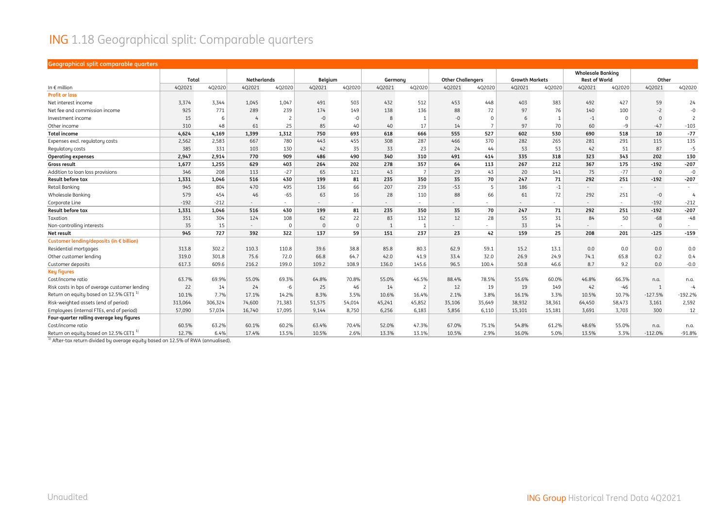#### ING 1.18 Geographical split: Comparable quarters

#### **Geographical split comparable quarters**

|                                                   | Total   |         | <b>Netherlands</b>       |                          | Belgium  |                | Germanu |                          | <b>Other Challengers</b> |                          | <b>Growth Markets</b> |        | <b>Wholesale Banking</b><br><b>Rest of World</b> |                          | Other               |                |
|---------------------------------------------------|---------|---------|--------------------------|--------------------------|----------|----------------|---------|--------------------------|--------------------------|--------------------------|-----------------------|--------|--------------------------------------------------|--------------------------|---------------------|----------------|
| In $\epsilon$ million                             | 4Q2021  | 4Q2020  | 4Q2021                   | 4Q2020                   | 4Q2021   | 4Q2020         | 4Q2021  | 4Q2020                   | 4Q2021                   | 4Q2020                   | 402021                | 4Q2020 | 4Q2021                                           | 4Q2020                   | 4Q2021              | 4Q2020         |
| <b>Profit or loss</b>                             |         |         |                          |                          |          |                |         |                          |                          |                          |                       |        |                                                  |                          |                     |                |
| Net interest income                               | 3,374   | 3,344   | 1,045                    | 1,047                    | 491      | 503            | 432     | 512                      | 453                      | 448                      | 403                   | 383    | 492                                              | 427                      | 59                  | 24             |
| Net fee and commission income                     | 925     | 771     | 289                      | 239                      | 174      | 149            | 138     | 136                      | 88                       | 72                       | 97                    | 76     | 140                                              | 100                      | $-2$                | $-0$           |
| Investment income                                 | 15      | -6      |                          | $\overline{\phantom{0}}$ | $-0$     | $-0$           | 8       | -1                       | $-0$                     | $\Omega$                 | 6                     | -1     | $-1$                                             | $\Omega$                 | $\mathbf{0}$        | $\overline{c}$ |
| Other income                                      | 310     | 48      | 61                       | 25                       | 85       | 40             | 40      | 17                       | 14                       |                          | 97                    | 70     | 60                                               | $-9$                     | $-47$               | $-103$         |
| <b>Total income</b>                               | 4,624   | 4,169   | 1,399                    | 1,312                    | 750      | 693            | 618     | 666                      | 555                      | 527                      | 602                   | 530    | 690                                              | 518                      | 10                  | $-77$          |
| Expenses excl. regulatory costs                   | 2,562   | 2,583   | 667                      | 780                      | 443      | 455            | 308     | 287                      | 466                      | 370                      | 282                   | 265    | 281                                              | 291                      | 115                 | 135            |
| Regulatory costs                                  | 385     | 331     | 103                      | 130                      | 42       | 35             | 33      | 23                       | 24                       | 44                       | 53                    | 53     | 42                                               | 51                       | 87                  | $-5$           |
| <b>Operating expenses</b>                         | 2,947   | 2,914   | 770                      | 909                      | 486      | 490            | 340     | 310                      | 491                      | 414                      | 335                   | 318    | 323                                              | 343                      | 202                 | 130            |
| <b>Gross result</b>                               | 1,677   | 1,255   | 629                      | 403                      | 264      | 202            | 278     | 357                      | 64                       | 113                      | 267                   | 212    | 367                                              | 175                      | $-192$              | $-207$         |
| Addition to loan loss provisions                  | 346     | 208     | 113                      | $-27$                    | 65       | 121            | 43      | $\overline{7}$           | 29                       | 43                       | 20                    | 141    | 75                                               | $-77$                    | $\mathsf{O}\xspace$ | $-0$           |
| <b>Result before tax</b>                          | 1,331   | 1,046   | 516                      | 430                      | 199      | 81             | 235     | 350                      | 35                       | 70                       | 247                   | 71     | 292                                              | 251                      | $-192$              | $-207$         |
| Retail Banking                                    | 945     | 804     | 470                      | 495                      | 136      | 66             | 207     | 239                      | $-53$                    | 5                        | 186                   | $-1$   | $\sim$                                           | $\sim$                   | $\sim$              |                |
| Wholesale Banking                                 | 579     | 454     | 46                       | $-65$                    | 63       | 16             | 28      | 110                      | 88                       | 66                       | 61                    | 72     | 292                                              | 251                      | $-0$                | $\overline{4}$ |
| Corporate Line                                    | $-192$  | $-212$  | $\overline{\phantom{a}}$ | $\sim$                   | $\sim$   | $\sim$ 10 $\,$ | $\sim$  | $\sim$                   |                          | ٠                        |                       | $\sim$ | $\sim$                                           | $\sim$                   | $-192$              | $-212$         |
| Result before tax                                 | 1,331   | 1,046   | 516                      | 430                      | 199      | 81             | 235     | 350                      | 35                       | 70                       | 247                   | 71     | 292                                              | 251                      | $-192$              | $-207$         |
| Taxation                                          | 351     | 304     | 124                      | 108                      | 62       | 22             | 83      | 112                      | 12                       | 28                       | 55                    | 31     | 84                                               | 50                       | $-68$               | $-48$          |
| Non-controlling interests                         | 35      | 15      | $\sim$                   | $\Omega$                 | $\Omega$ | $\Omega$       |         |                          | $\sim$                   | $\overline{\phantom{a}}$ | 33                    | 14     | $\sim$                                           | $\overline{\phantom{a}}$ | $\Omega$            | $\sim$         |
| Net result                                        | 945     | 727     | 392                      | 322                      | 137      | 59             | 151     | 237                      | 23                       | 42                       | 159                   | 25     | 208                                              | 201                      | $-125$              | $-159$         |
| Customer lending/deposits (in € billion)          |         |         |                          |                          |          |                |         |                          |                          |                          |                       |        |                                                  |                          |                     |                |
| Residential mortgages                             | 313.8   | 302.2   | 110.3                    | 110.8                    | 39.6     | 38.8           | 85.8    | 80.3                     | 62.9                     | 59.1                     | 15.2                  | 13.1   | 0.0                                              | 0.0                      | 0.0                 | 0.0            |
| Other customer lending                            | 319.0   | 301.8   | 75.6                     | 72.0                     | 66.8     | 64.7           | 42.0    | 41.9                     | 33.4                     | 32.0                     | 26.9                  | 24.9   | 74.1                                             | 65.8                     | 0.2                 | 0.4            |
| Customer deposits                                 | 617.3   | 609.6   | 216.2                    | 199.0                    | 109.2    | 108.9          | 136.0   | 145.6                    | 96.5                     | 100.4                    | 50.8                  | 46.6   | 8.7                                              | 9.2                      | 0.0                 | $-0.0$         |
| <b>Key figures</b>                                |         |         |                          |                          |          |                |         |                          |                          |                          |                       |        |                                                  |                          |                     |                |
| Cost/income ratio                                 | 63.7%   | 69.9%   | 55.0%                    | 69.3%                    | 64.8%    | 70.8%          | 55.0%   | 46.5%                    | 88.4%                    | 78.5%                    | 55.6%                 | 60.0%  | 46.8%                                            | 66.3%                    | n.a.                | n.a.           |
| Risk costs in bps of average customer lending     | 22      | 14      | 24                       | -6                       | 25       | 46             | 14      | $\overline{\phantom{0}}$ | 12                       | 19                       | 19                    | 149    | 42                                               | $-46$                    | $\overline{1}$      | $-4$           |
| Return on equity based on 12.5% CET1              | 10.1%   | 7.7%    | 17.1%                    | 14.2%                    | 8.3%     | 3.5%           | 10.6%   | 16.4%                    | 2.1%                     | 3.8%                     | 16.1%                 | 3.3%   | 10.5%                                            | 10.7%                    | $-127.5%$           | $-192.2%$      |
| Risk-weighted assets (end of period)              | 313,064 | 306,324 | 74,600                   | 71,383                   | 51,575   | 54,014         | 45,241  | 45,852                   | 35,106                   | 35,649                   | 38,932                | 38,361 | 64,450                                           | 58,473                   | 3,161               | 2,592          |
| Employees (internal FTEs, end of period)          | 57,090  | 57,034  | 16,740                   | 17,095                   | 9,144    | 8,750          | 6,256   | 6,183                    | 5,856                    | 6,110                    | 15,101                | 15,181 | 3,691                                            | 3,703                    | 300                 | 12             |
| Four-quarter rolling average key figures          |         |         |                          |                          |          |                |         |                          |                          |                          |                       |        |                                                  |                          |                     |                |
| Cost/income ratio                                 | 60.5%   | 63.2%   | 60.1%                    | 60.2%                    | 63.4%    | 70.4%          | 52.0%   | 47.3%                    | 67.0%                    | 75.1%                    | 54.8%                 | 61.2%  | 48.6%                                            | 55.0%                    | n.a.                | n.a.           |
| Return on equity based on 12.5% CET1 <sup>1</sup> | 12.7%   | 6.4%    | 17.4%                    | 13.5%                    | 10.5%    | 2.6%           | 13.3%   | 13.1%                    | 10.5%                    | 2.9%                     | 16.0%                 | 5.0%   | 13.5%                                            | 3.3%                     | $-112.0%$           | $-91.8%$       |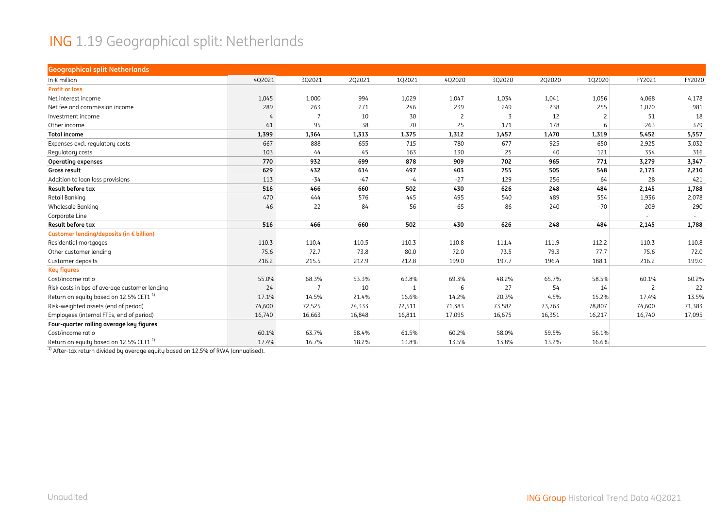#### ING 1.19 Geographical split: Netherlands

| <b>Geographical split Netherlands</b>              |        |        |        |        |                |        |        |        |                          |        |
|----------------------------------------------------|--------|--------|--------|--------|----------------|--------|--------|--------|--------------------------|--------|
| In $\epsilon$ million                              | 4Q2021 | 3Q2021 | 2Q2021 | 102021 | 4Q2020         | 3Q2020 | 2Q2020 | 1Q2020 | FY2021                   | FY2020 |
| <b>Profit or loss</b>                              |        |        |        |        |                |        |        |        |                          |        |
| Net interest income                                | 1,045  | 1,000  | 994    | 1,029  | 1,047          | 1,034  | 1,041  | 1,056  | 4,068                    | 4,178  |
| Net fee and commission income                      | 289    | 263    | 271    | 246    | 239            | 249    | 238    | 255    | 1,070                    | 981    |
| Investment income                                  | 4      | -7     | 10     | 30     | $\overline{c}$ | 3      | 12     |        | 51                       | 18     |
| Other income                                       | 61     | 95     | 38     | 70     | 25             | 171    | 178    | 6      | 263                      | 379    |
| <b>Total income</b>                                | 1,399  | 1,364  | 1,313  | 1,375  | 1,312          | 1,457  | 1,470  | 1,319  | 5,452                    | 5,557  |
| Expenses excl. regulatory costs                    | 667    | 888    | 655    | 715    | 780            | 677    | 925    | 650    | 2,925                    | 3,032  |
| Regulatory costs                                   | 103    | 44     | 45     | 163    | 130            | 25     | 40     | 121    | 354                      | 316    |
| <b>Operating expenses</b>                          | 770    | 932    | 699    | 878    | 909            | 702    | 965    | 771    | 3,279                    | 3,347  |
| Gross result                                       | 629    | 432    | 614    | 497    | 403            | 755    | 505    | 548    | 2,173                    | 2,210  |
| Addition to loan loss provisions                   | 113    | $-34$  | $-47$  | $-4$   | $-27$          | 129    | 256    | 64     | 28                       | 421    |
| Result before tax                                  | 516    | 466    | 660    | 502    | 430            | 626    | 248    | 484    | 2,145                    | 1,788  |
| Retail Banking                                     | 470    | 444    | 576    | 445    | 495            | 540    | 489    | 554    | 1,936                    | 2,078  |
| <b>Wholesale Banking</b>                           | 46     | 22     | 84     | 56     | $-65$          | 86     | $-240$ | $-70$  | 209                      | $-290$ |
| Corporate Line                                     |        |        |        |        |                |        |        |        | $\overline{\phantom{a}}$ |        |
| Result before tax                                  | 516    | 466    | 660    | 502    | 430            | 626    | 248    | 484    | 2,145                    | 1,788  |
| Customer lending/deposits (in € billion)           |        |        |        |        |                |        |        |        |                          |        |
| Residential mortgages                              | 110.3  | 110.4  | 110.5  | 110.3  | 110.8          | 111.4  | 111.9  | 112.2  | 110.3                    | 110.8  |
| Other customer lending                             | 75.6   | 72.7   | 73.8   | 80.0   | 72.0           | 73.5   | 79.3   | 77.7   | 75.6                     | 72.0   |
| Customer deposits                                  | 216.2  | 215.5  | 212.9  | 212.8  | 199.0          | 197.7  | 196.4  | 188.1  | 216.2                    | 199.0  |
| <b>Key figures</b>                                 |        |        |        |        |                |        |        |        |                          |        |
| Cost/income ratio                                  | 55.0%  | 68.3%  | 53.3%  | 63.8%  | 69.3%          | 48.2%  | 65.7%  | 58.5%  | 60.1%                    | 60.2%  |
| Risk costs in bps of average customer lending      | 24     | $-7$   | $-10$  | $-1$   | -6             | 27     | 54     | 14     | 2                        | 22     |
| Return on equity based on 12.5% CET1 <sup>1)</sup> | 17.1%  | 14.5%  | 21.4%  | 16.6%  | 14.2%          | 20.3%  | 4.5%   | 15.2%  | 17.4%                    | 13.5%  |
| Risk-weighted assets (end of period)               | 74,600 | 72,525 | 74,333 | 72,511 | 71,383         | 73,582 | 73,763 | 78,807 | 74,600                   | 71,383 |
| Employees (internal FTEs, end of period)           | 16,740 | 16,663 | 16,848 | 16,811 | 17,095         | 16,675 | 16,351 | 16,217 | 16,740                   | 17,095 |
| Four-quarter rolling average key figures           |        |        |        |        |                |        |        |        |                          |        |
| Cost/income ratio                                  | 60.1%  | 63.7%  | 58.4%  | 61.5%  | 60.2%          | 58.0%  | 59.5%  | 56.1%  |                          |        |
| Return on equity based on 12.5% CET1 <sup>1)</sup> | 17.4%  | 16.7%  | 18.2%  | 13.8%  | 13.5%          | 13.8%  | 13.2%  | 16.6%  |                          |        |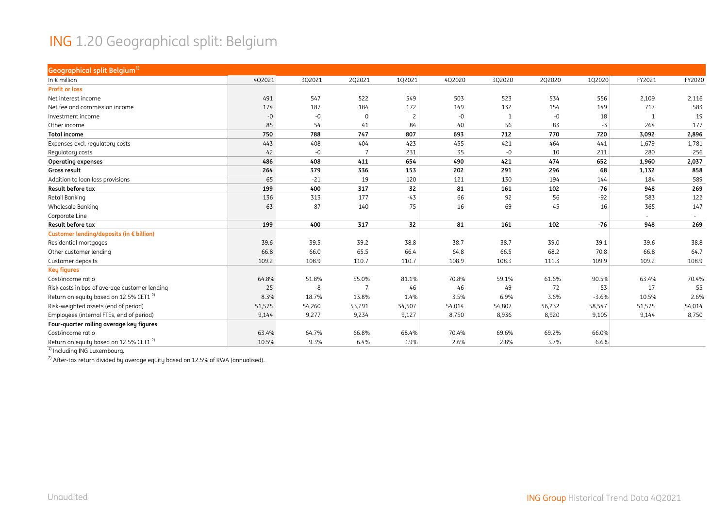#### ING 1.20 Geographical split: Belgium

| Geographical split Belgium <sup>1)</sup>           |        |        |             |        |        |        |        |         |        |        |
|----------------------------------------------------|--------|--------|-------------|--------|--------|--------|--------|---------|--------|--------|
| In $\epsilon$ million                              | 4Q2021 | 3Q2021 | 2Q2021      | 1Q2021 | 4Q2020 | 3Q2020 | 2Q2020 | 1Q2020  | FY2021 | FY2020 |
| <b>Profit or loss</b>                              |        |        |             |        |        |        |        |         |        |        |
| Net interest income                                | 491    | 547    | 522         | 549    | 503    | 523    | 534    | 556     | 2,109  | 2,116  |
| Net fee and commission income                      | 174    | 187    | 184         | 172    | 149    | 132    | 154    | 149     | 717    | 583    |
| Investment income                                  | $-0$   | $-0$   | $\mathbf 0$ | -2     | -0     | 1      | $-0$   | 18      |        | 19     |
| Other income                                       | 85     | 54     | 41          | 84     | 40     | 56     | 83     | $-3$    | 264    | 177    |
| <b>Total income</b>                                | 750    | 788    | 747         | 807    | 693    | 712    | 770    | 720     | 3,092  | 2,896  |
| Expenses excl. regulatory costs                    | 443    | 408    | 404         | 423    | 455    | 421    | 464    | 441     | 1,679  | 1,781  |
| Regulatory costs                                   | 42     | $-0$   |             | 231    | 35     | $-0$   | 10     | 211     | 280    | 256    |
| <b>Operating expenses</b>                          | 486    | 408    | 411         | 654    | 490    | 421    | 474    | 652     | 1,960  | 2,037  |
| <b>Gross result</b>                                | 264    | 379    | 336         | 153    | 202    | 291    | 296    | 68      | 1,132  | 858    |
| Addition to loan loss provisions                   | 65     | $-21$  | 19          | 120    | 121    | 130    | 194    | 144     | 184    | 589    |
| <b>Result before tax</b>                           | 199    | 400    | 317         | 32     | 81     | 161    | 102    | $-76$   | 948    | 269    |
| <b>Retail Banking</b>                              | 136    | 313    | 177         | $-43$  | 66     | 92     | 56     | $-92$   | 583    | 122    |
| Wholesale Banking                                  | 63     | 87     | 140         | 75     | 16     | 69     | 45     | 16      | 365    | 147    |
| Corporate Line                                     |        |        |             |        |        |        |        |         | $\sim$ |        |
| Result before tax                                  | 199    | 400    | 317         | 32     | 81     | 161    | 102    | -76     | 948    | 269    |
| Customer lending/deposits (in € billion)           |        |        |             |        |        |        |        |         |        |        |
| Residential mortgages                              | 39.6   | 39.5   | 39.2        | 38.8   | 38.7   | 38.7   | 39.0   | 39.1    | 39.6   | 38.8   |
| Other customer lending                             | 66.8   | 66.0   | 65.5        | 66.4   | 64.8   | 66.5   | 68.2   | 70.8    | 66.8   | 64.7   |
| Customer deposits                                  | 109.2  | 108.9  | 110.7       | 110.7  | 108.9  | 108.3  | 111.3  | 109.9   | 109.2  | 108.9  |
| <b>Key figures</b>                                 |        |        |             |        |        |        |        |         |        |        |
| Cost/income ratio                                  | 64.8%  | 51.8%  | 55.0%       | 81.1%  | 70.8%  | 59.1%  | 61.6%  | 90.5%   | 63.4%  | 70.4%  |
| Risk costs in bps of average customer lending      | 25     | $-8$   |             | 46     | 46     | 49     | 72     | 53      | 17     | 55     |
| Return on equity based on 12.5% CET1 <sup>2)</sup> | 8.3%   | 18.7%  | 13.8%       | 1.4%   | 3.5%   | 6.9%   | 3.6%   | $-3.6%$ | 10.5%  | 2.6%   |
| Risk-weighted assets (end of period)               | 51,575 | 54,260 | 53,291      | 54,507 | 54,014 | 54,807 | 56,232 | 58,547  | 51,575 | 54,014 |
| Employees (internal FTEs, end of period)           | 9,144  | 9,277  | 9,234       | 9,127  | 8,750  | 8,936  | 8,920  | 9,105   | 9,144  | 8,750  |
| Four-quarter rolling average key figures           |        |        |             |        |        |        |        |         |        |        |
| Cost/income ratio                                  | 63.4%  | 64.7%  | 66.8%       | 68.4%  | 70.4%  | 69.6%  | 69.2%  | 66.0%   |        |        |
| Return on equity based on 12.5% CET1 <sup>2)</sup> | 10.5%  | 9.3%   | 6.4%        | 3.9%   | 2.6%   | 2.8%   | 3.7%   | 6.6%    |        |        |

<sup>1)</sup> Including ING Luxembourg.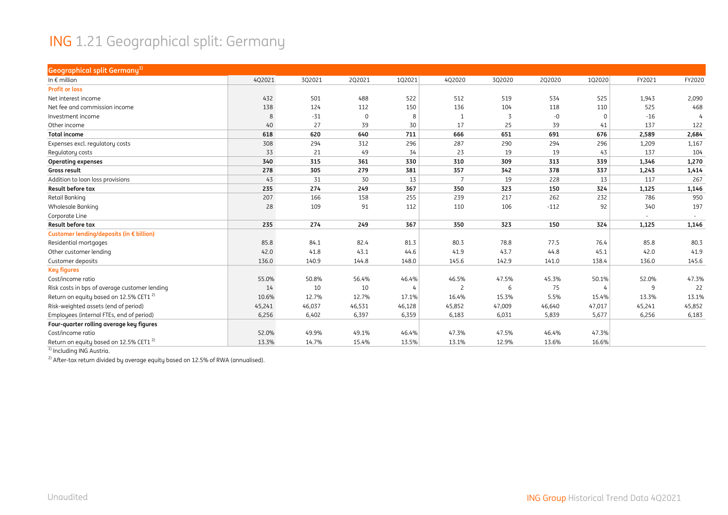#### ING 1.21 Geographical split: Germany

| <b>Geographical split Germany</b> <sup>1)</sup>    |        |        |          |        |                 |        |        |          |                          |        |
|----------------------------------------------------|--------|--------|----------|--------|-----------------|--------|--------|----------|--------------------------|--------|
| In $\epsilon$ million                              | 4Q2021 | 3Q2021 | 2Q2021   | 102021 | 4Q2020          | 3Q2020 | 2Q2020 | 102020   | FY2021                   | FY2020 |
| <b>Profit or loss</b>                              |        |        |          |        |                 |        |        |          |                          |        |
| Net interest income                                | 432    | 501    | 488      | 522    | 512             | 519    | 534    | 525      | 1,943                    | 2,090  |
| Net fee and commission income                      | 138    | 124    | 112      | 150    | 136             | 104    | 118    | 110      | 525                      | 468    |
| Investment income                                  | 8      | $-31$  | $\Omega$ | 8      | $\mathbf{1}$    | 3      | $-0$   | $\Omega$ | $-16$                    |        |
| Other income                                       | 40     | 27     | 39       | 30     | 17              | 25     | 39     | 41       | 137                      | 122    |
| <b>Total income</b>                                | 618    | 620    | 640      | 711    | 666             | 651    | 691    | 676      | 2,589                    | 2,684  |
| Expenses excl. regulatory costs                    | 308    | 294    | 312      | 296    | 287             | 290    | 294    | 296      | 1,209                    | 1,167  |
| Regulatory costs                                   | 33     | 21     | 49       | 34     | 23              | 19     | 19     | 43       | 137                      | 104    |
| <b>Operating expenses</b>                          | 340    | 315    | 361      | 330    | 310             | 309    | 313    | 339      | 1,346                    | 1,270  |
| Gross result                                       | 278    | 305    | 279      | 381    | 357             | 342    | 378    | 337      | 1,243                    | 1,414  |
| Addition to loan loss provisions                   | 43     | 31     | 30       | 13     | $7\overline{ }$ | 19     | 228    | 13       | 117                      | 267    |
| Result before tax                                  | 235    | 274    | 249      | 367    | 350             | 323    | 150    | 324      | 1,125                    | 1,146  |
| Retail Banking                                     | 207    | 166    | 158      | 255    | 239             | 217    | 262    | 232      | 786                      | 950    |
| <b>Wholesale Banking</b>                           | 28     | 109    | 91       | 112    | 110             | 106    | $-112$ | 92       | 340                      | 197    |
| Corporate Line                                     |        |        |          |        |                 |        |        |          | $\overline{\phantom{a}}$ |        |
| Result before tax                                  | 235    | 274    | 249      | 367    | 350             | 323    | 150    | 324      | 1,125                    | 1,146  |
| Customer lending/deposits (in € billion)           |        |        |          |        |                 |        |        |          |                          |        |
| Residential mortgages                              | 85.8   | 84.1   | 82.4     | 81.3   | 80.3            | 78.8   | 77.5   | 76.4     | 85.8                     | 80.3   |
| Other customer lending                             | 42.0   | 41.8   | 43.1     | 44.6   | 41.9            | 43.7   | 44.8   | 45.1     | 42.0                     | 41.9   |
| Customer deposits                                  | 136.0  | 140.9  | 144.8    | 148.0  | 145.6           | 142.9  | 141.0  | 138.4    | 136.0                    | 145.6  |
| <b>Key figures</b>                                 |        |        |          |        |                 |        |        |          |                          |        |
| Cost/income ratio                                  | 55.0%  | 50.8%  | 56.4%    | 46.4%  | 46.5%           | 47.5%  | 45.3%  | 50.1%    | 52.0%                    | 47.3%  |
| Risk costs in bps of average customer lending      | 14     | 10     | 10       |        | $\overline{c}$  | 6      | 75     | 4        | 9                        | 22     |
| Return on equity based on 12.5% CET1 <sup>2)</sup> | 10.6%  | 12.7%  | 12.7%    | 17.1%  | 16.4%           | 15.3%  | 5.5%   | 15.4%    | 13.3%                    | 13.1%  |
| Risk-weighted assets (end of period)               | 45,241 | 46,037 | 46,531   | 46,128 | 45,852          | 47,009 | 46,640 | 47,017   | 45,241                   | 45,852 |
| Employees (internal FTEs, end of period)           | 6,256  | 6,402  | 6,397    | 6,359  | 6,183           | 6,031  | 5,839  | 5,677    | 6,256                    | 6,183  |
| Four-quarter rolling average key figures           |        |        |          |        |                 |        |        |          |                          |        |
| Cost/income ratio                                  | 52.0%  | 49.9%  | 49.1%    | 46.4%  | 47.3%           | 47.5%  | 46.4%  | 47.3%    |                          |        |
| Return on equity based on 12.5% CET1 <sup>2)</sup> | 13.3%  | 14.7%  | 15.4%    | 13.5%  | 13.1%           | 12.9%  | 13.6%  | 16.6%    |                          |        |

<sup>1)</sup> Including ING Austria.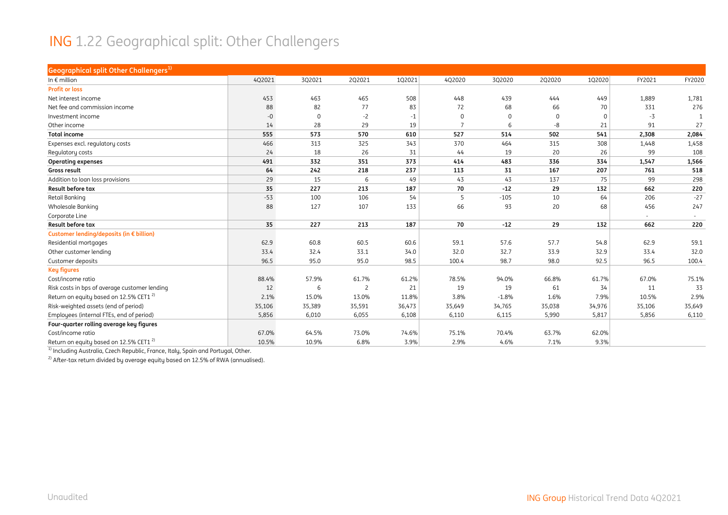#### ING 1.22 Geographical split: Other Challengers

| <b>Geographical split Other Challengers</b> <sup>1)</sup> |        |          |        |        |                |             |             |          |        |        |
|-----------------------------------------------------------|--------|----------|--------|--------|----------------|-------------|-------------|----------|--------|--------|
| In $\epsilon$ million                                     | 4Q2021 | 3Q2021   | 2Q2021 | 102021 | 4Q2020         | 3Q2020      | 2Q2020      | 102020   | FY2021 | FY2020 |
| <b>Profit or loss</b>                                     |        |          |        |        |                |             |             |          |        |        |
| Net interest income                                       | 453    | 463      | 465    | 508    | 448            | 439         | 444         | 449      | 1,889  | 1,781  |
| Net fee and commission income                             | 88     | 82       | 77     | 83     | 72             | 68          | 66          | 70       | 331    | 276    |
| Investment income                                         | $-0$   | $\Omega$ | $-2$   | $-1$   | $\Omega$       | $\mathbf 0$ | $\mathbf 0$ | $\Omega$ | $-3$   |        |
| Other income                                              | 14     | 28       | 29     | 19     | $\overline{7}$ | 6           | -8          | 21       | 91     | 27     |
| <b>Total income</b>                                       | 555    | 573      | 570    | 610    | 527            | 514         | 502         | 541      | 2,308  | 2,084  |
| Expenses excl. regulatory costs                           | 466    | 313      | 325    | 343    | 370            | 464         | 315         | 308      | 1,448  | 1,458  |
| Regulatory costs                                          | 24     | 18       | 26     | 31     | 44             | 19          | 20          | 26       | 99     | 108    |
| <b>Operating expenses</b>                                 | 491    | 332      | 351    | 373    | 414            | 483         | 336         | 334      | 1,547  | 1,566  |
| <b>Gross result</b>                                       | 64     | 242      | 218    | 237    | 113            | 31          | 167         | 207      | 761    | 518    |
| Addition to loan loss provisions                          | 29     | 15       | 6      | 49     | 43             | 43          | 137         | 75       | 99     | 298    |
| Result before tax                                         | 35     | 227      | 213    | 187    | 70             | $-12$       | 29          | 132      | 662    | 220    |
| <b>Retail Banking</b>                                     | $-53$  | 100      | 106    | 54     | 5              | $-105$      | 10          | 64       | 206    | $-27$  |
| <b>Wholesale Banking</b>                                  | 88     | 127      | 107    | 133    | 66             | 93          | 20          | 68       | 456    | 247    |
| Corporate Line                                            |        |          |        |        |                |             |             |          | $\sim$ |        |
| Result before tax                                         | 35     | 227      | 213    | 187    | 70             | $-12$       | 29          | 132      | 662    | 220    |
| Customer lending/deposits (in € billion)                  |        |          |        |        |                |             |             |          |        |        |
| Residential mortgages                                     | 62.9   | 60.8     | 60.5   | 60.6   | 59.1           | 57.6        | 57.7        | 54.8     | 62.9   | 59.1   |
| Other customer lending                                    | 33.4   | 32.4     | 33.1   | 34.0   | 32.0           | 32.7        | 33.9        | 32.9     | 33.4   | 32.0   |
| Customer deposits                                         | 96.5   | 95.0     | 95.0   | 98.5   | 100.4          | 98.7        | 98.0        | 92.5     | 96.5   | 100.4  |
| <b>Key figures</b>                                        |        |          |        |        |                |             |             |          |        |        |
| Cost/income ratio                                         | 88.4%  | 57.9%    | 61.7%  | 61.2%  | 78.5%          | 94.0%       | 66.8%       | 61.7%    | 67.0%  | 75.1%  |
| Risk costs in bps of average customer lending             | 12     | 6        | 2      | 21     | 19             | 19          | 61          | 34       | 11     | 33     |
| Return on equity based on 12.5% CET1 <sup>2)</sup>        | 2.1%   | 15.0%    | 13.0%  | 11.8%  | 3.8%           | $-1.8%$     | 1.6%        | 7.9%     | 10.5%  | 2.9%   |
| Risk-weighted assets (end of period)                      | 35,106 | 35,389   | 35,591 | 36,473 | 35,649         | 34,765      | 35,038      | 34,976   | 35,106 | 35,649 |
| Employees (internal FTEs, end of period)                  | 5,856  | 6,010    | 6,055  | 6,108  | 6,110          | 6,115       | 5,990       | 5,817    | 5,856  | 6,110  |
| Four-quarter rolling average key figures                  |        |          |        |        |                |             |             |          |        |        |
| Cost/income ratio                                         | 67.0%  | 64.5%    | 73.0%  | 74.6%  | 75.1%          | 70.4%       | 63.7%       | 62.0%    |        |        |
| Return on equity based on 12.5% CET1 <sup>2)</sup>        | 10.5%  | 10.9%    | 6.8%   | 3.9%   | 2.9%           | 4.6%        | 7.1%        | 9.3%     |        |        |

 $1$ ) Including Australia, Czech Republic, France, Italy, Spain and Portugal, Other.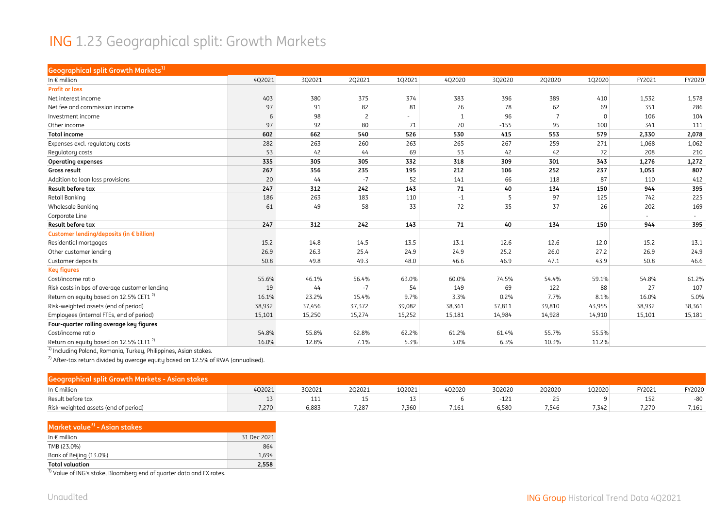#### ING 1.23 Geographical split: Growth Markets

| <b>Geographical split Growth Markets1)</b>         |        |        |                |        |              |        |        |          |        |        |
|----------------------------------------------------|--------|--------|----------------|--------|--------------|--------|--------|----------|--------|--------|
| In $\epsilon$ million                              | 4Q2021 | 3Q2021 | 2Q2021         | 1Q2021 | 4Q2020       | 3Q2020 | 2Q2020 | 1Q2020   | FY2021 | FY2020 |
| <b>Profit or loss</b>                              |        |        |                |        |              |        |        |          |        |        |
| Net interest income                                | 403    | 380    | 375            | 374    | 383          | 396    | 389    | 410      | 1,532  | 1,578  |
| Net fee and commission income                      | 97     | 91     | 82             | 81     | 76           | 78     | 62     | 69       | 351    | 286    |
| Investment income                                  | 6      | 98     | $\overline{c}$ |        | $\mathbf{1}$ | 96     | 7      | $\Omega$ | 106    | 104    |
| Other income                                       | 97     | 92     | 80             | 71     | 70           | $-155$ | 95     | 100      | 341    | 111    |
| <b>Total income</b>                                | 602    | 662    | 540            | 526    | 530          | 415    | 553    | 579      | 2,330  | 2,078  |
| Expenses excl. regulatory costs                    | 282    | 263    | 260            | 263    | 265          | 267    | 259    | 271      | 1,068  | 1,062  |
| Regulatory costs                                   | 53     | 42     | 44             | 69     | 53           | 42     | 42     | 72       | 208    | 210    |
| <b>Operating expenses</b>                          | 335    | 305    | 305            | 332    | 318          | 309    | 301    | 343      | 1,276  | 1,272  |
| Gross result                                       | 267    | 356    | 235            | 195    | 212          | 106    | 252    | 237      | 1,053  | 807    |
| Addition to loan loss provisions                   | 20     | 44     | $-7$           | 52     | 141          | 66     | 118    | 87       | 110    | 412    |
| Result before tax                                  | 247    | 312    | 242            | 143    | 71           | 40     | 134    | 150      | 944    | 395    |
| Retail Banking                                     | 186    | 263    | 183            | 110    | $-1$         | 5      | 97     | 125      | 742    | 225    |
| Wholesale Banking                                  | 61     | 49     | 58             | 33     | 72           | 35     | 37     | 26       | 202    | 169    |
| Corporate Line                                     |        |        |                |        |              |        |        |          | $\sim$ |        |
| Result before tax                                  | 247    | 312    | 242            | 143    | 71           | 40     | 134    | 150      | 944    | 395    |
| Customer lending/deposits (in € billion)           |        |        |                |        |              |        |        |          |        |        |
| Residential mortgages                              | 15.2   | 14.8   | 14.5           | 13.5   | 13.1         | 12.6   | 12.6   | 12.0     | 15.2   | 13.1   |
| Other customer lending                             | 26.9   | 26.3   | 25.4           | 24.9   | 24.9         | 25.2   | 26.0   | 27.2     | 26.9   | 24.9   |
| Customer deposits                                  | 50.8   | 49.8   | 49.3           | 48.0   | 46.6         | 46.9   | 47.1   | 43.9     | 50.8   | 46.6   |
| <b>Key figures</b>                                 |        |        |                |        |              |        |        |          |        |        |
| Cost/income ratio                                  | 55.6%  | 46.1%  | 56.4%          | 63.0%  | 60.0%        | 74.5%  | 54.4%  | 59.1%    | 54.8%  | 61.2%  |
| Risk costs in bps of average customer lending      | 19     | 44     | $-7$           | 54     | 149          | 69     | 122    | 88       | 27     | 107    |
| Return on equity based on 12.5% CET1 <sup>2)</sup> | 16.1%  | 23.2%  | 15.4%          | 9.7%   | 3.3%         | 0.2%   | 7.7%   | 8.1%     | 16.0%  | 5.0%   |
| Risk-weighted assets (end of period)               | 38,932 | 37,456 | 37,372         | 39,082 | 38,361       | 37,811 | 39,810 | 43,955   | 38,932 | 38,361 |
| Employees (internal FTEs, end of period)           | 15,101 | 15,250 | 15,274         | 15,252 | 15,181       | 14,984 | 14,928 | 14,910   | 15,101 | 15,181 |
| Four-quarter rolling average key figures           |        |        |                |        |              |        |        |          |        |        |
| Cost/income ratio                                  | 54.8%  | 55.8%  | 62.8%          | 62.2%  | 61.2%        | 61.4%  | 55.7%  | 55.5%    |        |        |
| Return on equity based on 12.5% CET1 <sup>2)</sup> | 16.0%  | 12.8%  | 7.1%           | 5.3%   | 5.0%         | 6.3%   | 10.3%  | 11.2%    |        |        |

<sup>1)</sup> Including Poland, Romania, Turkey, Philippines, Asian stakes.

<sup>2)</sup> After-tax return divided by average equity based on 12.5% of RWA (annualised).

| - phical split Growth Markets        |        |        |        |        |        |        |        |        |        |        |
|--------------------------------------|--------|--------|--------|--------|--------|--------|--------|--------|--------|--------|
| In $\epsilon$ million                | 4Q2021 | 3Q2021 | 2Q2021 | 102021 | 4Q2020 | 3Q2020 | 202020 | 1Q2020 | FY2021 | FY2020 |
| Result before tax                    |        | 111    |        |        |        | $-121$ |        |        | 152    | -80    |
| Risk-weighted assets (end of period) | 7.270  | 6,883  | /.287  | 7,360  | 7,161  | 6.580  | 7.546  | 7.342  | 7.270  | 7,161  |

| In $\epsilon$ million<br>TMB (23.0%)    |             |
|-----------------------------------------|-------------|
|                                         | 31 Dec 2021 |
|                                         | 864         |
| Bank of Beijing (13.0%)                 | 1.694       |
| <b>Total valuation</b><br>$\frac{1}{2}$ | 2,558       |

<sup>3)</sup> Value of ING's stake, Bloomberg end of quarter data and FX rates.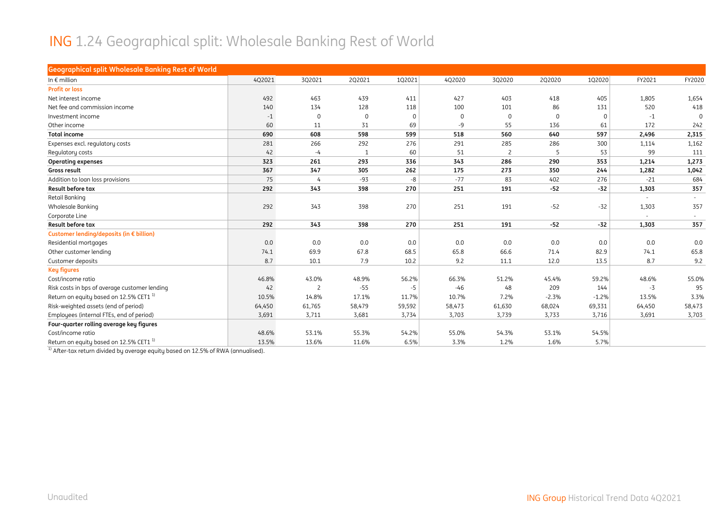#### ING 1.24 Geographical split: Wholesale Banking Rest of World

| <b>Geographical split Wholesale Banking Rest of World</b> |        |                |        |          |             |                |             |         |                          |          |
|-----------------------------------------------------------|--------|----------------|--------|----------|-------------|----------------|-------------|---------|--------------------------|----------|
| In $\epsilon$ million                                     | 4Q2021 | 3Q2021         | 2Q2021 | 102021   | 4Q2020      | 3Q2020         | 2Q2020      | 1Q2020  | FY2021                   | FY2020   |
| <b>Profit or loss</b>                                     |        |                |        |          |             |                |             |         |                          |          |
| Net interest income                                       | 492    | 463            | 439    | 411      | 427         | 403            | 418         | 405     | 1,805                    | 1,654    |
| Net fee and commission income                             | 140    | 134            | 128    | 118      | 100         | 101            | 86          | 131     | 520                      | 418      |
| Investment income                                         | $-1$   | $\mathbf 0$    | 0      | $\Omega$ | $\mathbf 0$ | $\mathbf 0$    | $\mathbf 0$ | 0       | $-1$                     | $\Omega$ |
| Other income                                              | 60     | 11             | 31     | 69       | -9          | 55             | 136         | 61      | 172                      | 242      |
| <b>Total income</b>                                       | 690    | 608            | 598    | 599      | 518         | 560            | 640         | 597     | 2,496                    | 2,315    |
| Expenses excl. regulatory costs                           | 281    | 266            | 292    | 276      | 291         | 285            | 286         | 300     | 1,114                    | 1,162    |
| Regulatory costs                                          | 42     | $-4$           | 1      | 60       | 51          | $\overline{c}$ | 5           | 53      | 99                       | 111      |
| <b>Operating expenses</b>                                 | 323    | 261            | 293    | 336      | 343         | 286            | 290         | 353     | 1,214                    | 1,273    |
| Gross result                                              | 367    | 347            | 305    | 262      | 175         | 273            | 350         | 244     | 1,282                    | 1,042    |
| Addition to loan loss provisions                          | 75     | 4              | $-93$  | -8       | $-77$       | 83             | 402         | 276     | $-21$                    | 684      |
| Result before tax                                         | 292    | 343            | 398    | 270      | 251         | 191            | $-52$       | $-32$   | 1,303                    | 357      |
| Retail Banking                                            |        |                |        |          |             |                |             |         | $\overline{\phantom{a}}$ | $\sim$   |
| Wholesale Banking                                         | 292    | 343            | 398    | 270      | 251         | 191            | $-52$       | $-32$   | 1,303                    | 357      |
| Corporate Line                                            |        |                |        |          |             |                |             |         |                          |          |
| Result before tax                                         | 292    | 343            | 398    | 270      | 251         | 191            | $-52$       | $-32$   | 1,303                    | 357      |
| Customer lending/deposits (in € billion)                  |        |                |        |          |             |                |             |         |                          |          |
| Residential mortgages                                     | 0.0    | 0.0            | 0.0    | 0.0      | 0.0         | 0.0            | 0.0         | 0.0     | 0.0                      | 0.0      |
| Other customer lending                                    | 74.1   | 69.9           | 67.8   | 68.5     | 65.8        | 66.6           | 71.4        | 82.9    | 74.1                     | 65.8     |
| Customer deposits                                         | 8.7    | 10.1           | 7.9    | 10.2     | 9.2         | 11.1           | 12.0        | 13.5    | 8.7                      | 9.2      |
| <b>Key figures</b>                                        |        |                |        |          |             |                |             |         |                          |          |
| Cost/income ratio                                         | 46.8%  | 43.0%          | 48.9%  | 56.2%    | 66.3%       | 51.2%          | 45.4%       | 59.2%   | 48.6%                    | 55.0%    |
| Risk costs in bps of average customer lending             | 42     | $\overline{c}$ | $-55$  | $-5$     | $-46$       | 48             | 209         | 144     | $-3$                     | 95       |
| Return on equity based on 12.5% CET1 <sup>1)</sup>        | 10.5%  | 14.8%          | 17.1%  | 11.7%    | 10.7%       | 7.2%           | $-2.3%$     | $-1.2%$ | 13.5%                    | 3.3%     |
| Risk-weighted assets (end of period)                      | 64,450 | 61,765         | 58,479 | 59,592   | 58,473      | 61,630         | 68,024      | 69,331  | 64,450                   | 58,473   |
| Employees (internal FTEs, end of period)                  | 3,691  | 3,711          | 3,681  | 3,734    | 3,703       | 3,739          | 3,733       | 3,716   | 3,691                    | 3,703    |
| Four-quarter rolling average key figures                  |        |                |        |          |             |                |             |         |                          |          |
| Cost/income ratio                                         | 48.6%  | 53.1%          | 55.3%  | 54.2%    | 55.0%       | 54.3%          | 53.1%       | 54.5%   |                          |          |
| Return on equity based on 12.5% CET1 <sup>1)</sup>        | 13.5%  | 13.6%          | 11.6%  | 6.5%     | 3.3%        | 1.2%           | 1.6%        | 5.7%    |                          |          |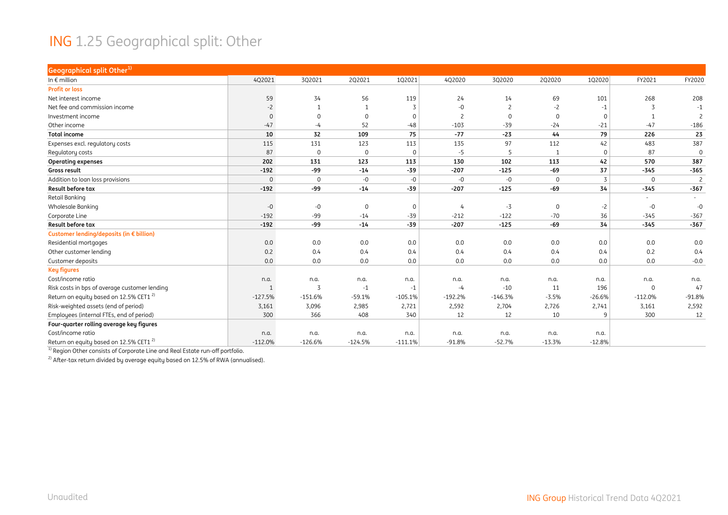#### ING 1.25 Geographical split: Other

| <b>Geographical split Other1)</b>                  |             |                |             |              |                |                |             |             |             |                          |
|----------------------------------------------------|-------------|----------------|-------------|--------------|----------------|----------------|-------------|-------------|-------------|--------------------------|
| In $\epsilon$ million                              | 4Q2021      | 3Q2021         | 2Q2021      | 102021       | 4Q2020         | 3Q2020         | 2Q2020      | 1Q2020      | FY2021      | FY2020                   |
| <b>Profit or loss</b>                              |             |                |             |              |                |                |             |             |             |                          |
| Net interest income                                | 59          | 34             | 56          | 119          | 24             | 14             | 69          | 101         | 268         | 208                      |
| Net fee and commission income                      | $-2$        |                |             | 3            | $-0$           | $\overline{c}$ | $-2$        | $-1$        |             | $-1$                     |
| Investment income                                  | $\mathbf 0$ | $\Omega$       | $\mathbf 0$ | $\Omega$     | $\overline{c}$ | $\Omega$       | $\mathbf 0$ | $\mathbf 0$ |             | $\overline{\phantom{0}}$ |
| Other income                                       | $-47$       | -4             | 52          | $-48$        | $-103$         | $-39$          | $-24$       | $-21$       | $-47$       | $-186$                   |
| <b>Total income</b>                                | 10          | 32             | 109         | 75           | $-77$          | $-23$          | 44          | 79          | 226         | 23                       |
| Expenses excl. regulatory costs                    | 115         | 131            | 123         | 113          | 135            | 97             | 112         | 42          | 483         | 387                      |
| Regulatory costs                                   | 87          | $\mathbf 0$    | $\mathbf 0$ | $\Omega$     | $-5$           | -5             |             | $\mathbf 0$ | 87          | $\mathbf 0$              |
| <b>Operating expenses</b>                          | 202         | 131            | 123         | 113          | 130            | 102            | 113         | 42          | 570         | 387                      |
| Gross result                                       | $-192$      | -99            | $-14$       | $-39$        | $-207$         | $-125$         | $-69$       | 37          | $-345$      | $-365$                   |
| Addition to loan loss provisions                   | $\mathbf 0$ | $\mathbf 0$    | $-0$        | $-0$         | $-0$           | $-0$           | $\Omega$    | 3           | $\mathbf 0$ | $\overline{c}$           |
| Result before tax                                  | $-192$      | -99            | $-14$       | $-39$        | $-207$         | $-125$         | $-69$       | 34          | $-345$      | $-367$                   |
| Retail Banking                                     |             |                |             |              |                |                |             |             | $\sim$      |                          |
| <b>Wholesale Banking</b>                           | -0          | $-0$           | $\mathbf 0$ | $\mathbf{0}$ | 4              | $-3$           | 0           | $-2$        | $-0$        | $-0$                     |
| Corporate Line                                     | $-192$      | $-99$          | $-14$       | $-39$        | $-212$         | $-122$         | $-70$       | 36          | $-345$      | $-367$                   |
| Result before tax                                  | $-192$      | -99            | $-14$       | $-39$        | $-207$         | $-125$         | -69         | 34          | $-345$      | $-367$                   |
| Customer lending/deposits (in € billion)           |             |                |             |              |                |                |             |             |             |                          |
| Residential mortgages                              | 0.0         | 0.0            | 0.0         | 0.0          | 0.0            | 0.0            | 0.0         | 0.0         | 0.0         | 0.0                      |
| Other customer lending                             | 0.2         | 0.4            | 0.4         | 0.4          | 0.4            | 0.4            | 0.4         | 0.4         | 0.2         | 0.4                      |
| Customer deposits                                  | 0.0         | 0.0            | 0.0         | 0.0          | 0.0            | 0.0            | 0.0         | 0.0         | 0.0         | $-0.0$                   |
| <b>Key figures</b>                                 |             |                |             |              |                |                |             |             |             |                          |
| Cost/income ratio                                  | n.a.        | n.a.           | n.a.        | n.a.         | n.a.           | n.a.           | n.a.        | n.a.        | n.a.        | n.a.                     |
| Risk costs in bps of average customer lending      | 1           | $\overline{z}$ | $-1$        | $-1$         | $-4$           | $-10$          | 11          | 196         | $\mathbf 0$ | 47                       |
| Return on equity based on 12.5% CET1 <sup>2)</sup> | $-127.5%$   | $-151.6%$      | $-59.1%$    | $-105.1%$    | $-192.2%$      | $-146.3%$      | $-3.5%$     | $-26.6%$    | $-112.0%$   | $-91.8%$                 |
| Risk-weighted assets (end of period)               | 3,161       | 3,096          | 2,985       | 2,721        | 2,592          | 2,704          | 2,726       | 2,741       | 3,161       | 2,592                    |
| Employees (internal FTEs, end of period)           | 300         | 366            | 408         | 340          | 12             | 12             | 10          | 9           | 300         | 12                       |
| Four-quarter rolling average key figures           |             |                |             |              |                |                |             |             |             |                          |
| Cost/income ratio                                  | n.a.        | n.a.           | n.a.        | n.a.         | n.a.           | n.a.           | n.a.        | n.a.        |             |                          |
| Return on equity based on 12.5% CET1 <sup>2)</sup> | $-112.0%$   | $-126.6%$      | $-124.5%$   | $-111.1%$    | $-91.8%$       | $-52.7%$       | $-13.3%$    | $-12.8%$    |             |                          |

<sup>1)</sup> Region Other consists of Corporate Line and Real Estate run-off portfolio.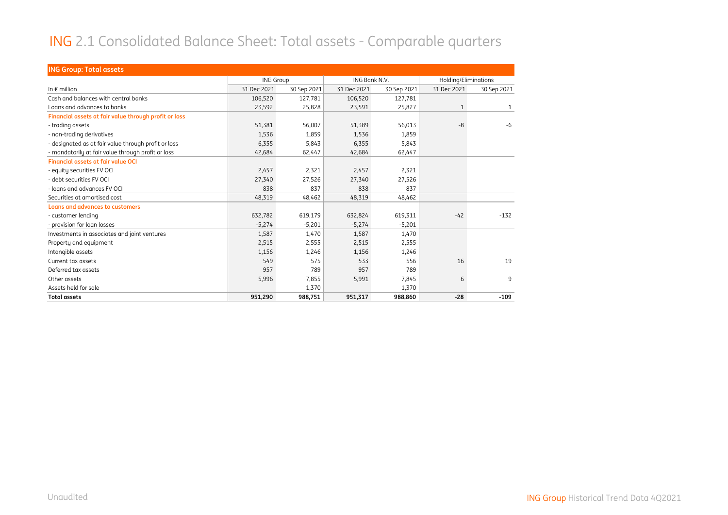#### ING 2.1 Consolidated Balance Sheet: Total assets - Comparable quarters

| <b>ING Group: Total assets</b>                        |                  |             |               |             |                      |              |
|-------------------------------------------------------|------------------|-------------|---------------|-------------|----------------------|--------------|
|                                                       | <b>ING Group</b> |             | ING Bank N.V. |             | Holding/Eliminations |              |
| In $\notin$ million                                   | 31 Dec 2021      | 30 Sep 2021 | 31 Dec 2021   | 30 Sep 2021 | 31 Dec 2021          | 30 Sep 2021  |
| Cash and balances with central banks                  | 106,520          | 127.781     | 106,520       | 127,781     |                      |              |
| Loans and advances to banks                           | 23,592           | 25,828      | 23,591        | 25,827      | $\mathbf{1}$         | $\mathbf{1}$ |
| Financial assets at fair value through profit or loss |                  |             |               |             |                      |              |
| - trading assets                                      | 51,381           | 56,007      | 51,389        | 56,013      | $-8$                 | $-6$         |
| - non-trading derivatives                             | 1,536            | 1,859       | 1,536         | 1,859       |                      |              |
| - designated as at fair value through profit or loss  | 6,355            | 5,843       | 6,355         | 5,843       |                      |              |
| - mandatorily at fair value through profit or loss    | 42,684           | 62,447      | 42,684        | 62,447      |                      |              |
| <b>Financial assets at fair value OCI</b>             |                  |             |               |             |                      |              |
| - equity securities FV OCI                            | 2,457            | 2,321       | 2.457         | 2,321       |                      |              |
| - debt securities FV OCI                              | 27,340           | 27,526      | 27,340        | 27,526      |                      |              |
| - loans and advances FV OCL                           | 838              | 837         | 838           | 837         |                      |              |
| Securities at amortised cost                          | 48,319           | 48,462      | 48,319        | 48,462      |                      |              |
| <b>Loans and advances to customers</b>                |                  |             |               |             |                      |              |
| - customer lending                                    | 632,782          | 619,179     | 632,824       | 619,311     | $-42$                | $-132$       |
| - provision for loan losses                           | $-5,274$         | $-5,201$    | $-5,274$      | $-5,201$    |                      |              |
| Investments in associates and joint ventures          | 1,587            | 1,470       | 1,587         | 1,470       |                      |              |
| Property and equipment                                | 2,515            | 2,555       | 2,515         | 2,555       |                      |              |
| Intangible assets                                     | 1,156            | 1,246       | 1,156         | 1,246       |                      |              |
| Current tax assets                                    | 549              | 575         | 533           | 556         | 16                   | 19           |
| Deferred tax assets                                   | 957              | 789         | 957           | 789         |                      |              |
| Other assets                                          | 5,996            | 7,855       | 5,991         | 7,845       | 6                    | 9            |
| Assets held for sale                                  |                  | 1,370       |               | 1,370       |                      |              |
| <b>Total assets</b>                                   | 951,290          | 988,751     | 951,317       | 988,860     | $-28$                | $-109$       |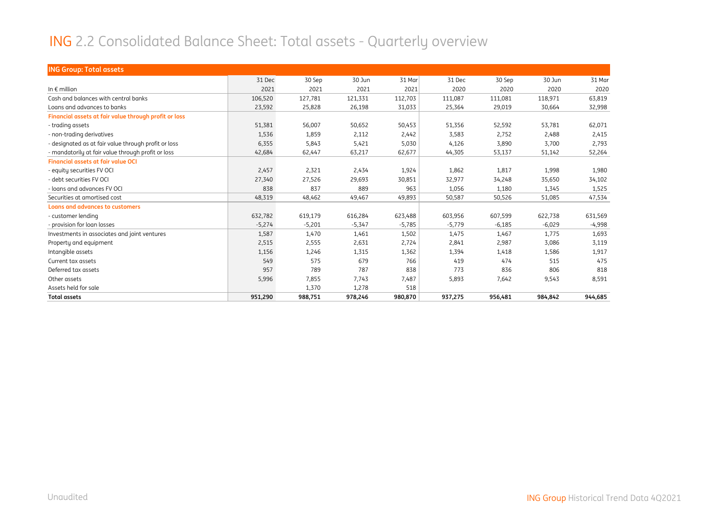#### ING 2.2 Consolidated Balance Sheet: Total assets - Quarterly overview

| <b>ING Group: Total assets</b>                        |          |          |          |          |          |          |          |          |
|-------------------------------------------------------|----------|----------|----------|----------|----------|----------|----------|----------|
|                                                       | 31 Dec   | 30 Sep   | 30 Jun   | 31 Mar   | 31 Dec   | 30 Sep   | 30 Jun   | 31 Mar   |
| In $\epsilon$ million                                 | 2021     | 2021     | 2021     | 2021     | 2020     | 2020     | 2020     | 2020     |
| Cash and balances with central banks                  | 106,520  | 127,781  | 121,331  | 112,703  | 111,087  | 111,081  | 118,971  | 63,819   |
| Loans and advances to banks                           | 23,592   | 25,828   | 26,198   | 31,033   | 25,364   | 29,019   | 30,664   | 32,998   |
| Financial assets at fair value through profit or loss |          |          |          |          |          |          |          |          |
| - trading assets                                      | 51,381   | 56,007   | 50,652   | 50,453   | 51,356   | 52,592   | 53,781   | 62,071   |
| - non-trading derivatives                             | 1,536    | 1,859    | 2,112    | 2,442    | 3,583    | 2,752    | 2,488    | 2,415    |
| - designated as at fair value through profit or loss  | 6,355    | 5,843    | 5,421    | 5,030    | 4,126    | 3,890    | 3,700    | 2,793    |
| - mandatorily at fair value through profit or loss    | 42,684   | 62,447   | 63,217   | 62,677   | 44,305   | 53,137   | 51,142   | 52,264   |
| <b>Financial assets at fair value OCI</b>             |          |          |          |          |          |          |          |          |
| - equity securities FV OCI                            | 2,457    | 2,321    | 2,434    | 1,924    | 1,862    | 1,817    | 1,998    | 1,980    |
| - debt securities FV OCI                              | 27,340   | 27,526   | 29,693   | 30,851   | 32,977   | 34,248   | 35,650   | 34,102   |
| - loans and advances FV OCI                           | 838      | 837      | 889      | 963      | 1,056    | 1,180    | 1,345    | 1,525    |
| Securities at amortised cost                          | 48,319   | 48,462   | 49,467   | 49,893   | 50,587   | 50,526   | 51,085   | 47,534   |
| <b>Loans and advances to customers</b>                |          |          |          |          |          |          |          |          |
| - customer lending                                    | 632,782  | 619,179  | 616,284  | 623,488  | 603,956  | 607,599  | 622,738  | 631,569  |
| - provision for loan losses                           | $-5,274$ | $-5,201$ | $-5,347$ | $-5,785$ | $-5,779$ | $-6,185$ | $-6,029$ | $-4,998$ |
| Investments in associates and joint ventures          | 1,587    | 1,470    | 1,461    | 1,502    | 1,475    | 1,467    | 1,775    | 1,693    |
| Property and equipment                                | 2,515    | 2,555    | 2,631    | 2,724    | 2,841    | 2,987    | 3,086    | 3,119    |
| Intangible assets                                     | 1,156    | 1,246    | 1,315    | 1,362    | 1,394    | 1,418    | 1,586    | 1,917    |
| Current tax assets                                    | 549      | 575      | 679      | 766      | 419      | 474      | 515      | 475      |
| Deferred tax assets                                   | 957      | 789      | 787      | 838      | 773      | 836      | 806      | 818      |
| Other assets                                          | 5,996    | 7,855    | 7,743    | 7,487    | 5,893    | 7,642    | 9,543    | 8,591    |
| Assets held for sale                                  |          | 1,370    | 1,278    | 518      |          |          |          |          |
| <b>Total assets</b>                                   | 951,290  | 988,751  | 978,246  | 980,870  | 937,275  | 956,481  | 984,842  | 944,685  |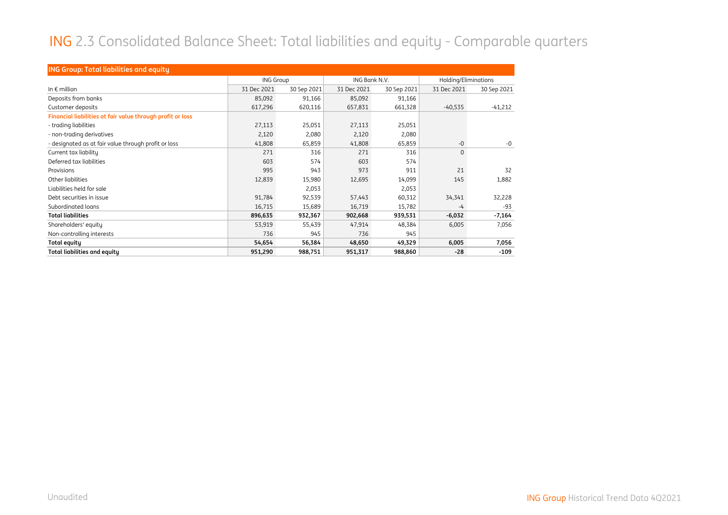#### ING 2.3 Consolidated Balance Sheet: Total liabilities and equity - Comparable quarters

| <b>ING Group: Total liabilities and equity</b>             |                  |             |               |             |                      |             |  |
|------------------------------------------------------------|------------------|-------------|---------------|-------------|----------------------|-------------|--|
|                                                            | <b>ING Group</b> |             | ING Bank N.V. |             | Holding/Eliminations |             |  |
| In $\epsilon$ million                                      | 31 Dec 2021      | 30 Sep 2021 | 31 Dec 2021   | 30 Sep 2021 | 31 Dec 2021          | 30 Sep 2021 |  |
| Deposits from banks                                        | 85,092           | 91,166      | 85,092        | 91,166      |                      |             |  |
| Customer deposits                                          | 617,296          | 620,116     | 657,831       | 661,328     | $-40,535$            | $-41,212$   |  |
| Financial liabilities at fair value through profit or loss |                  |             |               |             |                      |             |  |
| - trading liabilities                                      | 27,113           | 25,051      | 27,113        | 25,051      |                      |             |  |
| - non-trading derivatives                                  | 2,120            | 2,080       | 2,120         | 2,080       |                      |             |  |
| - designated as at fair value through profit or loss       | 41,808           | 65,859      | 41,808        | 65,859      | $-0$                 | $-0$        |  |
| Current tax liability                                      | 271              | 316         | 271           | 316         | $\mathbf{0}$         |             |  |
| Deferred tax liabilities                                   | 603              | 574         | 603           | 574         |                      |             |  |
| Provisions                                                 | 995              | 943         | 973           | 911         | 21                   | 32          |  |
| Other liabilities                                          | 12,839           | 15,980      | 12,695        | 14,099      | 145                  | 1,882       |  |
| Liabilities held for sale                                  |                  | 2,053       |               | 2,053       |                      |             |  |
| Debt securities in issue                                   | 91,784           | 92,539      | 57,443        | 60,312      | 34,341               | 32,228      |  |
| Subordinated loans                                         | 16,715           | 15,689      | 16,719        | 15,782      | $-4$                 | -93         |  |
| <b>Total liabilities</b>                                   | 896,635          | 932,367     | 902,668       | 939,531     | $-6,032$             | $-7,164$    |  |
| Shareholders' equity                                       | 53,919           | 55,439      | 47,914        | 48,384      | 6,005                | 7,056       |  |
| Non-controlling interests                                  | 736              | 945         | 736           | 945         |                      |             |  |
| Total equity                                               | 54,654           | 56,384      | 48,650        | 49,329      | 6,005                | 7,056       |  |
| <b>Total liabilities and equity</b>                        | 951,290          | 988,751     | 951,317       | 988,860     | $-28$                | $-109$      |  |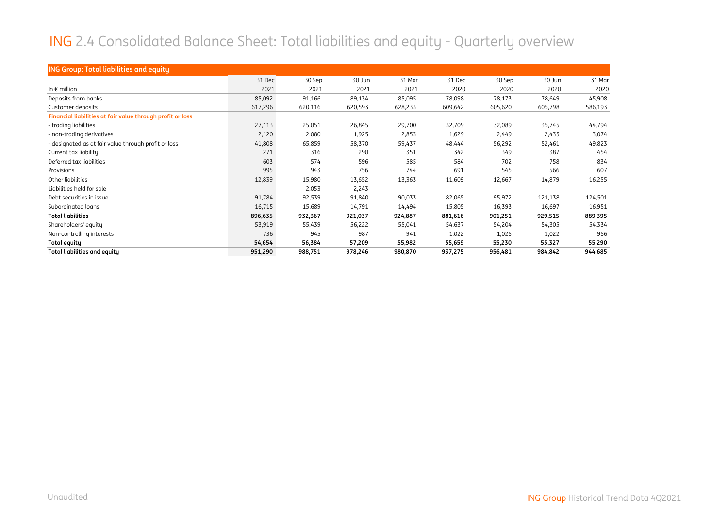#### ING 2.4 Consolidated Balance Sheet: Total liabilities and equity - Quarterly overview

| <b>ING Group: Total liabilities and equity</b>             |         |         |         |         |         |         |         |         |
|------------------------------------------------------------|---------|---------|---------|---------|---------|---------|---------|---------|
|                                                            | 31 Dec  | 30 Sep  | 30 Jun  | 31 Mar  | 31 Dec  | 30 Sep  | 30 Jun  | 31 Mar  |
| In $\epsilon$ million                                      | 2021    | 2021    | 2021    | 2021    | 2020    | 2020    | 2020    | 2020    |
| Deposits from banks                                        | 85,092  | 91,166  | 89,134  | 85,095  | 78,098  | 78,173  | 78,649  | 45,908  |
| Customer deposits                                          | 617,296 | 620,116 | 620,593 | 628,233 | 609,642 | 605,620 | 605,798 | 586,193 |
| Financial liabilities at fair value through profit or loss |         |         |         |         |         |         |         |         |
| - trading liabilities                                      | 27,113  | 25,051  | 26,845  | 29,700  | 32,709  | 32,089  | 35,745  | 44,794  |
| - non-trading derivatives                                  | 2,120   | 2,080   | 1,925   | 2,853   | 1,629   | 2,449   | 2,435   | 3,074   |
| - designated as at fair value through profit or loss       | 41,808  | 65,859  | 58,370  | 59,437  | 48,444  | 56,292  | 52,461  | 49,823  |
| Current tax liability                                      | 271     | 316     | 290     | 351     | 342     | 349     | 387     | 454     |
| Deferred tax liabilities                                   | 603     | 574     | 596     | 585     | 584     | 702     | 758     | 834     |
| Provisions                                                 | 995     | 943     | 756     | 744     | 691     | 545     | 566     | 607     |
| Other liabilities                                          | 12,839  | 15,980  | 13,652  | 13,363  | 11,609  | 12,667  | 14,879  | 16,255  |
| Liabilities held for sale                                  |         | 2,053   | 2,243   |         |         |         |         |         |
| Debt securities in issue                                   | 91,784  | 92,539  | 91,840  | 90,033  | 82,065  | 95,972  | 121,138 | 124,501 |
| Subordinated loans                                         | 16,715  | 15,689  | 14,791  | 14,494  | 15,805  | 16,393  | 16,697  | 16,951  |
| <b>Total liabilities</b>                                   | 896,635 | 932,367 | 921,037 | 924,887 | 881,616 | 901,251 | 929,515 | 889,395 |
| Shareholders' equity                                       | 53,919  | 55,439  | 56,222  | 55,041  | 54,637  | 54,204  | 54,305  | 54,334  |
| Non-controlling interests                                  | 736     | 945     | 987     | 941     | 1,022   | 1,025   | 1,022   | 956     |
| Total equity                                               | 54,654  | 56,384  | 57,209  | 55,982  | 55,659  | 55,230  | 55,327  | 55,290  |
| Total liabilities and equity                               | 951,290 | 988,751 | 978,246 | 980,870 | 937,275 | 956,481 | 984,842 | 944,685 |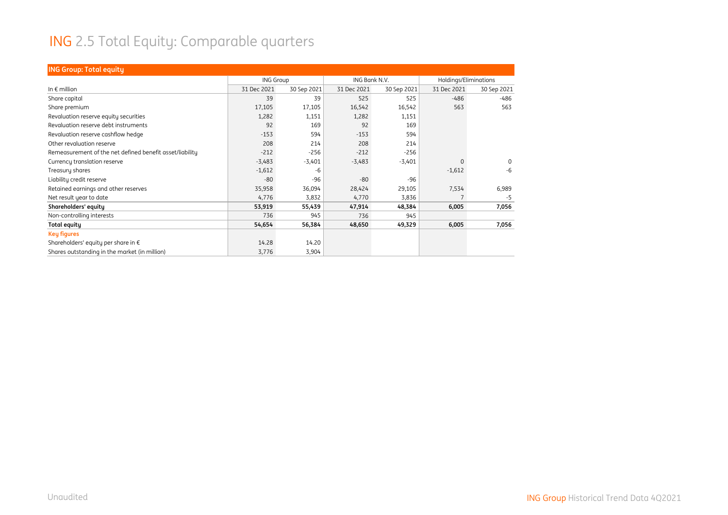# ING 2.5 Total Equity: Comparable quarters

| <b>ING Group: Total equity</b>                           |                  |             |               |             |                       |             |
|----------------------------------------------------------|------------------|-------------|---------------|-------------|-----------------------|-------------|
|                                                          | <b>ING Group</b> |             | ING Bank N.V. |             | Holdings/Eliminations |             |
| In $\epsilon$ million                                    | 31 Dec 2021      | 30 Sep 2021 | 31 Dec 2021   | 30 Sep 2021 | 31 Dec 2021           | 30 Sep 2021 |
| Share capital                                            | 39               | 39          | 525           | 525         | $-486$                | -486        |
| Share premium                                            | 17,105           | 17,105      | 16,542        | 16,542      | 563                   | 563         |
| Revaluation reserve equity securities                    | 1,282            | 1,151       | 1,282         | 1,151       |                       |             |
| Revaluation reserve debt instruments                     | 92               | 169         | 92            | 169         |                       |             |
| Revaluation reserve cashflow hedge                       | $-153$           | 594         | $-153$        | 594         |                       |             |
| Other revaluation reserve                                | 208              | 214         | 208           | 214         |                       |             |
| Remeasurement of the net defined benefit asset/liability | $-212$           | $-256$      | $-212$        | $-256$      |                       |             |
| Currency translation reserve                             | $-3,483$         | $-3,401$    | $-3,483$      | $-3,401$    | $\Omega$              | 0           |
| Treasury shares                                          | $-1,612$         | -6          |               |             | $-1,612$              | $-6$        |
| Liability credit reserve                                 | $-80$            | $-96$       | $-80$         | $-96$       |                       |             |
| Retained earnings and other reserves                     | 35,958           | 36,094      | 28,424        | 29,105      | 7,534                 | 6,989       |
| Net result year to date                                  | 4,776            | 3,832       | 4,770         | 3,836       | 7                     | $-5$        |
| Shareholders' equity                                     | 53,919           | 55,439      | 47,914        | 48,384      | 6,005                 | 7,056       |
| Non-controlling interests                                | 736              | 945         | 736           | 945         |                       |             |
| <b>Total equity</b>                                      | 54,654           | 56,384      | 48,650        | 49,329      | 6,005                 | 7,056       |
| <b>Key figures</b>                                       |                  |             |               |             |                       |             |
| Shareholders' equity per share in €                      | 14.28            | 14.20       |               |             |                       |             |
| Shares outstanding in the market (in million)            | 3,776            | 3,904       |               |             |                       |             |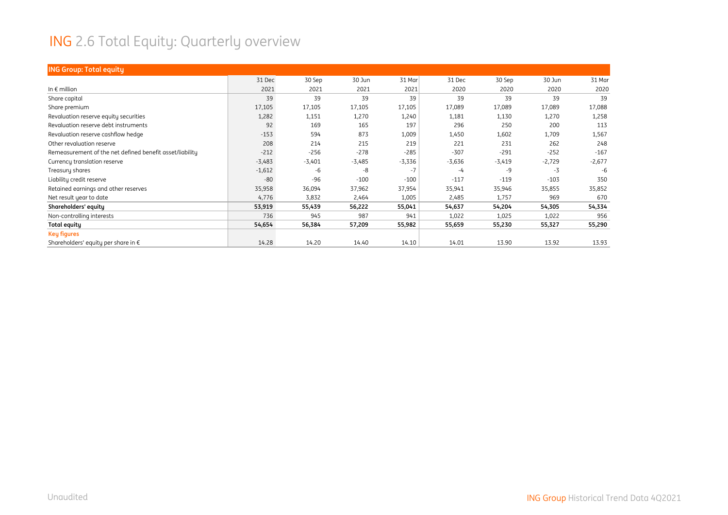# ING 2.6 Total Equity: Quarterly overview

| <b>ING Group: Total equity</b>                           |          |          |          |          |          |          |          |          |
|----------------------------------------------------------|----------|----------|----------|----------|----------|----------|----------|----------|
|                                                          | 31 Dec   | 30 Sep   | 30 Jun   | 31 Mar   | 31 Dec   | 30 Sep   | 30 Jun   | 31 Mar   |
| In $\epsilon$ million                                    | 2021     | 2021     | 2021     | 2021     | 2020     | 2020     | 2020     | 2020     |
| Share capital                                            | 39       | 39       | 39       | 39       | 39       | 39       | 39       | 39       |
| Share premium                                            | 17,105   | 17,105   | 17,105   | 17,105   | 17,089   | 17,089   | 17,089   | 17,088   |
| Revaluation reserve equity securities                    | 1,282    | 1,151    | 1,270    | 1,240    | 1,181    | 1,130    | 1,270    | 1,258    |
| Revaluation reserve debt instruments                     | 92       | 169      | 165      | 197      | 296      | 250      | 200      | 113      |
| Revaluation reserve cashflow hedge                       | $-153$   | 594      | 873      | 1,009    | 1,450    | 1,602    | 1,709    | 1,567    |
| Other revaluation reserve                                | 208      | 214      | 215      | 219      | 221      | 231      | 262      | 248      |
| Remeasurement of the net defined benefit asset/liability | $-212$   | $-256$   | $-278$   | $-285$   | $-307$   | $-291$   | $-252$   | $-167$   |
| Currency translation reserve                             | $-3,483$ | $-3,401$ | $-3,485$ | $-3,336$ | $-3,636$ | $-3,419$ | $-2,729$ | $-2,677$ |
| Treasury shares                                          | $-1,612$ | -6       | $-8$     | $-7$     | -4       | $-9$     | $-3$     | -6       |
| Liability credit reserve                                 | $-80$    | $-96$    | $-100$   | $-100$   | $-117$   | $-119$   | $-103$   | 350      |
| Retained earnings and other reserves                     | 35,958   | 36,094   | 37,962   | 37,954   | 35,941   | 35,946   | 35,855   | 35,852   |
| Net result year to date                                  | 4,776    | 3,832    | 2,464    | 1,005    | 2,485    | 1,757    | 969      | 670      |
| Shareholders' equity                                     | 53,919   | 55,439   | 56,222   | 55,041   | 54,637   | 54,204   | 54,305   | 54,334   |
| Non-controlling interests                                | 736      | 945      | 987      | 941      | 1,022    | 1,025    | 1,022    | 956      |
| <b>Total equity</b>                                      | 54,654   | 56,384   | 57,209   | 55,982   | 55,659   | 55,230   | 55,327   | 55,290   |
| <b>Key figures</b>                                       |          |          |          |          |          |          |          |          |
| Shareholders' equity per share in $\epsilon$             | 14.28    | 14.20    | 14.40    | 14.10    | 14.01    | 13.90    | 13.92    | 13.93    |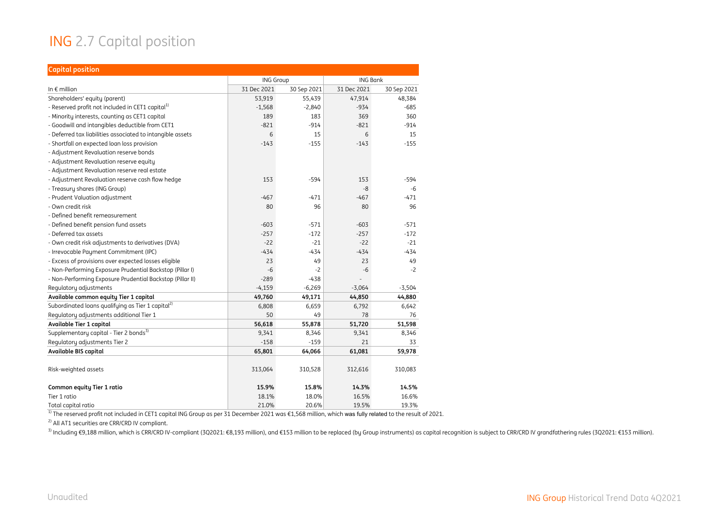#### ING 2.7 Capital position

| <b>Capital position</b>                                       |                  |             |                 |             |
|---------------------------------------------------------------|------------------|-------------|-----------------|-------------|
|                                                               | <b>ING Group</b> |             | <b>ING Bank</b> |             |
| In $\epsilon$ million                                         | 31 Dec 2021      | 30 Sep 2021 | 31 Dec 2021     | 30 Sep 2021 |
| Shareholders' equity (parent)                                 | 53,919           | 55,439      | 47,914          | 48,384      |
| - Reserved profit not included in CET1 capital <sup>1)</sup>  | $-1,568$         | $-2,840$    | $-934$          | $-685$      |
| - Minority interests, counting as CET1 capital                | 189              | 183         | 369             | 360         |
| - Goodwill and intangibles deductible from CET1               | $-821$           | $-914$      | $-821$          | $-914$      |
| - Deferred tax liabilities associated to intangible assets    | 6                | 15          | 6               | 15          |
| - Shortfall on expected loan loss provision                   | $-143$           | $-155$      | $-143$          | $-155$      |
| - Adjustment Revaluation reserve bonds                        |                  |             |                 |             |
| - Adjustment Revaluation reserve equity                       |                  |             |                 |             |
| - Adjustment Revaluation reserve real estate                  |                  |             |                 |             |
| - Adjustment Revaluation reserve cash flow hedge              | 153              | $-594$      | 153             | $-594$      |
| - Treasury shares (ING Group)                                 |                  |             | $-8$            | -6          |
| - Prudent Valuation adjustment                                | $-467$           | $-471$      | $-467$          | $-471$      |
| - Own credit risk                                             | 80               | 96          | 80              | 96          |
| - Defined benefit remeasurement                               |                  |             |                 |             |
| - Defined benefit pension fund assets                         | $-603$           | $-571$      | $-603$          | $-571$      |
| - Deferred tax assets                                         | $-257$           | $-172$      | $-257$          | $-172$      |
| - Own credit risk adjustments to derivatives (DVA)            | $-22$            | $-21$       | $-22$           | $-21$       |
| - Irrevocable Payment Commitment (IPC)                        | $-434$           | $-434$      | $-434$          | $-434$      |
| - Excess of provisions over expected losses eligible          | 23               | 49          | 23              | 49          |
| - Non-Performing Exposure Prudential Backstop (Pillar I)      | $-6$             | $-2$        | $-6$            | $-2$        |
| - Non-Performing Exposure Prudential Backstop (Pillar II)     | $-289$           | $-438$      |                 |             |
| Regulatory adjustments                                        | $-4,159$         | $-6,269$    | $-3,064$        | $-3,504$    |
| Available common equity Tier 1 capital                        | 49,760           | 49,171      | 44,850          | 44,880      |
| Subordinated loans qualifying as Tier 1 capital <sup>2)</sup> | 6,808            | 6,659       | 6,792           | 6,642       |
| Regulatory adjustments additional Tier 1                      | 50               | 49          | 78              | 76          |
| Available Tier 1 capital                                      | 56,618           | 55,878      | 51,720          | 51,598      |
| Supplementary capital - Tier 2 bonds <sup>3)</sup>            | 9,341            | 8,346       | 9,341           | 8,346       |
| Regulatory adjustments Tier 2                                 | $-158$           | $-159$      | 21              | 33          |
| Available BIS capital                                         | 65,801           | 64,066      | 61,081          | 59,978      |
|                                                               |                  |             |                 |             |
| Risk-weighted assets                                          | 313,064          | 310,528     | 312,616         | 310,083     |
| Common equity Tier 1 ratio                                    | 15.9%            | 15.8%       | 14.3%           | 14.5%       |
| Tier 1 ratio                                                  | 18.1%            | 18.0%       | 16.5%           | 16.6%       |
| Total capital ratio                                           | 21.0%            | 20.6%       | 19.5%           | 19.3%       |

 $^{\text{1)}}$  The reserved profit not included in CET1 capital ING Group as per 31 December 2021 was €1,568 million, which was fully related to the result of 2021.

<sup>2)</sup> All AT1 securities are CRR/CRD IV compliant.

<sup>3)</sup> Including €9,188 million, which is CRR/CRD IV-compliant (3Q2021: €8,193 million), and €153 million to be replaced (by Group instruments) as capital recognition is subject to CRR/CRD IV grandfathering rules (3Q2021: €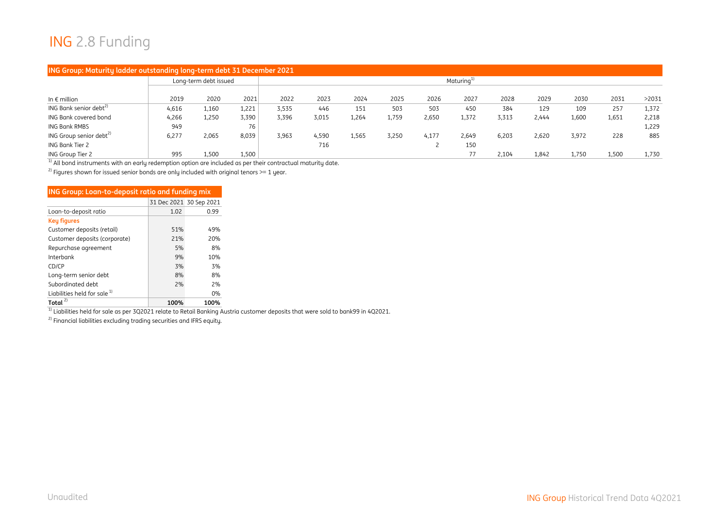#### ING 2.8 Funding

| ING Group: Maturity ladder outstanding long-term debt 31 December 2021 |       |                       |                        |       |       |       |       |       |       |       |       |       |       |       |
|------------------------------------------------------------------------|-------|-----------------------|------------------------|-------|-------|-------|-------|-------|-------|-------|-------|-------|-------|-------|
|                                                                        |       | Long-term debt issued | Maturing <sup>1)</sup> |       |       |       |       |       |       |       |       |       |       |       |
| In $\epsilon$ million                                                  | 2019  | 2020                  | 2021                   | 2022  | 2023  | 2024  | 2025  | 2026  | 2027  | 2028  | 2029  | 2030  | 2031  | >2031 |
| ING Bank senior debt <sup>2)</sup>                                     | 4,616 | 1,160                 | 1,221                  | 3,535 | 446   | 151   | 503   | 503   | 450   | 384   | 129   | 109   | 257   | 1,372 |
| ING Bank covered bond                                                  | 4,266 | 1,250                 | 3,390                  | 3,396 | 3,015 | 1,264 | 1,759 | 2,650 | 1,372 | 3,313 | 2,444 | 1,600 | 1,651 | 2,218 |
| <b>ING Bank RMBS</b>                                                   | 949   |                       | 76                     |       |       |       |       |       |       |       |       |       |       | 1,229 |
| ING Group senior debt <sup>2)</sup>                                    | 6,277 | 2,065                 | 8,039                  | 3,963 | 4,590 | 1,565 | 3,250 | 4,177 | 2,649 | 6,203 | 2,620 | 3,972 | 228   | 885   |
| ING Bank Tier 2                                                        |       |                       |                        |       | 716   |       |       |       | 150   |       |       |       |       |       |
| ING Group Tier 2                                                       | 995   | 1,500                 | 1,500                  |       |       |       |       |       | 77    | 2,104 | 1,842 | 1,750 | 1,500 | 1,730 |

 $1)$  All bond instruments with an early redemption option are included as per their contractual maturity date.

<sup>2)</sup> Figures shown for issued senior bonds are only included with original tenors >= 1 year.

| <b>ING Group: Loan-to-deposit ratio and funding mix</b> |      |                         |
|---------------------------------------------------------|------|-------------------------|
|                                                         |      | 31 Dec 2021 30 Sep 2021 |
| Loan-to-deposit ratio                                   | 1.02 | 0.99                    |
| <b>Key figures</b>                                      |      |                         |
| Customer deposits (retail)                              | 51%  | 49%                     |
| Customer deposits (corporate)                           | 21%  | 20%                     |
| Repurchase agreement                                    | 5%   | 8%                      |
| Interbank                                               | 9%   | 10%                     |
| CD/CP                                                   | 3%   | 3%                      |
| Long-term senior debt                                   | 8%   | 8%                      |
| Subordinated debt                                       | 2%   | 2%                      |
| Liabilities held for sale <sup>1)</sup>                 |      | $0\%$                   |
| Total $^{2)}$                                           | 100% | 100%                    |

 $^{\rm 1)}$  Liabilities held for sale as per 3Q2021 relate to Retail Banking Austria customer deposits that were sold to bank99 in 4Q2021.

2) Financial liabilities excluding trading securities and IFRS equity.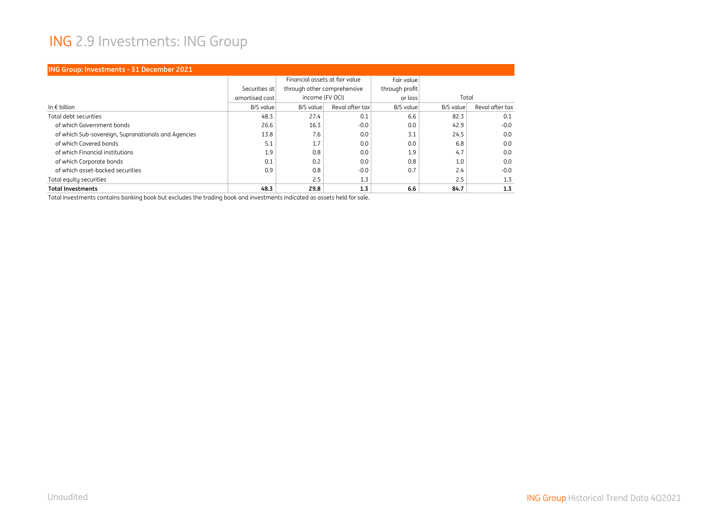#### ING 2.9 Investments: ING Group

| <b>ING Group: Investments - 31 December 2021</b>    |                |                                |                 |                  |           |                 |  |  |  |  |  |
|-----------------------------------------------------|----------------|--------------------------------|-----------------|------------------|-----------|-----------------|--|--|--|--|--|
|                                                     |                | Financial assets at fair value |                 | Fair value       |           |                 |  |  |  |  |  |
|                                                     | Securities at  | through other comprehensive    |                 | through profit   |           |                 |  |  |  |  |  |
|                                                     | amortised cost | income (FV OCI)                |                 | or loss          | Total     |                 |  |  |  |  |  |
| In $\epsilon$ billion                               | B/S value      | B/S value                      | Reval after tax | <b>B/S</b> value | B/S value | Reval after tax |  |  |  |  |  |
| Total debt securities                               | 48.3           | 27.4                           | 0.1             | 6.6              | 82.3      | 0.1             |  |  |  |  |  |
| of which Government bonds                           | 26.6           | 16.3                           | $-0.0$          | 0.0              | 42.9      | $-0.0$          |  |  |  |  |  |
| of which Sub-sovereign, Supranationals and Agencies | 13.8           | 7.6                            | 0.0             | 3.1              | 24.5      | 0.0             |  |  |  |  |  |
| of which Covered bonds                              | 5.1            | 1.7                            | 0.0             | 0.0              | 6.8       | 0.0             |  |  |  |  |  |
| of which Financial institutions                     | 1.9            | 0.8                            | 0.0             | 1.9              | 4.7       | 0.0             |  |  |  |  |  |
| of which Corporate bonds                            | 0.1            | 0.2                            | 0.0             | 0.8              | 1.0       | 0.0             |  |  |  |  |  |
| of which asset-backed securities                    | 0.9            | 0.8                            | $-0.0$          | 0.7              | 2.4       | $-0.0$          |  |  |  |  |  |
| Total equity securities                             |                | 2.5                            | 1.3             |                  | 2.5       | 1.3             |  |  |  |  |  |
| <b>Total Investments</b>                            | 48.3           | 29.8                           | 1.3             | 6.6              | 84.7      | 1.3             |  |  |  |  |  |

Total investments contains banking book but excludes the trading book and investments indicated as assets held for sale.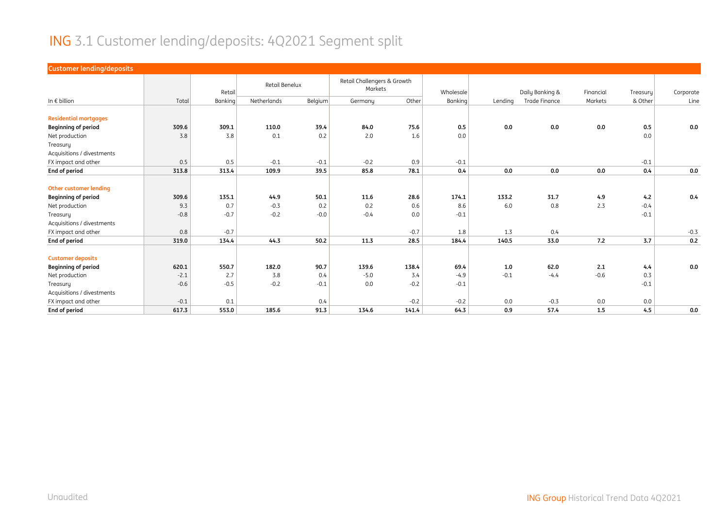#### ING 3.1 Customer lending/deposits: 4Q2021 Segment split

| <b>Customer lending/deposits</b> |        |         |                |         |                                        |        |           |         |                      |           |          |           |
|----------------------------------|--------|---------|----------------|---------|----------------------------------------|--------|-----------|---------|----------------------|-----------|----------|-----------|
|                                  |        | Retail  | Retail Benelux |         | Retail Challengers & Growth<br>Markets |        | Wholesale |         | Daily Banking &      | Financial | Treasury | Corporate |
| In $\epsilon$ billion            | Total  | Banking | Netherlands    | Belgium | Germany                                | Other  | Banking   | Lending | <b>Trade Finance</b> | Markets   | & Other  | Line      |
|                                  |        |         |                |         |                                        |        |           |         |                      |           |          |           |
| <b>Residential mortgages</b>     |        |         |                |         |                                        |        |           |         |                      |           |          |           |
| <b>Beginning of period</b>       | 309.6  | 309.1   | 110.0          | 39.4    | 84.0                                   | 75.6   | 0.5       | 0.0     | 0.0                  | 0.0       | 0.5      | 0.0       |
| Net production                   | 3.8    | 3.8     | 0.1            | 0.2     | 2.0                                    | 1.6    | 0.0       |         |                      |           | 0.0      |           |
| Treasury                         |        |         |                |         |                                        |        |           |         |                      |           |          |           |
| Acquisitions / divestments       |        |         |                |         |                                        |        |           |         |                      |           |          |           |
| FX impact and other              | 0.5    | 0.5     | $-0.1$         | $-0.1$  | $-0.2$                                 | 0.9    | $-0.1$    |         |                      |           | $-0.1$   |           |
| End of period                    | 313.8  | 313.4   | 109.9          | 39.5    | 85.8                                   | 78.1   | 0.4       | 0.0     | 0.0                  | 0.0       | 0.4      | 0.0       |
|                                  |        |         |                |         |                                        |        |           |         |                      |           |          |           |
| Other customer lending           |        |         |                |         |                                        |        |           |         |                      |           |          |           |
| <b>Beginning of period</b>       | 309.6  | 135.1   | 44.9           | 50.1    | 11.6                                   | 28.6   | 174.1     | 133.2   | 31.7                 | 4.9       | 4.2      | 0.4       |
| Net production                   | 9.3    | 0.7     | $-0.3$         | 0.2     | 0.2                                    | 0.6    | 8.6       | 6.0     | 0.8                  | 2.3       | $-0.4$   |           |
| Treasury                         | $-0.8$ | $-0.7$  | $-0.2$         | $-0.0$  | $-0.4$                                 | 0.0    | $-0.1$    |         |                      |           | $-0.1$   |           |
| Acquisitions / divestments       |        |         |                |         |                                        |        |           |         |                      |           |          |           |
| FX impact and other              | 0.8    | $-0.7$  |                |         |                                        | $-0.7$ | 1.8       | 1.3     | 0.4                  |           |          | $-0.3$    |
| End of period                    | 319.0  | 134.4   | 44.3           | 50.2    | 11.3                                   | 28.5   | 184.4     | 140.5   | 33.0                 | 7.2       | 3.7      | 0.2       |
|                                  |        |         |                |         |                                        |        |           |         |                      |           |          |           |
| <b>Customer deposits</b>         |        |         |                |         |                                        |        |           |         |                      |           |          |           |
| <b>Beginning of period</b>       | 620.1  | 550.7   | 182.0          | 90.7    | 139.6                                  | 138.4  | 69.4      | 1.0     | 62.0                 | 2.1       | 4.4      | 0.0       |
| Net production                   | $-2.1$ | 2.7     | 3.8            | 0.4     | $-5.0$                                 | 3.4    | $-4.9$    | $-0.1$  | $-4.4$               | $-0.6$    | 0.3      |           |
| Treasury                         | $-0.6$ | $-0.5$  | $-0.2$         | $-0.1$  | 0.0                                    | $-0.2$ | $-0.1$    |         |                      |           | $-0.1$   |           |
| Acquisitions / divestments       |        |         |                |         |                                        |        |           |         |                      |           |          |           |
| FX impact and other              | $-0.1$ | 0.1     |                | 0.4     |                                        | $-0.2$ | $-0.2$    | 0.0     | $-0.3$               | 0.0       | 0.0      |           |
| End of period                    | 617.3  | 553.0   | 185.6          | 91.3    | 134.6                                  | 141.4  | 64.3      | 0.9     | 57.4                 | 1.5       | 4.5      | 0.0       |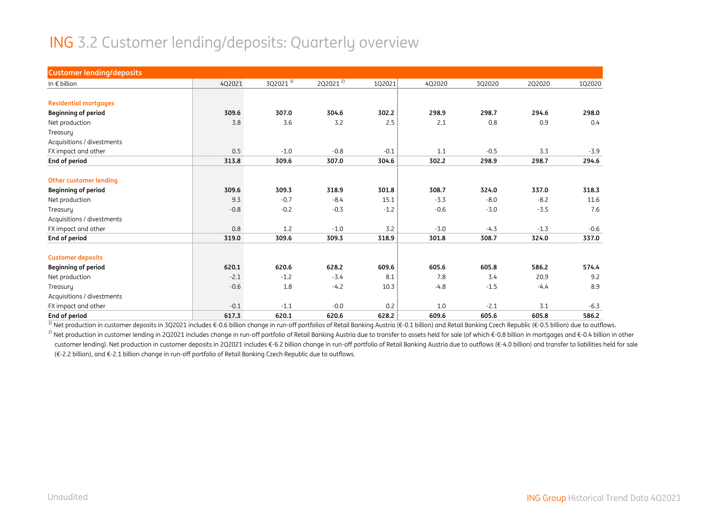#### ING 3.2 Customer lending/deposits: Quarterly overview

| <b>Customer lending/deposits</b> |        |                      |                      |        |        |        |        |        |
|----------------------------------|--------|----------------------|----------------------|--------|--------|--------|--------|--------|
| In $\epsilon$ billion            | 4Q2021 | 3Q2021 <sup>1)</sup> | 2Q2021 <sup>2)</sup> | 1Q2021 | 4Q2020 | 3Q2020 | 2Q2020 | 1Q2020 |
|                                  |        |                      |                      |        |        |        |        |        |
| <b>Residential mortgages</b>     |        |                      |                      |        |        |        |        |        |
| <b>Beginning of period</b>       | 309.6  | 307.0                | 304.6                | 302.2  | 298.9  | 298.7  | 294.6  | 298.0  |
| Net production                   | 3.8    | 3.6                  | 3.2                  | 2.5    | 2.1    | 0.8    | 0.9    | 0.4    |
| Treasury                         |        |                      |                      |        |        |        |        |        |
| Acquisitions / divestments       |        |                      |                      |        |        |        |        |        |
| FX impact and other              | 0.5    | $-1.0$               | $-0.8$               | $-0.1$ | 1.1    | $-0.5$ | 3.3    | $-3.9$ |
| End of period                    | 313.8  | 309.6                | 307.0                | 304.6  | 302.2  | 298.9  | 298.7  | 294.6  |
| <b>Other customer lending</b>    |        |                      |                      |        |        |        |        |        |
| <b>Beginning of period</b>       | 309.6  | 309.3                | 318.9                | 301.8  | 308.7  | 324.0  | 337.0  | 318.3  |
| Net production                   | 9.3    | $-0.7$               | $-8.4$               | 15.1   | $-3.3$ | $-8.0$ | $-8.2$ | 11.6   |
| Treasury                         | $-0.8$ | $-0.2$               | $-0.3$               | $-1.2$ | $-0.6$ | $-3.0$ | $-3.5$ | 7.6    |
| Acquisitions / divestments       |        |                      |                      |        |        |        |        |        |
| FX impact and other              | 0.8    | 1.2                  | $-1.0$               | 3.2    | $-3.0$ | $-4.3$ | $-1.3$ | $-0.6$ |
| End of period                    | 319.0  | 309.6                | 309.3                | 318.9  | 301.8  | 308.7  | 324.0  | 337.0  |
| <b>Customer deposits</b>         |        |                      |                      |        |        |        |        |        |
| <b>Beginning of period</b>       | 620.1  | 620.6                | 628.2                | 609.6  | 605.6  | 605.8  | 586.2  | 574.4  |
| Net production                   | $-2.1$ | $-1.2$               | $-3.4$               | 8.1    | 7.8    | 3.4    | 20.9   | 9.2    |
|                                  |        |                      |                      | 10.3   |        |        |        | 8.9    |
| Treasury                         | $-0.6$ | 1.8                  | $-4.2$               |        | $-4.8$ | $-1.5$ | $-4.4$ |        |
| Acquisitions / divestments       |        |                      |                      |        |        |        |        |        |
| FX impact and other              | $-0.1$ | $-1.1$               | $-0.0$               | 0.2    | 1.0    | $-2.1$ | 3.1    | $-6.3$ |
| End of period                    | 617.3  | 620.1                | 620.6                | 628.2  | 609.6  | 605.6  | 605.8  | 586.2  |

<sup>1)</sup> Net production in customer deposits in 3Q2021 includes €-0.6 billion change in run-off portfolios of Retail Banking Austria (€-0.1 billion) and Retail Banking Czech Republic (€-0.5 billion) due to outflows.

<sup>2)</sup> Net production in customer lending in 2Q2021 includes change in run-off portfolio of Retail Banking Austria due to transfer to assets held for sale (of which €-0.8 billion in mortgages and €-0.4 billion in other customer lending). Net production in customer deposits in 2Q2021 includes €-6.2 billion change in run-off portfolio of Retail Banking Austria due to outflows (€-4.0 billion) and transfer to liabilities held for sale (€-2.2 billion), and €-2.1 billion change in run-off portfolio of Retail Banking Czech Republic due to outflows.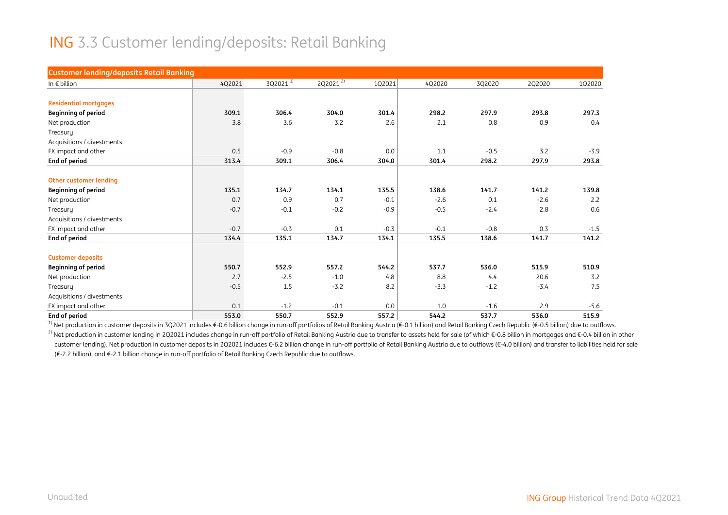#### ING 3.3 Customer lending/deposits: Retail Banking

| <b>Customer lending/deposits Retail Banking</b> |        |               |                      |        |        |        |        |        |
|-------------------------------------------------|--------|---------------|----------------------|--------|--------|--------|--------|--------|
| In $\epsilon$ billion                           | 4Q2021 | $3Q2021^{11}$ | 2Q2021 <sup>2)</sup> | 1Q2021 | 4Q2020 | 3Q2020 | 2Q2020 | 102020 |
|                                                 |        |               |                      |        |        |        |        |        |
| <b>Residential mortgages</b>                    |        |               |                      |        |        |        |        |        |
| <b>Beginning of period</b>                      | 309.1  | 306.4         | 304.0                | 301.4  | 298.2  | 297.9  | 293.8  | 297.3  |
| Net production                                  | 3.8    | 3.6           | 3.2                  | 2.6    | 2.1    | 0.8    | 0.9    | 0.4    |
| Treasury                                        |        |               |                      |        |        |        |        |        |
| Acquisitions / divestments                      |        |               |                      |        |        |        |        |        |
| FX impact and other                             | 0.5    | $-0.9$        | $-0.8$               | 0.0    | 1.1    | $-0.5$ | 3.2    | $-3.9$ |
| End of period                                   | 313.4  | 309.1         | 306.4                | 304.0  | 301.4  | 298.2  | 297.9  | 293.8  |
|                                                 |        |               |                      |        |        |        |        |        |
| <b>Other customer lending</b>                   |        |               |                      |        |        |        |        |        |
| <b>Beginning of period</b>                      | 135.1  | 134.7         | 134.1                | 135.5  | 138.6  | 141.7  | 141.2  | 139.8  |
| Net production                                  | 0.7    | 0.9           | 0.7                  | $-0.1$ | $-2.6$ | 0.1    | $-2.6$ | 2.2    |
| Treasury                                        | $-0.7$ | $-0.1$        | $-0.2$               | $-0.9$ | $-0.5$ | $-2.4$ | 2.8    | 0.6    |
| Acquisitions / divestments                      |        |               |                      |        |        |        |        |        |
| FX impact and other                             | $-0.7$ | $-0.3$        | 0.1                  | $-0.3$ | $-0.1$ | $-0.8$ | 0.3    | $-1.5$ |
| End of period                                   | 134.4  | 135.1         | 134.7                | 134.1  | 135.5  | 138.6  | 141.7  | 141.2  |
| <b>Customer deposits</b>                        |        |               |                      |        |        |        |        |        |
| <b>Beginning of period</b>                      | 550.7  | 552.9         | 557.2                | 544.2  | 537.7  | 536.0  | 515.9  | 510.9  |
| Net production                                  | 2.7    | $-2.5$        | $-1.0$               | 4.8    | 8.8    | 4.4    | 20.6   | 3.2    |
| Treasury                                        | $-0.5$ | 1.5           | $-3.2$               | 8.2    | $-3.3$ | $-1.2$ | $-3.4$ | 7.5    |
| Acquisitions / divestments                      |        |               |                      |        |        |        |        |        |
| FX impact and other                             | 0.1    | $-1.2$        | $-0.1$               | 0.0    | 1.0    | $-1.6$ | 2.9    | $-5.6$ |
| End of period                                   | 553.0  | 550.7         | 552.9                | 557.2  | 544.2  | 537.7  | 536.0  | 515.9  |

<sup>1)</sup> Net production in customer deposits in 3Q2021 includes €-0.6 billion change in run-off portfolios of Retail Banking Austria (€-0.1 billion) and Retail Banking Czech Republic (€-0.5 billion) due to outflows.

<sup>2)</sup> Net production in customer lending in 2Q2021 includes change in run-off portfolio of Retail Banking Austria due to transfer to assets held for sale (of which €-0.8 billion in mortgages and €-0.4 billion in other customer lending). Net production in customer deposits in 2Q2021 includes €-6.2 billion change in run-off portfolio of Retail Banking Austria due to outflows (€-4.0 billion) and transfer to liabilities held for sale (€-2.2 billion), and €-2.1 billion change in run-off portfolio of Retail Banking Czech Republic due to outflows.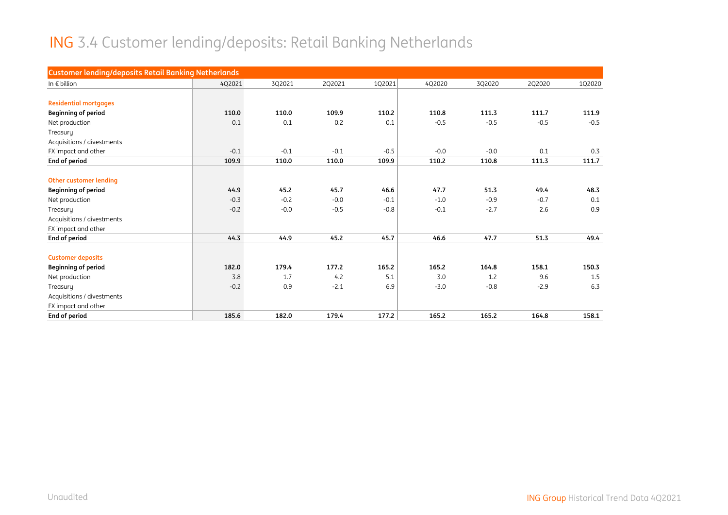# ING 3.4 Customer lending/deposits: Retail Banking Netherlands

| <b>Customer lending/deposits Retail Banking Netherlands</b> |        |        |        |        |        |        |        |        |
|-------------------------------------------------------------|--------|--------|--------|--------|--------|--------|--------|--------|
| In $\epsilon$ billion                                       | 4Q2021 | 3Q2021 | 2Q2021 | 1Q2021 | 4Q2020 | 3Q2020 | 2Q2020 | 1Q2020 |
|                                                             |        |        |        |        |        |        |        |        |
| <b>Residential mortgages</b>                                |        |        |        |        |        |        |        |        |
| <b>Beginning of period</b>                                  | 110.0  | 110.0  | 109.9  | 110.2  | 110.8  | 111.3  | 111.7  | 111.9  |
| Net production                                              | 0.1    | 0.1    | 0.2    | 0.1    | $-0.5$ | $-0.5$ | $-0.5$ | $-0.5$ |
| Treasury                                                    |        |        |        |        |        |        |        |        |
| Acquisitions / divestments                                  |        |        |        |        |        |        |        |        |
| FX impact and other                                         | $-0.1$ | $-0.1$ | $-0.1$ | $-0.5$ | $-0.0$ | $-0.0$ | 0.1    | 0.3    |
| End of period                                               | 109.9  | 110.0  | 110.0  | 109.9  | 110.2  | 110.8  | 111.3  | 111.7  |
|                                                             |        |        |        |        |        |        |        |        |
| <b>Other customer lending</b>                               |        |        |        |        |        |        |        |        |
| <b>Beginning of period</b>                                  | 44.9   | 45.2   | 45.7   | 46.6   | 47.7   | 51.3   | 49.4   | 48.3   |
| Net production                                              | $-0.3$ | $-0.2$ | $-0.0$ | $-0.1$ | $-1.0$ | $-0.9$ | $-0.7$ | 0.1    |
| Treasury                                                    | $-0.2$ | $-0.0$ | $-0.5$ | $-0.8$ | $-0.1$ | $-2.7$ | 2.6    | 0.9    |
| Acquisitions / divestments                                  |        |        |        |        |        |        |        |        |
| FX impact and other                                         |        |        |        |        |        |        |        |        |
| End of period                                               | 44.3   | 44.9   | 45.2   | 45.7   | 46.6   | 47.7   | 51.3   | 49.4   |
| <b>Customer deposits</b>                                    |        |        |        |        |        |        |        |        |
| <b>Beginning of period</b>                                  | 182.0  | 179.4  | 177.2  | 165.2  | 165.2  | 164.8  | 158.1  | 150.3  |
| Net production                                              | 3.8    | 1.7    | 4.2    | 5.1    | 3.0    | 1.2    | 9.6    | 1.5    |
| Treasury                                                    | $-0.2$ | 0.9    | $-2.1$ | 6.9    | $-3.0$ | $-0.8$ | $-2.9$ | 6.3    |
| Acquisitions / divestments                                  |        |        |        |        |        |        |        |        |
| FX impact and other                                         |        |        |        |        |        |        |        |        |
| End of period                                               | 185.6  | 182.0  | 179.4  | 177.2  | 165.2  | 165.2  | 164.8  | 158.1  |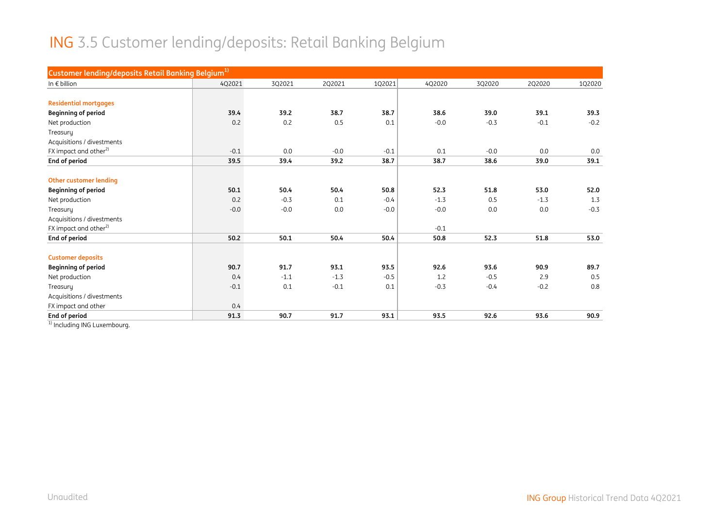#### ING 3.5 Customer lending/deposits: Retail Banking Belgium

| Customer lending/deposits Retail Banking Belgium <sup>1)</sup> |        |        |        |        |        |        |        |        |
|----------------------------------------------------------------|--------|--------|--------|--------|--------|--------|--------|--------|
| In $\epsilon$ billion                                          | 4Q2021 | 3Q2021 | 2Q2021 | 1Q2021 | 4Q2020 | 3Q2020 | 2Q2020 | 1Q2020 |
|                                                                |        |        |        |        |        |        |        |        |
| <b>Residential mortgages</b>                                   |        |        |        |        |        |        |        |        |
| <b>Beginning of period</b>                                     | 39.4   | 39.2   | 38.7   | 38.7   | 38.6   | 39.0   | 39.1   | 39.3   |
| Net production                                                 | 0.2    | 0.2    | 0.5    | 0.1    | $-0.0$ | $-0.3$ | $-0.1$ | $-0.2$ |
| Treasury                                                       |        |        |        |        |        |        |        |        |
| Acquisitions / divestments                                     |        |        |        |        |        |        |        |        |
| FX impact and other <sup>2)</sup>                              | $-0.1$ | 0.0    | $-0.0$ | $-0.1$ | 0.1    | $-0.0$ | 0.0    | 0.0    |
| End of period                                                  | 39.5   | 39.4   | 39.2   | 38.7   | 38.7   | 38.6   | 39.0   | 39.1   |
|                                                                |        |        |        |        |        |        |        |        |
| Other customer lending                                         |        |        |        |        |        |        |        |        |
| <b>Beginning of period</b>                                     | 50.1   | 50.4   | 50.4   | 50.8   | 52.3   | 51.8   | 53.0   | 52.0   |
| Net production                                                 | 0.2    | $-0.3$ | 0.1    | $-0.4$ | $-1.3$ | 0.5    | $-1.3$ | 1.3    |
| Treasury                                                       | $-0.0$ | $-0.0$ | 0.0    | $-0.0$ | $-0.0$ | 0.0    | 0.0    | $-0.3$ |
| Acquisitions / divestments                                     |        |        |        |        |        |        |        |        |
| FX impact and other <sup>2)</sup>                              |        |        |        |        | $-0.1$ |        |        |        |
| End of period                                                  | 50.2   | 50.1   | 50.4   | 50.4   | 50.8   | 52.3   | 51.8   | 53.0   |
| <b>Customer deposits</b>                                       |        |        |        |        |        |        |        |        |
| <b>Beginning of period</b>                                     | 90.7   | 91.7   | 93.1   | 93.5   | 92.6   | 93.6   | 90.9   | 89.7   |
| Net production                                                 | 0.4    | $-1.1$ | $-1.3$ | $-0.5$ | 1.2    | $-0.5$ | 2.9    | 0.5    |
| Treasury                                                       | $-0.1$ | 0.1    | $-0.1$ | 0.1    | $-0.3$ | $-0.4$ | $-0.2$ | 0.8    |
| Acquisitions / divestments                                     |        |        |        |        |        |        |        |        |
| FX impact and other                                            | 0.4    |        |        |        |        |        |        |        |
| End of period                                                  | 91.3   | 90.7   | 91.7   | 93.1   | 93.5   | 92.6   | 93.6   | 90.9   |

<sup>1)</sup> Including ING Luxembourg.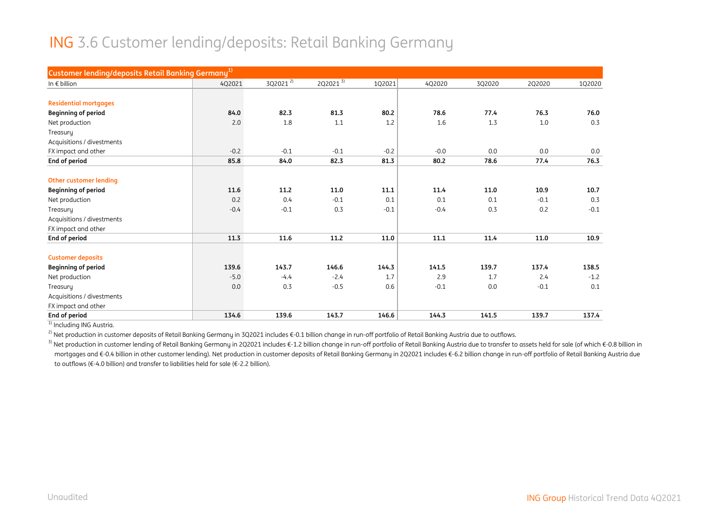#### ING 3.6 Customer lending/deposits: Retail Banking Germany

| Customer lending/deposits Retail Banking Germany <sup>1)</sup> |        |                      |              |        |        |        |        |        |
|----------------------------------------------------------------|--------|----------------------|--------------|--------|--------|--------|--------|--------|
| In $\epsilon$ billion                                          | 4Q2021 | 3Q2021 <sup>2)</sup> | $2Q2021^{3}$ | 1Q2021 | 4Q2020 | 3Q2020 | 2Q2020 | 1Q2020 |
|                                                                |        |                      |              |        |        |        |        |        |
| <b>Residential mortgages</b>                                   |        |                      |              |        |        |        |        |        |
| <b>Beginning of period</b>                                     | 84.0   | 82.3                 | 81.3         | 80.2   | 78.6   | 77.4   | 76.3   | 76.0   |
| Net production                                                 | 2.0    | 1.8                  | 1.1          | 1.2    | 1.6    | 1.3    | 1.0    | 0.3    |
| Treasury                                                       |        |                      |              |        |        |        |        |        |
| Acquisitions / divestments                                     |        |                      |              |        |        |        |        |        |
| FX impact and other                                            | $-0.2$ | $-0.1$               | $-0.1$       | $-0.2$ | $-0.0$ | 0.0    | 0.0    | 0.0    |
| End of period                                                  | 85.8   | 84.0                 | 82.3         | 81.3   | 80.2   | 78.6   | 77.4   | 76.3   |
|                                                                |        |                      |              |        |        |        |        |        |
| <b>Other customer lending</b>                                  |        |                      |              |        |        |        |        |        |
| <b>Beginning of period</b>                                     | 11.6   | 11.2                 | 11.0         | 11.1   | 11.4   | 11.0   | 10.9   | 10.7   |
| Net production                                                 | 0.2    | 0.4                  | $-0.1$       | 0.1    | 0.1    | 0.1    | $-0.1$ | 0.3    |
| Treasury                                                       | $-0.4$ | $-0.1$               | 0.3          | $-0.1$ | $-0.4$ | 0.3    | 0.2    | $-0.1$ |
| Acquisitions / divestments                                     |        |                      |              |        |        |        |        |        |
| FX impact and other                                            |        |                      |              |        |        |        |        |        |
| End of period                                                  | 11.3   | 11.6                 | 11.2         | 11.0   | 11.1   | 11.4   | 11.0   | 10.9   |
| <b>Customer deposits</b>                                       |        |                      |              |        |        |        |        |        |
| <b>Beginning of period</b>                                     | 139.6  | 143.7                | 146.6        | 144.3  | 141.5  | 139.7  | 137.4  | 138.5  |
| Net production                                                 | $-5.0$ | $-4.4$               | $-2.4$       | 1.7    | 2.9    | 1.7    | 2.4    | $-1.2$ |
| Treasury                                                       | 0.0    | 0.3                  | $-0.5$       | 0.6    | $-0.1$ | 0.0    | $-0.1$ | 0.1    |
| Acquisitions / divestments                                     |        |                      |              |        |        |        |        |        |
| FX impact and other                                            |        |                      |              |        |        |        |        |        |
| End of period                                                  | 134.6  | 139.6                | 143.7        | 146.6  | 144.3  | 141.5  | 139.7  | 137.4  |

<sup>1)</sup> Including ING Austria.

<sup>2)</sup> Net production in customer deposits of Retail Banking Germany in 3Q2021 includes €-0.1 billion change in run-off portfolio of Retail Banking Austria due to outflows.

<sup>3)</sup> Net production in customer lending of Retail Banking Germany in 2Q2021 includes €-1.2 billion change in run-off portfolio of Retail Banking Austria due to transfer to assets held for sale (of which €-0.8 billion in mortgages and €-0.4 billion in other customer lending). Net production in customer deposits of Retail Banking Germany in 2Q2021 includes €-6.2 billion change in run-off portfolio of Retail Banking Austria due to outflows (€-4.0 billion) and transfer to liabilities held for sale (€-2.2 billion).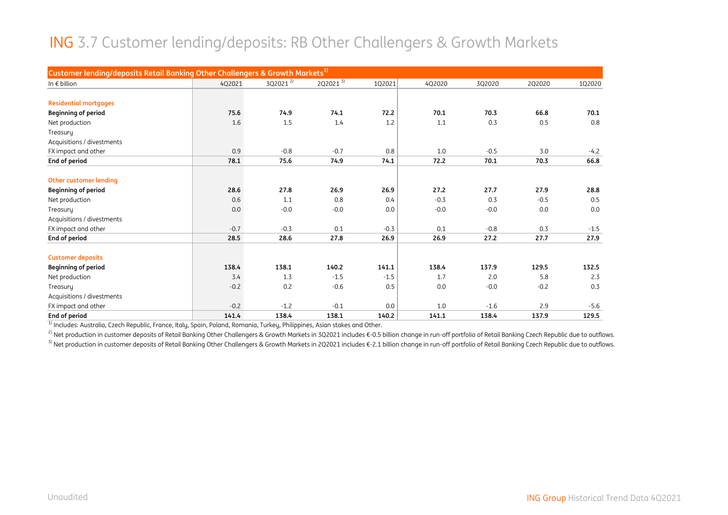#### ING 3.7 Customer lending/deposits: RB Other Challengers & Growth Markets

| Customer lending/deposits Retail Banking Other Challengers & Growth Markets <sup>1)</sup> |        |                      |                      |        |        |        |        |        |
|-------------------------------------------------------------------------------------------|--------|----------------------|----------------------|--------|--------|--------|--------|--------|
| In $\epsilon$ billion                                                                     | 4Q2021 | 3Q2021 <sup>2)</sup> | 2Q2021 $\frac{3}{3}$ | 1Q2021 | 4Q2020 | 3Q2020 | 2Q2020 | 1Q2020 |
|                                                                                           |        |                      |                      |        |        |        |        |        |
| <b>Residential mortgages</b>                                                              |        |                      |                      |        |        |        |        |        |
| <b>Beginning of period</b>                                                                | 75.6   | 74.9                 | 74.1                 | 72.2   | 70.1   | 70.3   | 66.8   | 70.1   |
| Net production                                                                            | 1.6    | 1.5                  | 1.4                  | 1.2    | 1.1    | 0.3    | 0.5    | 0.8    |
| Treasury                                                                                  |        |                      |                      |        |        |        |        |        |
| Acquisitions / divestments                                                                |        |                      |                      |        |        |        |        |        |
| FX impact and other                                                                       | 0.9    | $-0.8$               | $-0.7$               | 0.8    | 1.0    | $-0.5$ | 3.0    | $-4.2$ |
| End of period                                                                             | 78.1   | 75.6                 | 74.9                 | 74.1   | 72.2   | 70.1   | 70.3   | 66.8   |
|                                                                                           |        |                      |                      |        |        |        |        |        |
| <b>Other customer lending</b>                                                             |        |                      |                      |        |        |        |        |        |
| <b>Beginning of period</b>                                                                | 28.6   | 27.8                 | 26.9                 | 26.9   | 27.2   | 27.7   | 27.9   | 28.8   |
| Net production                                                                            | 0.6    | 1.1                  | 0.8                  | 0.4    | $-0.3$ | 0.3    | $-0.5$ | 0.5    |
| Treasuru                                                                                  | 0.0    | $-0.0$               | $-0.0$               | 0.0    | $-0.0$ | $-0.0$ | 0.0    | 0.0    |
| Acquisitions / divestments                                                                |        |                      |                      |        |        |        |        |        |
| FX impact and other                                                                       | $-0.7$ | $-0.3$               | 0.1                  | $-0.3$ | 0.1    | $-0.8$ | 0.3    | $-1.5$ |
| End of period                                                                             | 28.5   | 28.6                 | 27.8                 | 26.9   | 26.9   | 27.2   | 27.7   | 27.9   |
| <b>Customer deposits</b>                                                                  |        |                      |                      |        |        |        |        |        |
| <b>Beginning of period</b>                                                                | 138.4  | 138.1                | 140.2                | 141.1  | 138.4  | 137.9  | 129.5  | 132.5  |
| Net production                                                                            | 3.4    | 1.3                  | $-1.5$               | $-1.5$ | 1.7    | 2.0    | 5.8    | 2.3    |
| Treasury                                                                                  | $-0.2$ | 0.2                  | $-0.6$               | 0.5    | 0.0    | $-0.0$ | $-0.2$ | 0.3    |
| Acquisitions / divestments                                                                |        |                      |                      |        |        |        |        |        |
| FX impact and other                                                                       | $-0.2$ | $-1.2$               | $-0.1$               | 0.0    | 1.0    | $-1.6$ | 2.9    | $-5.6$ |
| End of period                                                                             | 141.4  | 138.4                | 138.1                | 140.2  | 141.1  | 138.4  | 137.9  | 129.5  |

<sup>1)</sup> Includes: Australia, Czech Republic, France, Italy, Spain, Poland, Romania, Turkey, Philippines, Asian stakes and Other.

<sup>2)</sup> Net production in customer deposits of Retail Banking Other Challengers & Growth Markets in 3Q2021 includes €-0.5 billion change in run-off portfolio of Retail Banking Czech Republic due to outflows. <sup>3)</sup> Net production in customer deposits of Retail Banking Other Challengers & Growth Markets in 2Q2021 includes €-2.1 billion change in run-off portfolio of Retail Banking Czech Republic due to outflows.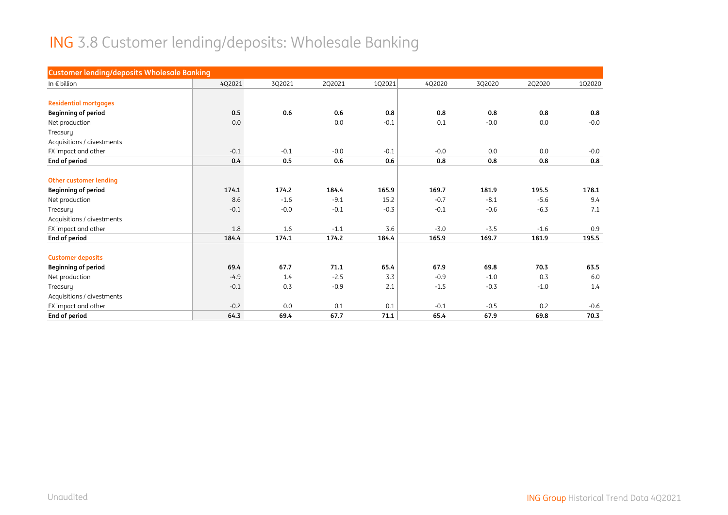# ING 3.8 Customer lending/deposits: Wholesale Banking

| <b>Customer lending/deposits Wholesale Banking</b> |        |        |        |        |        |        |        |        |
|----------------------------------------------------|--------|--------|--------|--------|--------|--------|--------|--------|
| In $\epsilon$ billion                              | 4Q2021 | 3Q2021 | 2Q2021 | 1Q2021 | 4Q2020 | 3Q2020 | 2Q2020 | 1Q2020 |
|                                                    |        |        |        |        |        |        |        |        |
| <b>Residential mortgages</b>                       |        |        |        |        |        |        |        |        |
| <b>Beginning of period</b>                         | 0.5    | 0.6    | 0.6    | 0.8    | 0.8    | 0.8    | 0.8    | 0.8    |
| Net production                                     | 0.0    |        | 0.0    | $-0.1$ | 0.1    | $-0.0$ | 0.0    | $-0.0$ |
| Treasury                                           |        |        |        |        |        |        |        |        |
| Acquisitions / divestments                         |        |        |        |        |        |        |        |        |
| FX impact and other                                | $-0.1$ | $-0.1$ | $-0.0$ | $-0.1$ | $-0.0$ | 0.0    | 0.0    | $-0.0$ |
| End of period                                      | 0.4    | 0.5    | 0.6    | 0.6    | 0.8    | 0.8    | 0.8    | 0.8    |
|                                                    |        |        |        |        |        |        |        |        |
| <b>Other customer lending</b>                      |        |        |        |        |        |        |        |        |
| <b>Beginning of period</b>                         | 174.1  | 174.2  | 184.4  | 165.9  | 169.7  | 181.9  | 195.5  | 178.1  |
| Net production                                     | 8.6    | $-1.6$ | $-9.1$ | 15.2   | $-0.7$ | $-8.1$ | $-5.6$ | 9.4    |
| Treasury                                           | $-0.1$ | $-0.0$ | $-0.1$ | $-0.3$ | $-0.1$ | $-0.6$ | $-6.3$ | 7.1    |
| Acquisitions / divestments                         |        |        |        |        |        |        |        |        |
| FX impact and other                                | 1.8    | 1.6    | $-1.1$ | 3.6    | $-3.0$ | $-3.5$ | $-1.6$ | 0.9    |
| End of period                                      | 184.4  | 174.1  | 174.2  | 184.4  | 165.9  | 169.7  | 181.9  | 195.5  |
| <b>Customer deposits</b>                           |        |        |        |        |        |        |        |        |
| <b>Beginning of period</b>                         | 69.4   | 67.7   | 71.1   | 65.4   | 67.9   | 69.8   | 70.3   | 63.5   |
| Net production                                     | $-4.9$ | 1.4    | $-2.5$ | 3.3    | $-0.9$ | $-1.0$ | 0.3    | 6.0    |
| Treasury                                           | $-0.1$ | 0.3    | $-0.9$ | 2.1    | $-1.5$ | $-0.3$ | $-1.0$ | 1.4    |
| Acquisitions / divestments                         |        |        |        |        |        |        |        |        |
| FX impact and other                                | $-0.2$ | 0.0    | 0.1    | 0.1    | $-0.1$ | $-0.5$ | 0.2    | $-0.6$ |
| <b>End of period</b>                               | 64.3   | 69.4   | 67.7   | 71.1   | 65.4   | 67.9   | 69.8   | 70.3   |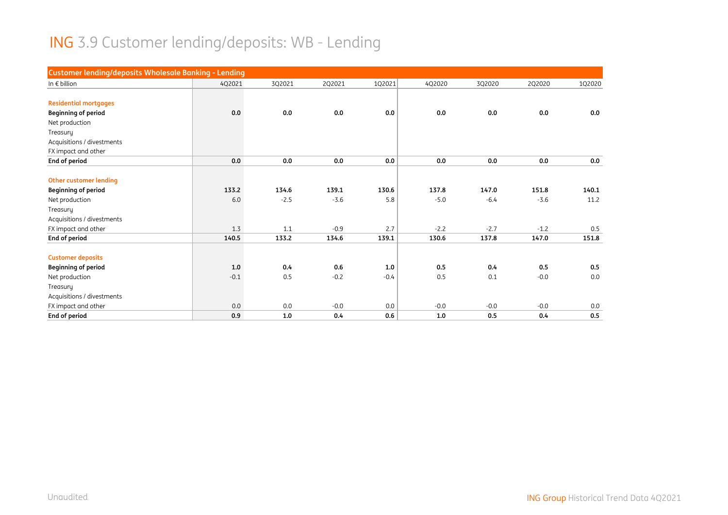# ING 3.9 Customer lending/deposits: WB - Lending

| Customer lending/deposits Wholesale Banking - Lending |        |        |        |        |        |        |        |        |
|-------------------------------------------------------|--------|--------|--------|--------|--------|--------|--------|--------|
| In $\epsilon$ billion                                 | 4Q2021 | 3Q2021 | 2Q2021 | 1Q2021 | 4Q2020 | 3Q2020 | 2Q2020 | 102020 |
|                                                       |        |        |        |        |        |        |        |        |
| <b>Residential mortgages</b>                          |        |        |        |        |        |        |        |        |
| <b>Beginning of period</b>                            | 0.0    | 0.0    | 0.0    | 0.0    | 0.0    | 0.0    | 0.0    | 0.0    |
| Net production                                        |        |        |        |        |        |        |        |        |
| Treasury                                              |        |        |        |        |        |        |        |        |
| Acquisitions / divestments                            |        |        |        |        |        |        |        |        |
| FX impact and other                                   |        |        |        |        |        |        |        |        |
| End of period                                         | 0.0    | 0.0    | 0.0    | 0.0    | 0.0    | 0.0    | 0.0    | 0.0    |
|                                                       |        |        |        |        |        |        |        |        |
| <b>Other customer lending</b>                         |        |        |        |        |        |        |        |        |
| <b>Beginning of period</b>                            | 133.2  | 134.6  | 139.1  | 130.6  | 137.8  | 147.0  | 151.8  | 140.1  |
| Net production                                        | 6.0    | $-2.5$ | $-3.6$ | 5.8    | $-5.0$ | $-6.4$ | $-3.6$ | 11.2   |
| Treasury                                              |        |        |        |        |        |        |        |        |
| Acquisitions / divestments                            |        |        |        |        |        |        |        |        |
| FX impact and other                                   | 1.3    | 1.1    | $-0.9$ | 2.7    | $-2.2$ | $-2.7$ | $-1.2$ | 0.5    |
| End of period                                         | 140.5  | 133.2  | 134.6  | 139.1  | 130.6  | 137.8  | 147.0  | 151.8  |
| <b>Customer deposits</b>                              |        |        |        |        |        |        |        |        |
| <b>Beginning of period</b>                            | 1.0    | 0.4    | 0.6    | 1.0    | 0.5    | 0.4    | 0.5    | 0.5    |
| Net production                                        | $-0.1$ | 0.5    | $-0.2$ | $-0.4$ | 0.5    | 0.1    | $-0.0$ | 0.0    |
| Treasury                                              |        |        |        |        |        |        |        |        |
| Acquisitions / divestments                            |        |        |        |        |        |        |        |        |
| FX impact and other                                   | 0.0    | 0.0    | $-0.0$ | 0.0    | $-0.0$ | $-0.0$ | $-0.0$ | 0.0    |
| End of period                                         | 0.9    | 1.0    | 0.4    | 0.6    | 1.0    | 0.5    | 0.4    | 0.5    |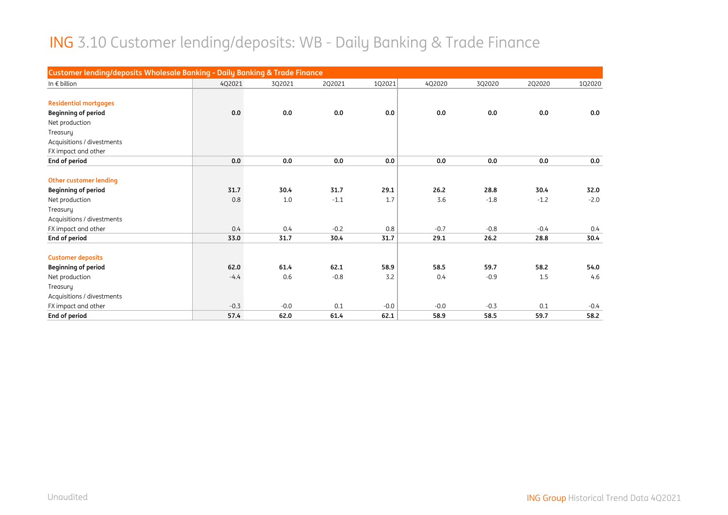#### ING 3.10 Customer lending/deposits: WB - Daily Banking & Trade Finance

| Customer lending/deposits Wholesale Banking - Daily Banking & Trade Finance |        |        |        |        |        |        |        |        |
|-----------------------------------------------------------------------------|--------|--------|--------|--------|--------|--------|--------|--------|
| In $\epsilon$ billion                                                       | 4Q2021 | 3Q2021 | 2Q2021 | 1Q2021 | 4Q2020 | 3Q2020 | 2Q2020 | 102020 |
|                                                                             |        |        |        |        |        |        |        |        |
| <b>Residential mortgages</b>                                                |        |        |        |        |        |        |        |        |
| <b>Beginning of period</b>                                                  | 0.0    | 0.0    | 0.0    | 0.0    | 0.0    | 0.0    | 0.0    | 0.0    |
| Net production                                                              |        |        |        |        |        |        |        |        |
| Treasury                                                                    |        |        |        |        |        |        |        |        |
| Acquisitions / divestments                                                  |        |        |        |        |        |        |        |        |
| FX impact and other                                                         |        |        |        |        |        |        |        |        |
| End of period                                                               | 0.0    | 0.0    | 0.0    | 0.0    | 0.0    | 0.0    | 0.0    | 0.0    |
|                                                                             |        |        |        |        |        |        |        |        |
| <b>Other customer lending</b>                                               |        |        |        |        |        |        |        |        |
| <b>Beginning of period</b>                                                  | 31.7   | 30.4   | 31.7   | 29.1   | 26.2   | 28.8   | 30.4   | 32.0   |
| Net production                                                              | 0.8    | 1.0    | $-1.1$ | 1.7    | 3.6    | $-1.8$ | $-1.2$ | $-2.0$ |
| Treasury                                                                    |        |        |        |        |        |        |        |        |
| Acquisitions / divestments                                                  |        |        |        |        |        |        |        |        |
| FX impact and other                                                         | 0.4    | 0.4    | $-0.2$ | 0.8    | $-0.7$ | $-0.8$ | $-0.4$ | 0.4    |
| End of period                                                               | 33.0   | 31.7   | 30.4   | 31.7   | 29.1   | 26.2   | 28.8   | 30.4   |
|                                                                             |        |        |        |        |        |        |        |        |
| <b>Customer deposits</b>                                                    |        |        |        |        |        |        |        |        |
| <b>Beginning of period</b>                                                  | 62.0   | 61.4   | 62.1   | 58.9   | 58.5   | 59.7   | 58.2   | 54.0   |
| Net production                                                              | $-4.4$ | 0.6    | $-0.8$ | 3.2    | 0.4    | $-0.9$ | 1.5    | 4.6    |
| Treasury                                                                    |        |        |        |        |        |        |        |        |
| Acquisitions / divestments                                                  |        |        |        |        |        |        |        |        |
| FX impact and other                                                         | $-0.3$ | $-0.0$ | 0.1    | $-0.0$ | $-0.0$ | $-0.3$ | 0.1    | $-0.4$ |
| End of period                                                               | 57.4   | 62.0   | 61.4   | 62.1   | 58.9   | 58.5   | 59.7   | 58.2   |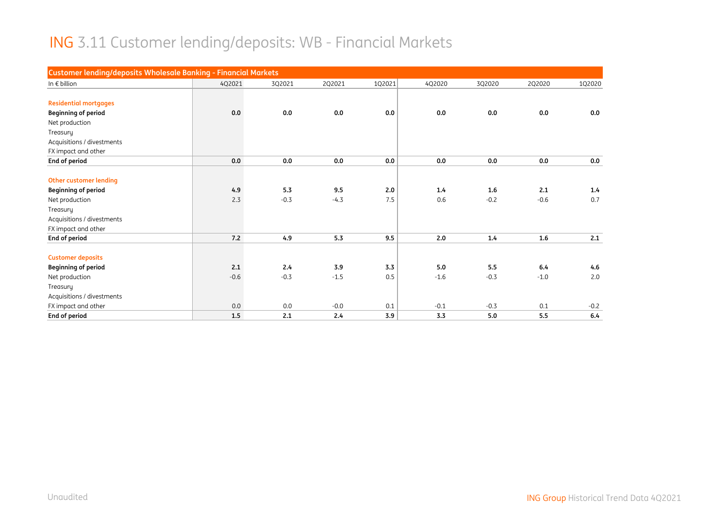#### ING 3.11 Customer lending/deposits: WB - Financial Markets

| <b>Customer lending/deposits Wholesale Banking - Financial Markets</b> |        |         |        |        |        |        |        |        |
|------------------------------------------------------------------------|--------|---------|--------|--------|--------|--------|--------|--------|
| In $\epsilon$ billion                                                  | 4Q2021 | 3Q2021  | 2Q2021 | 1Q2021 | 4Q2020 | 3Q2020 | 2Q2020 | 1Q2020 |
|                                                                        |        |         |        |        |        |        |        |        |
| <b>Residential mortgages</b>                                           |        |         |        |        |        |        |        |        |
| <b>Beginning of period</b>                                             | 0.0    | $0.0\,$ | 0.0    | 0.0    | 0.0    | 0.0    | 0.0    | 0.0    |
| Net production                                                         |        |         |        |        |        |        |        |        |
| Treasury                                                               |        |         |        |        |        |        |        |        |
| Acquisitions / divestments                                             |        |         |        |        |        |        |        |        |
| FX impact and other                                                    |        |         |        |        |        |        |        |        |
| End of period                                                          | 0.0    | 0.0     | 0.0    | 0.0    | 0.0    | 0.0    | 0.0    | 0.0    |
|                                                                        |        |         |        |        |        |        |        |        |
| <b>Other customer lending</b>                                          |        |         |        |        |        |        |        |        |
| <b>Beginning of period</b>                                             | 4.9    | 5.3     | 9.5    | 2.0    | 1.4    | 1.6    | 2.1    | 1.4    |
| Net production                                                         | 2.3    | $-0.3$  | $-4.3$ | 7.5    | 0.6    | $-0.2$ | $-0.6$ | 0.7    |
| Treasury                                                               |        |         |        |        |        |        |        |        |
| Acquisitions / divestments                                             |        |         |        |        |        |        |        |        |
| FX impact and other                                                    |        |         |        |        |        |        |        |        |
| End of period                                                          | 7.2    | 4.9     | 5.3    | 9.5    | 2.0    | 1.4    | 1.6    | 2.1    |
|                                                                        |        |         |        |        |        |        |        |        |
| <b>Customer deposits</b>                                               |        |         |        |        |        |        |        |        |
| <b>Beginning of period</b>                                             | 2.1    | 2.4     | 3.9    | 3.3    | 5.0    | 5.5    | 6.4    | 4.6    |
| Net production                                                         | $-0.6$ | $-0.3$  | $-1.5$ | 0.5    | $-1.6$ | $-0.3$ | $-1.0$ | 2.0    |
| Treasury                                                               |        |         |        |        |        |        |        |        |
| Acquisitions / divestments                                             |        |         |        |        |        |        |        |        |
| FX impact and other                                                    | 0.0    | 0.0     | $-0.0$ | 0.1    | $-0.1$ | $-0.3$ | 0.1    | $-0.2$ |
| End of period                                                          | 1.5    | 2.1     | 2.4    | 3.9    | 3.3    | 5.0    | 5.5    | 6.4    |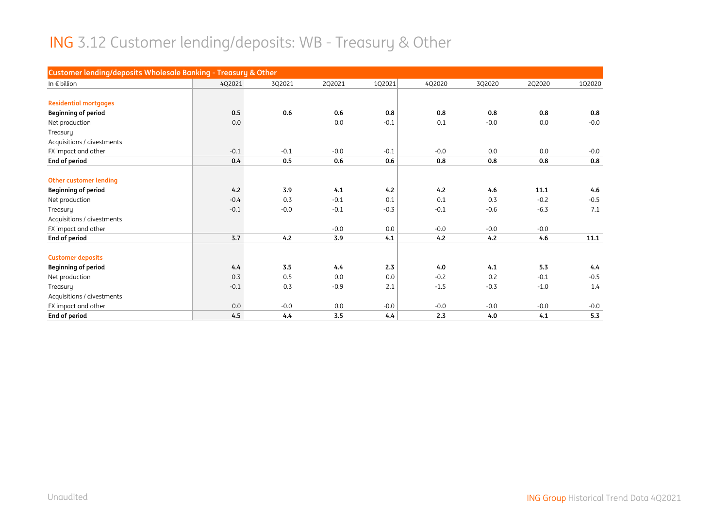# ING 3.12 Customer lending/deposits: WB - Treasury & Other

| Customer lending/deposits Wholesale Banking - Treasury & Other |        |        |        |        |        |        |        |        |
|----------------------------------------------------------------|--------|--------|--------|--------|--------|--------|--------|--------|
| In $\epsilon$ billion                                          | 4Q2021 | 3Q2021 | 2Q2021 | 1Q2021 | 4Q2020 | 3Q2020 | 2Q2020 | 1Q2020 |
|                                                                |        |        |        |        |        |        |        |        |
| <b>Residential mortgages</b>                                   |        |        |        |        |        |        |        |        |
| <b>Beginning of period</b>                                     | 0.5    | 0.6    | 0.6    | 0.8    | 0.8    | 0.8    | 0.8    | 0.8    |
| Net production                                                 | 0.0    |        | 0.0    | $-0.1$ | 0.1    | $-0.0$ | 0.0    | $-0.0$ |
| Treasury                                                       |        |        |        |        |        |        |        |        |
| Acquisitions / divestments                                     |        |        |        |        |        |        |        |        |
| FX impact and other                                            | $-0.1$ | $-0.1$ | $-0.0$ | $-0.1$ | $-0.0$ | 0.0    | 0.0    | $-0.0$ |
| End of period                                                  | 0.4    | 0.5    | 0.6    | 0.6    | 0.8    | 0.8    | 0.8    | 0.8    |
|                                                                |        |        |        |        |        |        |        |        |
| Other customer lending                                         |        |        |        |        |        |        |        |        |
| <b>Beginning of period</b>                                     | 4.2    | 3.9    | 4.1    | 4.2    | 4.2    | 4.6    | 11.1   | 4.6    |
| Net production                                                 | $-0.4$ | 0.3    | $-0.1$ | 0.1    | 0.1    | 0.3    | $-0.2$ | $-0.5$ |
| Treasury                                                       | $-0.1$ | $-0.0$ | $-0.1$ | $-0.3$ | $-0.1$ | $-0.6$ | $-6.3$ | 7.1    |
| Acquisitions / divestments                                     |        |        |        |        |        |        |        |        |
| FX impact and other                                            |        |        | $-0.0$ | 0.0    | $-0.0$ | $-0.0$ | $-0.0$ |        |
| End of period                                                  | 3.7    | 4.2    | 3.9    | 4.1    | 4.2    | 4.2    | 4.6    | 11.1   |
| <b>Customer deposits</b>                                       |        |        |        |        |        |        |        |        |
| <b>Beginning of period</b>                                     | 4.4    | 3.5    | 4.4    | 2.3    | 4.0    | 4.1    | 5.3    | 4.4    |
| Net production                                                 | 0.3    | 0.5    | 0.0    | 0.0    | $-0.2$ | 0.2    | $-0.1$ | $-0.5$ |
| Treasury                                                       | $-0.1$ | 0.3    | $-0.9$ | 2.1    | $-1.5$ | $-0.3$ | $-1.0$ | 1.4    |
| Acquisitions / divestments                                     |        |        |        |        |        |        |        |        |
| FX impact and other                                            | 0.0    | $-0.0$ | 0.0    | $-0.0$ | $-0.0$ | $-0.0$ | $-0.0$ | $-0.0$ |
| <b>End of period</b>                                           | 4.5    | 4.4    | 3.5    | 4.4    | 2.3    | 4.0    | 4.1    | 5.3    |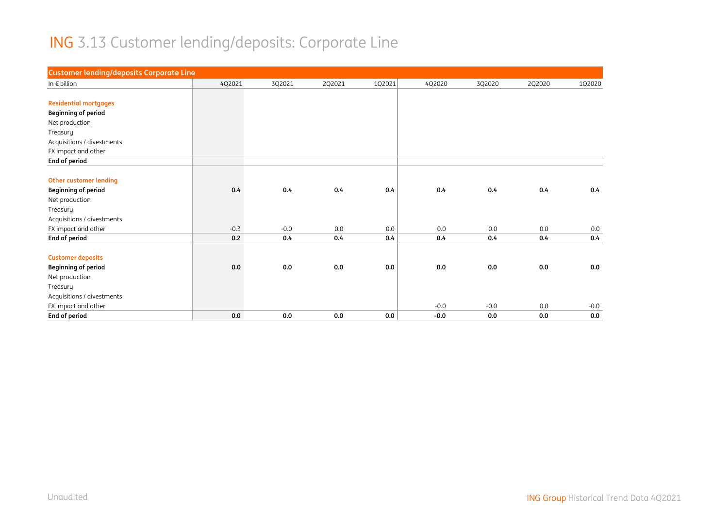# ING 3.13 Customer lending/deposits: Corporate Line

| <b>Customer lending/deposits Corporate Line</b> |        |        |        |        |        |        |        |        |
|-------------------------------------------------|--------|--------|--------|--------|--------|--------|--------|--------|
| In $\epsilon$ billion                           | 4Q2021 | 3Q2021 | 2Q2021 | 1Q2021 | 4Q2020 | 3Q2020 | 2Q2020 | 1Q2020 |
|                                                 |        |        |        |        |        |        |        |        |
| <b>Residential mortgages</b>                    |        |        |        |        |        |        |        |        |
| <b>Beginning of period</b>                      |        |        |        |        |        |        |        |        |
| Net production                                  |        |        |        |        |        |        |        |        |
| Treasury                                        |        |        |        |        |        |        |        |        |
| Acquisitions / divestments                      |        |        |        |        |        |        |        |        |
| FX impact and other                             |        |        |        |        |        |        |        |        |
| End of period                                   |        |        |        |        |        |        |        |        |
|                                                 |        |        |        |        |        |        |        |        |
| <b>Other customer lending</b>                   |        |        |        |        |        |        |        |        |
| <b>Beginning of period</b>                      | 0.4    | 0.4    | 0.4    | 0.4    | 0.4    | 0.4    | 0.4    | 0.4    |
| Net production                                  |        |        |        |        |        |        |        |        |
| Treasury                                        |        |        |        |        |        |        |        |        |
| Acquisitions / divestments                      |        |        |        |        |        |        |        |        |
| FX impact and other                             | $-0.3$ | $-0.0$ | 0.0    | 0.0    | 0.0    | 0.0    | 0.0    | 0.0    |
| End of period                                   | 0.2    | 0.4    | 0.4    | 0.4    | 0.4    | 0.4    | 0.4    | 0.4    |
|                                                 |        |        |        |        |        |        |        |        |
| <b>Customer deposits</b>                        |        |        |        |        |        |        |        |        |
| <b>Beginning of period</b>                      | 0.0    | 0.0    | 0.0    | 0.0    | 0.0    | 0.0    | 0.0    | 0.0    |
| Net production                                  |        |        |        |        |        |        |        |        |
| Treasury                                        |        |        |        |        |        |        |        |        |
| Acquisitions / divestments                      |        |        |        |        |        |        |        |        |
| FX impact and other                             |        |        |        |        | $-0.0$ | $-0.0$ | 0.0    | $-0.0$ |
| End of period                                   | 0.0    | 0.0    | 0.0    | 0.0    | $-0.0$ | 0.0    | 0.0    | 0.0    |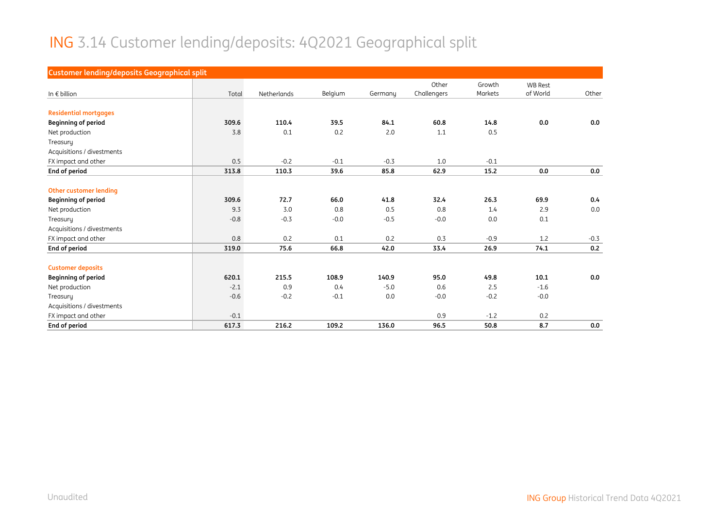#### ING 3.14 Customer lending/deposits: 4Q2021 Geographical split

| <b>Customer lending/deposits Geographical split</b> |        |             |         |         |             |         |                |        |
|-----------------------------------------------------|--------|-------------|---------|---------|-------------|---------|----------------|--------|
|                                                     |        |             |         |         | Other       | Growth  | <b>WB Rest</b> |        |
| In $\epsilon$ billion                               | Total  | Netherlands | Belgium | Germany | Challengers | Markets | of World       | Other  |
|                                                     |        |             |         |         |             |         |                |        |
| <b>Residential mortgages</b>                        |        |             |         |         |             |         |                |        |
| <b>Beginning of period</b>                          | 309.6  | 110.4       | 39.5    | 84.1    | 60.8        | 14.8    | 0.0            | 0.0    |
| Net production                                      | 3.8    | 0.1         | 0.2     | 2.0     | 1.1         | 0.5     |                |        |
| Treasury                                            |        |             |         |         |             |         |                |        |
| Acquisitions / divestments                          |        |             |         |         |             |         |                |        |
| FX impact and other                                 | 0.5    | $-0.2$      | $-0.1$  | $-0.3$  | 1.0         | $-0.1$  |                |        |
| End of period                                       | 313.8  | 110.3       | 39.6    | 85.8    | 62.9        | 15.2    | 0.0            | 0.0    |
|                                                     |        |             |         |         |             |         |                |        |
| <b>Other customer lending</b>                       |        |             |         |         |             |         |                |        |
| <b>Beginning of period</b>                          | 309.6  | 72.7        | 66.0    | 41.8    | 32.4        | 26.3    | 69.9           | 0.4    |
| Net production                                      | 9.3    | 3.0         | 0.8     | 0.5     | 0.8         | 1.4     | 2.9            | 0.0    |
| Treasury                                            | $-0.8$ | $-0.3$      | $-0.0$  | $-0.5$  | $-0.0$      | 0.0     | 0.1            |        |
| Acquisitions / divestments                          |        |             |         |         |             |         |                |        |
| FX impact and other                                 | 0.8    | 0.2         | 0.1     | 0.2     | 0.3         | $-0.9$  | 1.2            | $-0.3$ |
| End of period                                       | 319.0  | 75.6        | 66.8    | 42.0    | 33.4        | 26.9    | 74.1           | 0.2    |
|                                                     |        |             |         |         |             |         |                |        |
| <b>Customer deposits</b>                            |        |             |         |         |             |         |                |        |
| <b>Beginning of period</b>                          | 620.1  | 215.5       | 108.9   | 140.9   | 95.0        | 49.8    | 10.1           | 0.0    |
| Net production                                      | $-2.1$ | 0.9         | 0.4     | $-5.0$  | 0.6         | 2.5     | $-1.6$         |        |
| Treasury                                            | $-0.6$ | $-0.2$      | $-0.1$  | 0.0     | $-0.0$      | $-0.2$  | $-0.0$         |        |
| Acquisitions / divestments                          |        |             |         |         |             |         |                |        |
| FX impact and other                                 | $-0.1$ |             |         |         | 0.9         | $-1.2$  | 0.2            |        |
| End of period                                       | 617.3  | 216.2       | 109.2   | 136.0   | 96.5        | 50.8    | 8.7            | 0.0    |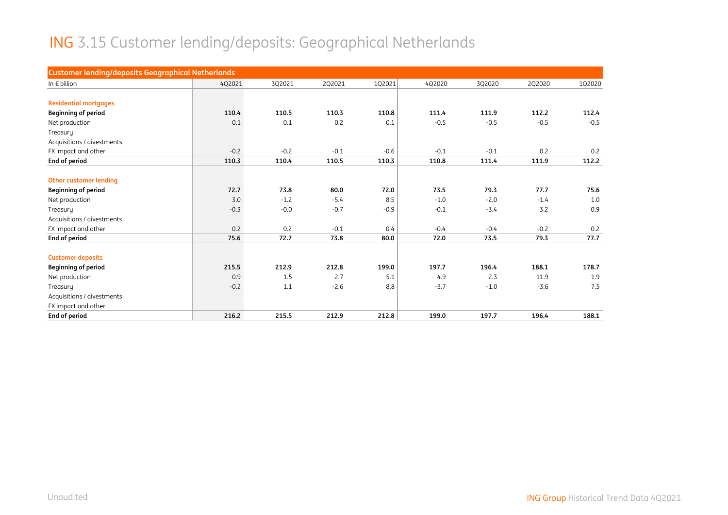# ING 3.15 Customer lending/deposits: Geographical Netherlands

| <b>Customer lending/deposits Geographical Netherlands</b> |        |        |        |        |        |        |        |        |
|-----------------------------------------------------------|--------|--------|--------|--------|--------|--------|--------|--------|
| In $\epsilon$ billion                                     | 4Q2021 | 3Q2021 | 2Q2021 | 1Q2021 | 4Q2020 | 3Q2020 | 2Q2020 | 1Q2020 |
|                                                           |        |        |        |        |        |        |        |        |
| <b>Residential mortgages</b>                              |        |        |        |        |        |        |        |        |
| <b>Beginning of period</b>                                | 110.4  | 110.5  | 110.3  | 110.8  | 111.4  | 111.9  | 112.2  | 112.4  |
| Net production                                            | 0.1    | 0.1    | 0.2    | 0.1    | $-0.5$ | $-0.5$ | $-0.5$ | $-0.5$ |
| Treasury                                                  |        |        |        |        |        |        |        |        |
| Acquisitions / divestments                                |        |        |        |        |        |        |        |        |
| FX impact and other                                       | $-0.2$ | $-0.2$ | $-0.1$ | $-0.6$ | $-0.1$ | $-0.1$ | 0.2    | 0.2    |
| End of period                                             | 110.3  | 110.4  | 110.5  | 110.3  | 110.8  | 111.4  | 111.9  | 112.2  |
|                                                           |        |        |        |        |        |        |        |        |
| <b>Other customer lending</b>                             |        |        |        |        |        |        |        |        |
| <b>Beginning of period</b>                                | 72.7   | 73.8   | 80.0   | 72.0   | 73.5   | 79.3   | 77.7   | 75.6   |
| Net production                                            | 3.0    | $-1.2$ | $-5.4$ | 8.5    | $-1.0$ | $-2.0$ | $-1.4$ | 1.0    |
| Treasury                                                  | $-0.3$ | $-0.0$ | $-0.7$ | $-0.9$ | $-0.1$ | $-3.4$ | 3.2    | 0.9    |
| Acquisitions / divestments                                |        |        |        |        |        |        |        |        |
| FX impact and other                                       | 0.2    | 0.2    | $-0.1$ | 0.4    | $-0.4$ | $-0.4$ | $-0.2$ | 0.2    |
| End of period                                             | 75.6   | 72.7   | 73.8   | 80.0   | 72.0   | 73.5   | 79.3   | 77.7   |
| <b>Customer deposits</b>                                  |        |        |        |        |        |        |        |        |
| <b>Beginning of period</b>                                | 215.5  | 212.9  | 212.8  | 199.0  | 197.7  | 196.4  | 188.1  | 178.7  |
| Net production                                            | 0.9    | 1.5    | 2.7    | 5.1    | 4.9    | 2.3    | 11.9   | 1.9    |
| Treasury                                                  | $-0.2$ | 1.1    | $-2.6$ | 8.8    | $-3.7$ | $-1.0$ | $-3.6$ | 7.5    |
| Acquisitions / divestments                                |        |        |        |        |        |        |        |        |
| FX impact and other                                       |        |        |        |        |        |        |        |        |
| End of period                                             | 216.2  | 215.5  | 212.9  | 212.8  | 199.0  | 197.7  | 196.4  | 188.1  |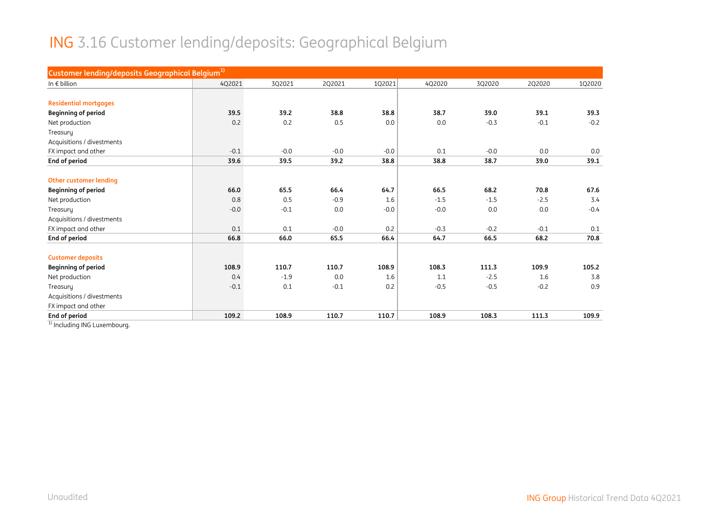#### ING 3.16 Customer lending/deposits: Geographical Belgium

| 4Q2021<br>39.5 | 3Q2021 | 2Q2021 | 1Q2021 | 4Q2020 | 3Q2020 | 2Q2020 | 1Q2020 |
|----------------|--------|--------|--------|--------|--------|--------|--------|
|                |        |        |        |        |        |        |        |
|                |        |        |        |        |        |        |        |
|                |        |        |        |        |        |        |        |
|                |        | 38.8   | 38.8   | 38.7   | 39.0   | 39.1   | 39.3   |
| 0.2            | 0.2    | 0.5    | 0.0    | 0.0    | $-0.3$ | $-0.1$ | $-0.2$ |
|                |        |        |        |        |        |        |        |
|                |        |        |        |        |        |        |        |
| $-0.1$         | $-0.0$ | $-0.0$ | $-0.0$ | 0.1    | $-0.0$ | 0.0    | 0.0    |
| 39.6           | 39.5   | 39.2   | 38.8   | 38.8   | 38.7   | 39.0   | 39.1   |
|                |        |        |        |        |        |        |        |
|                |        |        |        |        |        |        |        |
| 66.0           | 65.5   | 66.4   | 64.7   | 66.5   | 68.2   | 70.8   | 67.6   |
| 0.8            | 0.5    | $-0.9$ | 1.6    | $-1.5$ | $-1.5$ | $-2.5$ | 3.4    |
| $-0.0$         | $-0.1$ | 0.0    | $-0.0$ | $-0.0$ | 0.0    | 0.0    | $-0.4$ |
|                |        |        |        |        |        |        |        |
| 0.1            | 0.1    | $-0.0$ | 0.2    | $-0.3$ | $-0.2$ | $-0.1$ | 0.1    |
| 66.8           | 66.0   | 65.5   | 66.4   | 64.7   | 66.5   | 68.2   | 70.8   |
|                |        |        |        |        |        |        |        |
| 108.9          | 110.7  | 110.7  | 108.9  | 108.3  | 111.3  | 109.9  | 105.2  |
| 0.4            | $-1.9$ | 0.0    | 1.6    | 1.1    | $-2.5$ | 1.6    | 3.8    |
| $-0.1$         | 0.1    | $-0.1$ | 0.2    | $-0.5$ | $-0.5$ | $-0.2$ | 0.9    |
|                |        |        |        |        |        |        |        |
|                |        |        |        |        |        |        |        |
| 109.2          | 108.9  | 110.7  | 110.7  | 108.9  | 108.3  | 111.3  | 109.9  |
|                |        | 39.2   |        |        |        |        |        |

<sup>1)</sup> Including ING Luxembourg.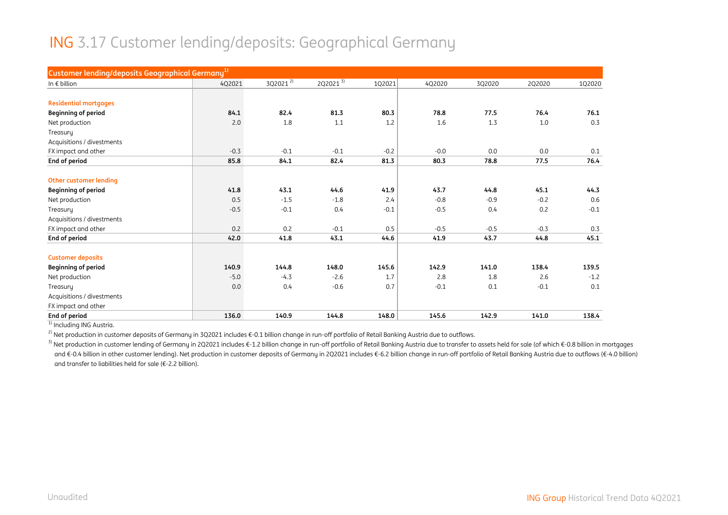#### ING 3.17 Customer lending/deposits: Geographical Germany

| Customer lending/deposits Geographical Germany <sup>1)</sup> |        |                      |              |        |        |        |        |        |
|--------------------------------------------------------------|--------|----------------------|--------------|--------|--------|--------|--------|--------|
| In $\epsilon$ billion                                        | 4Q2021 | 3Q2021 <sup>2)</sup> | $2Q2021^{3}$ | 1Q2021 | 4Q2020 | 3Q2020 | 2Q2020 | 1Q2020 |
|                                                              |        |                      |              |        |        |        |        |        |
| <b>Residential mortgages</b>                                 |        |                      |              |        |        |        |        |        |
| <b>Beginning of period</b>                                   | 84.1   | 82.4                 | 81.3         | 80.3   | 78.8   | 77.5   | 76.4   | 76.1   |
| Net production                                               | 2.0    | 1.8                  | 1.1          | 1.2    | 1.6    | 1.3    | 1.0    | 0.3    |
| Treasury                                                     |        |                      |              |        |        |        |        |        |
| Acquisitions / divestments                                   |        |                      |              |        |        |        |        |        |
| FX impact and other                                          | $-0.3$ | $-0.1$               | $-0.1$       | $-0.2$ | $-0.0$ | 0.0    | 0.0    | 0.1    |
| End of period                                                | 85.8   | 84.1                 | 82.4         | 81.3   | 80.3   | 78.8   | 77.5   | 76.4   |
|                                                              |        |                      |              |        |        |        |        |        |
| Other customer lending                                       |        |                      |              |        |        |        |        |        |
| <b>Beginning of period</b>                                   | 41.8   | 43.1                 | 44.6         | 41.9   | 43.7   | 44.8   | 45.1   | 44.3   |
| Net production                                               | 0.5    | $-1.5$               | $-1.8$       | 2.4    | $-0.8$ | $-0.9$ | $-0.2$ | 0.6    |
| Treasury                                                     | $-0.5$ | $-0.1$               | 0.4          | $-0.1$ | $-0.5$ | 0.4    | 0.2    | $-0.1$ |
| Acquisitions / divestments                                   |        |                      |              |        |        |        |        |        |
| FX impact and other                                          | 0.2    | 0.2                  | $-0.1$       | 0.5    | $-0.5$ | $-0.5$ | $-0.3$ | 0.3    |
| End of period                                                | 42.0   | 41.8                 | 43.1         | 44.6   | 41.9   | 43.7   | 44.8   | 45.1   |
| <b>Customer deposits</b>                                     |        |                      |              |        |        |        |        |        |
| <b>Beginning of period</b>                                   | 140.9  | 144.8                | 148.0        | 145.6  | 142.9  | 141.0  | 138.4  | 139.5  |
| Net production                                               | $-5.0$ | $-4.3$               | $-2.6$       | 1.7    | 2.8    | 1.8    | 2.6    | $-1.2$ |
| Treasury                                                     | 0.0    | 0.4                  | $-0.6$       | 0.7    | $-0.1$ | 0.1    | $-0.1$ | 0.1    |
| Acquisitions / divestments                                   |        |                      |              |        |        |        |        |        |
| FX impact and other                                          |        |                      |              |        |        |        |        |        |
| End of period                                                | 136.0  | 140.9                | 144.8        | 148.0  | 145.6  | 142.9  | 141.0  | 138.4  |

<sup>1)</sup> Including ING Austria.

<sup>2)</sup> Net production in customer deposits of Germany in 3Q2021 includes €-0.1 billion change in run-off portfolio of Retail Banking Austria due to outflows.

<sup>3)</sup> Net production in customer lending of Germany in 2Q2021 includes €-1.2 billion change in run-off portfolio of Retail Banking Austria due to transfer to assets held for sale (of which €-0.8 billion in mortgages and €-0.4 billion in other customer lending). Net production in customer deposits of Germany in 2Q2021 includes €-6.2 billion change in run-off portfolio of Retail Banking Austria due to outflows (€-4.0 billion) and transfer to liabilities held for sale (€-2.2 billion).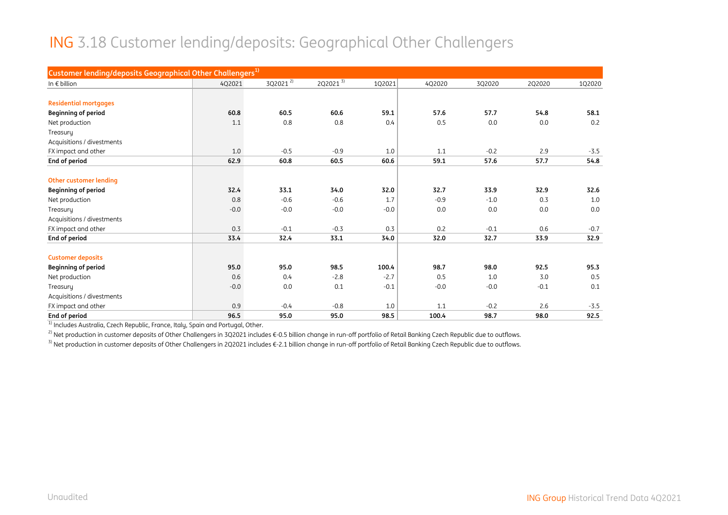#### ING 3.18 Customer lending/deposits: Geographical Other Challengers

| Customer lending/deposits Geographical Other Challengers <sup>1)</sup> |        |              |              |        |        |        |        |        |
|------------------------------------------------------------------------|--------|--------------|--------------|--------|--------|--------|--------|--------|
| In $\epsilon$ billion                                                  | 4Q2021 | $3Q2021^{2}$ | $2Q2021^{3}$ | 1Q2021 | 4Q2020 | 3Q2020 | 2Q2020 | 1Q2020 |
|                                                                        |        |              |              |        |        |        |        |        |
| <b>Residential mortgages</b>                                           |        |              |              |        |        |        |        |        |
| <b>Beginning of period</b>                                             | 60.8   | 60.5         | 60.6         | 59.1   | 57.6   | 57.7   | 54.8   | 58.1   |
| Net production                                                         | 1.1    | 0.8          | 0.8          | 0.4    | 0.5    | 0.0    | 0.0    | 0.2    |
| Treasury                                                               |        |              |              |        |        |        |        |        |
| Acquisitions / divestments                                             |        |              |              |        |        |        |        |        |
| FX impact and other                                                    | 1.0    | $-0.5$       | $-0.9$       | 1.0    | 1.1    | $-0.2$ | 2.9    | $-3.5$ |
| End of period                                                          | 62.9   | 60.8         | 60.5         | 60.6   | 59.1   | 57.6   | 57.7   | 54.8   |
|                                                                        |        |              |              |        |        |        |        |        |
| Other customer lending                                                 |        |              |              |        |        |        |        |        |
| <b>Beginning of period</b>                                             | 32.4   | 33.1         | 34.0         | 32.0   | 32.7   | 33.9   | 32.9   | 32.6   |
| Net production                                                         | 0.8    | $-0.6$       | $-0.6$       | 1.7    | $-0.9$ | $-1.0$ | 0.3    | 1.0    |
| Treasuru                                                               | $-0.0$ | $-0.0$       | $-0.0$       | $-0.0$ | 0.0    | 0.0    | 0.0    | 0.0    |
| Acquisitions / divestments                                             |        |              |              |        |        |        |        |        |
| FX impact and other                                                    | 0.3    | $-0.1$       | $-0.3$       | 0.3    | 0.2    | $-0.1$ | 0.6    | $-0.7$ |
| End of period                                                          | 33.4   | 32.4         | 33.1         | 34.0   | 32.0   | 32.7   | 33.9   | 32.9   |
| <b>Customer deposits</b>                                               |        |              |              |        |        |        |        |        |
| <b>Beginning of period</b>                                             | 95.0   | 95.0         | 98.5         | 100.4  | 98.7   | 98.0   | 92.5   | 95.3   |
| Net production                                                         | 0.6    | 0.4          | $-2.8$       | $-2.7$ | 0.5    | 1.0    | 3.0    | 0.5    |
| Treasury                                                               | $-0.0$ | 0.0          | 0.1          | $-0.1$ | $-0.0$ | $-0.0$ | $-0.1$ | 0.1    |
| Acquisitions / divestments                                             |        |              |              |        |        |        |        |        |
| FX impact and other                                                    | 0.9    | $-0.4$       | $-0.8$       | 1.0    | 1.1    | $-0.2$ | 2.6    | $-3.5$ |
| End of period                                                          | 96.5   | 95.0         | 95.0         | 98.5   | 100.4  | 98.7   | 98.0   | 92.5   |

<sup>1)</sup> Includes Australia, Czech Republic, France, Italy, Spain and Portugal, Other.

<sup>2)</sup> Net production in customer deposits of Other Challengers in 3Q2021 includes €-0.5 billion change in run-off portfolio of Retail Banking Czech Republic due to outflows.

<sup>3)</sup> Net production in customer deposits of Other Challengers in 2Q2021 includes €-2.1 billion change in run-off portfolio of Retail Banking Czech Republic due to outflows.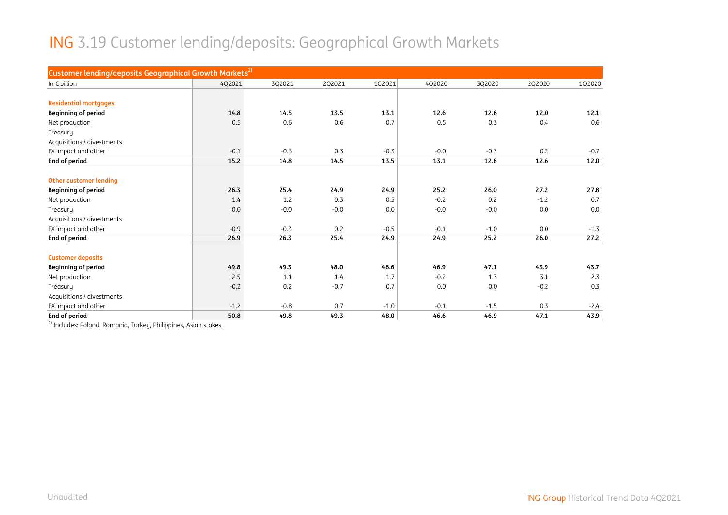# ING 3.19 Customer lending/deposits: Geographical Growth Markets

| Customer lending/deposits Geographical Growth Markets <sup>1)</sup> |        |        |        |        |        |        |        |        |
|---------------------------------------------------------------------|--------|--------|--------|--------|--------|--------|--------|--------|
| In $\epsilon$ billion                                               | 4Q2021 | 3Q2021 | 2Q2021 | 1Q2021 | 4Q2020 | 3Q2020 | 2Q2020 | 1Q2020 |
|                                                                     |        |        |        |        |        |        |        |        |
| <b>Residential mortgages</b>                                        |        |        |        |        |        |        |        |        |
| <b>Beginning of period</b>                                          | 14.8   | 14.5   | 13.5   | 13.1   | 12.6   | 12.6   | 12.0   | 12.1   |
| Net production                                                      | 0.5    | 0.6    | 0.6    | 0.7    | 0.5    | 0.3    | 0.4    | 0.6    |
| Treasury                                                            |        |        |        |        |        |        |        |        |
| Acquisitions / divestments                                          |        |        |        |        |        |        |        |        |
| FX impact and other                                                 | $-0.1$ | $-0.3$ | 0.3    | $-0.3$ | $-0.0$ | $-0.3$ | 0.2    | $-0.7$ |
| End of period                                                       | 15.2   | 14.8   | 14.5   | 13.5   | 13.1   | 12.6   | 12.6   | 12.0   |
|                                                                     |        |        |        |        |        |        |        |        |
| <b>Other customer lending</b>                                       |        |        |        |        |        |        |        |        |
| <b>Beginning of period</b>                                          | 26.3   | 25.4   | 24.9   | 24.9   | 25.2   | 26.0   | 27.2   | 27.8   |
| Net production                                                      | 1.4    | 1.2    | 0.3    | 0.5    | $-0.2$ | 0.2    | $-1.2$ | 0.7    |
| Treasuru                                                            | 0.0    | $-0.0$ | $-0.0$ | 0.0    | $-0.0$ | $-0.0$ | 0.0    | 0.0    |
| Acquisitions / divestments                                          |        |        |        |        |        |        |        |        |
| FX impact and other                                                 | $-0.9$ | $-0.3$ | 0.2    | $-0.5$ | $-0.1$ | $-1.0$ | 0.0    | $-1.3$ |
| End of period                                                       | 26.9   | 26.3   | 25.4   | 24.9   | 24.9   | 25.2   | 26.0   | 27.2   |
| <b>Customer deposits</b>                                            |        |        |        |        |        |        |        |        |
| <b>Beginning of period</b>                                          | 49.8   | 49.3   | 48.0   | 46.6   | 46.9   | 47.1   | 43.9   | 43.7   |
| Net production                                                      | 2.5    | 1.1    | 1.4    | 1.7    | $-0.2$ | 1.3    | 3.1    | 2.3    |
| Treasury                                                            | $-0.2$ | 0.2    | $-0.7$ | 0.7    | 0.0    | 0.0    | $-0.2$ | 0.3    |
| Acquisitions / divestments                                          |        |        |        |        |        |        |        |        |
| FX impact and other                                                 | $-1.2$ | $-0.8$ | 0.7    | $-1.0$ | $-0.1$ | $-1.5$ | 0.3    | $-2.4$ |
| End of period                                                       | 50.8   | 49.8   | 49.3   | 48.0   | 46.6   | 46.9   | 47.1   | 43.9   |
|                                                                     |        |        |        |        |        |        |        |        |

<sup>1)</sup> Includes: Poland, Romania, Turkey, Philippines, Asian stakes.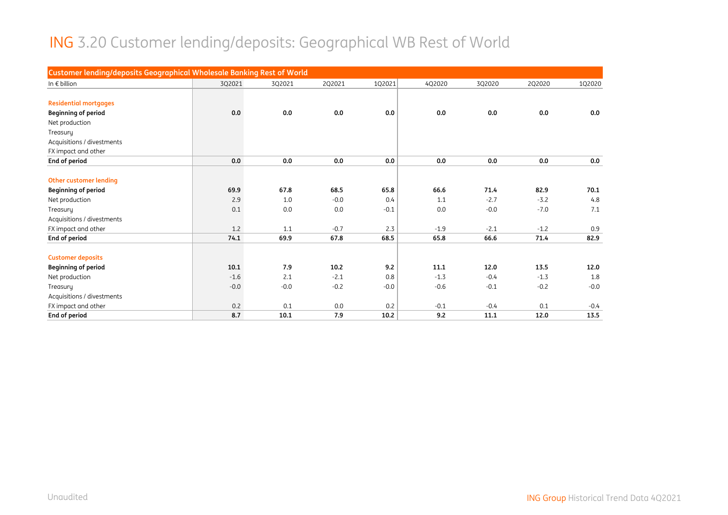#### ING 3.20 Customer lending/deposits: Geographical WB Rest of World

| Customer lending/deposits Geographical Wholesale Banking Rest of World |        |        |        |        |        |        |        |        |
|------------------------------------------------------------------------|--------|--------|--------|--------|--------|--------|--------|--------|
| In $\epsilon$ billion                                                  | 3Q2021 | 3Q2021 | 2Q2021 | 1Q2021 | 4Q2020 | 3Q2020 | 2Q2020 | 102020 |
|                                                                        |        |        |        |        |        |        |        |        |
| <b>Residential mortgages</b>                                           |        |        |        |        |        |        |        |        |
| <b>Beginning of period</b>                                             | 0.0    | 0.0    | 0.0    | 0.0    | 0.0    | 0.0    | 0.0    | 0.0    |
| Net production                                                         |        |        |        |        |        |        |        |        |
| Treasury                                                               |        |        |        |        |        |        |        |        |
| Acquisitions / divestments                                             |        |        |        |        |        |        |        |        |
| FX impact and other                                                    |        |        |        |        |        |        |        |        |
| End of period                                                          | 0.0    | 0.0    | 0.0    | 0.0    | 0.0    | 0.0    | 0.0    | 0.0    |
|                                                                        |        |        |        |        |        |        |        |        |
| Other customer lending                                                 |        |        |        |        |        |        |        |        |
| <b>Beginning of period</b>                                             | 69.9   | 67.8   | 68.5   | 65.8   | 66.6   | 71.4   | 82.9   | 70.1   |
| Net production                                                         | 2.9    | 1.0    | $-0.0$ | 0.4    | 1.1    | $-2.7$ | $-3.2$ | 4.8    |
| Treasury                                                               | 0.1    | 0.0    | 0.0    | $-0.1$ | 0.0    | $-0.0$ | $-7.0$ | 7.1    |
| Acquisitions / divestments                                             |        |        |        |        |        |        |        |        |
| FX impact and other                                                    | 1.2    | 1.1    | $-0.7$ | 2.3    | $-1.9$ | $-2.1$ | $-1.2$ | 0.9    |
| End of period                                                          | 74.1   | 69.9   | 67.8   | 68.5   | 65.8   | 66.6   | 71.4   | 82.9   |
|                                                                        |        |        |        |        |        |        |        |        |
| <b>Customer deposits</b>                                               |        |        |        |        |        |        |        |        |
| <b>Beginning of period</b>                                             | 10.1   | 7.9    | 10.2   | 9.2    | 11.1   | 12.0   | 13.5   | 12.0   |
| Net production                                                         | $-1.6$ | 2.1    | $-2.1$ | 0.8    | $-1.3$ | $-0.4$ | $-1.3$ | 1.8    |
| Treasury                                                               | $-0.0$ | $-0.0$ | $-0.2$ | $-0.0$ | $-0.6$ | $-0.1$ | $-0.2$ | $-0.0$ |
| Acquisitions / divestments                                             |        |        |        |        |        |        |        |        |
| FX impact and other                                                    | 0.2    | 0.1    | 0.0    | 0.2    | $-0.1$ | $-0.4$ | 0.1    | $-0.4$ |
| End of period                                                          | 8.7    | 10.1   | 7.9    | 10.2   | 9.2    | 11.1   | 12.0   | 13.5   |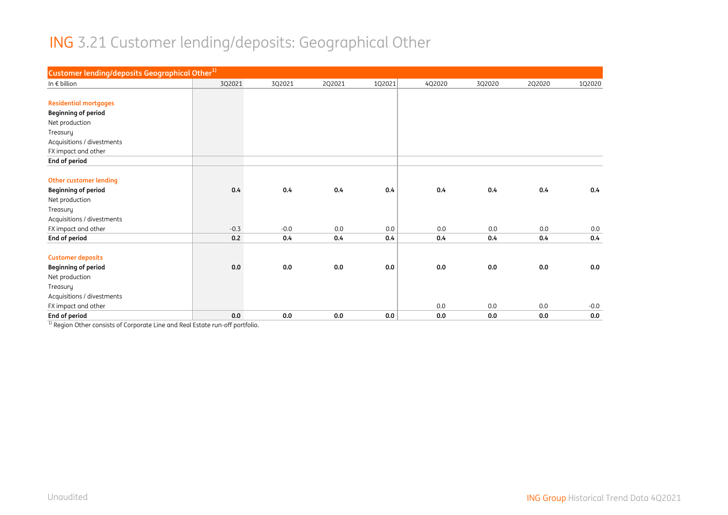#### ING 3.21 Customer lending/deposits: Geographical Other

| Customer lending/deposits Geographical Other <sup>1)</sup> |        |        |        |        |        |        |        |        |
|------------------------------------------------------------|--------|--------|--------|--------|--------|--------|--------|--------|
| In $\epsilon$ billion                                      | 3Q2021 | 3Q2021 | 2Q2021 | 1Q2021 | 4Q2020 | 3Q2020 | 2Q2020 | 1Q2020 |
|                                                            |        |        |        |        |        |        |        |        |
| <b>Residential mortgages</b>                               |        |        |        |        |        |        |        |        |
| <b>Beginning of period</b>                                 |        |        |        |        |        |        |        |        |
| Net production                                             |        |        |        |        |        |        |        |        |
| Treasury                                                   |        |        |        |        |        |        |        |        |
| Acquisitions / divestments                                 |        |        |        |        |        |        |        |        |
| FX impact and other                                        |        |        |        |        |        |        |        |        |
| End of period                                              |        |        |        |        |        |        |        |        |
|                                                            |        |        |        |        |        |        |        |        |
| <b>Other customer lending</b>                              |        |        |        |        |        |        |        |        |
| <b>Beginning of period</b>                                 | 0.4    | 0.4    | 0.4    | 0.4    | 0.4    | 0.4    | 0.4    | 0.4    |
| Net production                                             |        |        |        |        |        |        |        |        |
| Treasury                                                   |        |        |        |        |        |        |        |        |
| Acquisitions / divestments                                 |        |        |        |        |        |        |        |        |
| FX impact and other                                        | $-0.3$ | $-0.0$ | 0.0    | 0.0    | 0.0    | 0.0    | 0.0    | 0.0    |
| End of period                                              | 0.2    | 0.4    | 0.4    | 0.4    | 0.4    | 0.4    | 0.4    | 0.4    |
|                                                            |        |        |        |        |        |        |        |        |
| <b>Customer deposits</b>                                   |        |        |        |        |        |        |        |        |
| <b>Beginning of period</b>                                 | 0.0    | 0.0    | 0.0    | 0.0    | 0.0    | 0.0    | 0.0    | 0.0    |
| Net production                                             |        |        |        |        |        |        |        |        |
| Treasury                                                   |        |        |        |        |        |        |        |        |
| Acquisitions / divestments                                 |        |        |        |        |        |        |        |        |
| FX impact and other                                        |        |        |        |        | 0.0    | 0.0    | 0.0    | $-0.0$ |
| End of period                                              | 0.0    | 0.0    | 0.0    | 0.0    | 0.0    | 0.0    | 0.0    | 0.0    |

<sup>1)</sup> Region Other consists of Corporate Line and Real Estate run-off portfolio.